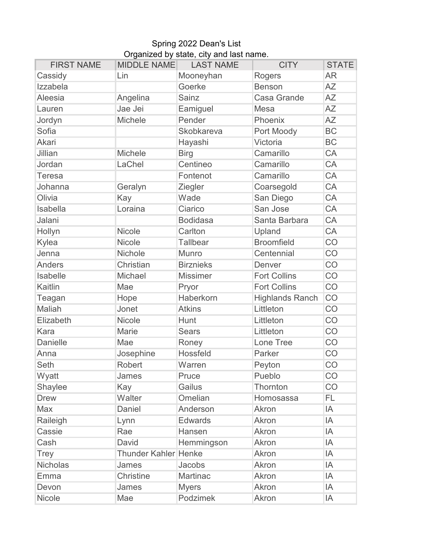## Spring 2022 Dean's List Organized by state, city and last name.

| <b>FIRST NAME</b> | <b>MIDDLE NAME</b>          | <b>LAST NAME</b> | <b>CITY</b>            | <b>STATE</b> |
|-------------------|-----------------------------|------------------|------------------------|--------------|
| Cassidy           | Lin                         | Mooneyhan        | Rogers                 | <b>AR</b>    |
| Izzabela          |                             | Goerke           | <b>Benson</b>          | <b>AZ</b>    |
| <b>Aleesia</b>    | Angelina                    | Sainz            | <b>Casa Grande</b>     | AΖ           |
| Lauren            | Jae Jei                     | Eamiguel         | Mesa                   | <b>AZ</b>    |
| Jordyn            | Michele                     | Pender           | Phoenix                | <b>AZ</b>    |
| Sofia             |                             | Skobkareva       | Port Moody             | <b>BC</b>    |
| <b>Akari</b>      |                             | Hayashi          | Victoria               | <b>BC</b>    |
| Jillian           | <b>Michele</b>              | <b>Birg</b>      | Camarillo              | CA           |
| Jordan            | LaChel                      | Centineo         | Camarillo              | CA           |
| <b>Teresa</b>     |                             | Fontenot         | Camarillo              | CA           |
| Johanna           | Geralyn                     | Ziegler          | Coarsegold             | CA           |
| Olivia            | Kay                         | Wade             | San Diego              | CA           |
| Isabella          | Loraina                     | Ciarico          | San Jose               | CA           |
| Jalani            |                             | <b>Bodidasa</b>  | Santa Barbara          | CA           |
| Hollyn            | Nicole                      | Carlton          | Upland                 | CA           |
| Kylea             | <b>Nicole</b>               | <b>Tallbear</b>  | <b>Broomfield</b>      | CO           |
| Jenna             | Nichole                     | <b>Munro</b>     | Centennial             | CO           |
| <b>Anders</b>     | Christian                   | <b>Birznieks</b> | Denver                 | CO           |
| Isabelle          | Michael                     | <b>Missimer</b>  | <b>Fort Collins</b>    | CO           |
| Kaitlin           | Mae                         | Pryor            | <b>Fort Collins</b>    | CO           |
| Teagan            | Hope                        | Haberkorn        | <b>Highlands Ranch</b> | CO           |
| Maliah            | Jonet                       | <b>Atkins</b>    | Littleton              | CO           |
| Elizabeth         | Nicole                      | Hunt             | Littleton              | CO           |
| Kara              | Marie                       | <b>Sears</b>     | Littleton              | CO           |
| Danielle          | Mae                         | Roney            | Lone Tree              | CO           |
| Anna              | Josephine                   | Hossfeld         | Parker                 | CO           |
| Seth              | <b>Robert</b>               | Warren           | Peyton                 | CO           |
| Wyatt             | James                       | Pruce            | Pueblo                 | CO           |
| Shaylee           | Kay                         | Gailus           | Thornton               | CO           |
| <b>Drew</b>       | Walter                      | Omelian          | Homosassa              | FL           |
| Max               | Daniel                      | Anderson         | Akron                  | IA           |
| Raileigh          | Lynn                        | <b>Edwards</b>   | Akron                  | IA           |
| Cassie            | Rae                         | Hansen           | Akron                  | IA           |
| Cash              | David                       | Hemmingson       | Akron                  | IA           |
| Trey              | <b>Thunder Kahler Henke</b> |                  | Akron                  | IA           |
| <b>Nicholas</b>   | James                       | Jacobs           | Akron                  | IA           |
| Emma              | Christine                   | Martinac         | Akron                  | IA           |
| Devon             | James                       | <b>Myers</b>     | Akron                  | IA           |
| Nicole            | Mae                         | Podzimek         | Akron                  | IA           |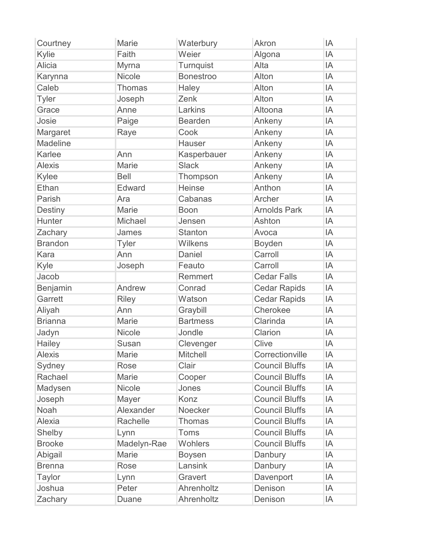| Courtney        | Marie         | Waterbury        | Akron                 | IA |
|-----------------|---------------|------------------|-----------------------|----|
| Kylie           | Faith         | Weier            | Algona                | IA |
| <b>Alicia</b>   | Myrna         | Turnquist        | Alta                  | IA |
| Karynna         | <b>Nicole</b> | <b>Bonestroo</b> | Alton                 | ΙA |
| Caleb           | <b>Thomas</b> | Haley            | Alton                 | IA |
| <b>Tyler</b>    | Joseph        | Zenk             | Alton                 | IA |
| Grace           | Anne          | Larkins          | Altoona               | ΙA |
| Josie           | Paige         | <b>Bearden</b>   | Ankeny                | IA |
| Margaret        | Raye          | Cook             | Ankeny                | ΙA |
| <b>Madeline</b> |               | <b>Hauser</b>    | Ankeny                | ΙA |
| Karlee          | Ann           | Kasperbauer      | Ankeny                | IA |
| <b>Alexis</b>   | <b>Marie</b>  | <b>Slack</b>     | Ankeny                | IA |
| Kylee           | <b>Bell</b>   | Thompson         | Ankeny                | ΙA |
| Ethan           | Edward        | <b>Heinse</b>    | Anthon                | IA |
| Parish          | Ara           | Cabanas          | Archer                | IA |
| <b>Destiny</b>  | Marie         | <b>Boon</b>      | <b>Arnolds Park</b>   | ΙA |
| Hunter          | Michael       | Jensen           | Ashton                | IA |
| Zachary         | James         | <b>Stanton</b>   | Avoca                 | ΙA |
| <b>Brandon</b>  | <b>Tyler</b>  | Wilkens          | <b>Boyden</b>         | ΙA |
| Kara            | Ann           | Daniel           | Carroll               | IA |
| Kyle            | Joseph        | Feauto           | Carroll               | IA |
| Jacob           |               | Remmert          | <b>Cedar Falls</b>    | ΙA |
| Benjamin        | Andrew        | Conrad           | <b>Cedar Rapids</b>   | IA |
| Garrett         | <b>Riley</b>  | Watson           | <b>Cedar Rapids</b>   | IA |
| Aliyah          | Ann           | Graybill         | Cherokee              | ΙA |
| <b>Brianna</b>  | <b>Marie</b>  | <b>Bartmess</b>  | Clarinda              | IA |
| Jadyn           | Nicole        | Jondle           | Clarion               | IA |
| Hailey          | Susan         | Clevenger        | Clive                 | IA |
| <b>Alexis</b>   | <b>Marie</b>  | <b>Mitchell</b>  | Correctionville       | IA |
| Sydney          | <b>Rose</b>   | Clair            | <b>Council Bluffs</b> | IA |
| Rachael         | Marie         | Cooper           | <b>Council Bluffs</b> | ΙA |
| Madysen         | <b>Nicole</b> | Jones            | <b>Council Bluffs</b> | ΙA |
| Joseph          | Mayer         | Konz             | <b>Council Bluffs</b> | ΙA |
| Noah            | Alexander     | Noecker          | <b>Council Bluffs</b> | ΙA |
| Alexia          | Rachelle      | Thomas           | <b>Council Bluffs</b> | ΙA |
| Shelby          | Lynn          | Toms             | <b>Council Bluffs</b> | ΙA |
| <b>Brooke</b>   | Madelyn-Rae   | Wohlers          | <b>Council Bluffs</b> | ΙA |
| Abigail         | <b>Marie</b>  | <b>Boysen</b>    | Danbury               | ΙA |
| <b>Brenna</b>   | Rose          | Lansink          | Danbury               | ΙA |
| Taylor          | Lynn          | Gravert          | Davenport             | ΙA |
| Joshua          | Peter         | Ahrenholtz       | Denison               | ΙA |
| Zachary         | <b>Duane</b>  | Ahrenholtz       | Denison               | IA |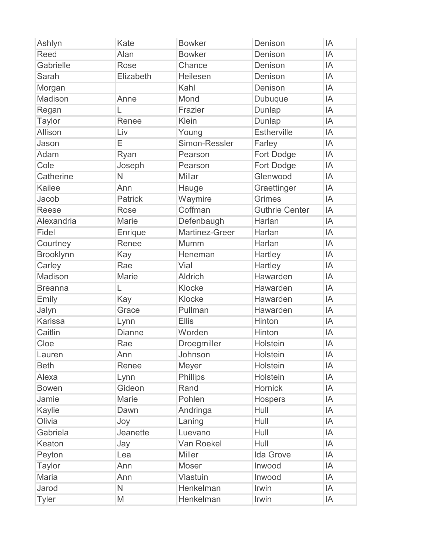| Ashlyn           | Kate           | <b>Bowker</b>  | Denison               | IA |
|------------------|----------------|----------------|-----------------------|----|
| <b>Reed</b>      | Alan           | <b>Bowker</b>  | Denison               | IA |
| Gabrielle        | Rose           | Chance         | Denison               | IA |
| Sarah            | Elizabeth      | Heilesen       | Denison               | IA |
| Morgan           |                | Kahl           | Denison               | IA |
| Madison          | Anne           | Mond           | Dubuque               | IA |
| Regan            | L              | Frazier        | Dunlap                | IA |
| <b>Taylor</b>    | Renee          | Klein          | Dunlap                | IA |
| Allison          | Liv            | Young          | <b>Estherville</b>    | IA |
| Jason            | Ε              | Simon-Ressler  | Farley                | IA |
| Adam             | Ryan           | Pearson        | Fort Dodge            | IA |
| Cole             | Joseph         | Pearson        | Fort Dodge            | IA |
| Catherine        | N              | <b>Millar</b>  | Glenwood              | IA |
| <b>Kailee</b>    | Ann            | Hauge          | Graettinger           | IA |
| Jacob            | <b>Patrick</b> | Waymire        | <b>Grimes</b>         | IA |
| <b>Reese</b>     | <b>Rose</b>    | Coffman        | <b>Guthrie Center</b> | IA |
| Alexandria       | Marie          | Defenbaugh     | Harlan                | IA |
| Fidel            | Enrique        | Martinez-Greer | Harlan                | IA |
| Courtney         | Renee          | Mumm           | Harlan                | IA |
| <b>Brooklynn</b> | Kay            | Heneman        | Hartley               | IA |
| Carley           | Rae            | Vial           | Hartley               | IA |
| Madison          | Marie          | <b>Aldrich</b> | Hawarden              | IA |
| <b>Breanna</b>   | L              | Klocke         | Hawarden              | IA |
| Emily            | Kay            | Klocke         | Hawarden              | IA |
| Jalyn            | Grace          | Pullman        | Hawarden              | IA |
| <b>Karissa</b>   | Lynn           | <b>Ellis</b>   | Hinton                | IA |
| Caitlin          | <b>Dianne</b>  | Worden         | Hinton                | IA |
| Cloe             | Rae            | Droegmiller    | Holstein              | IA |
| Lauren           | Ann            | Johnson        | Holstein              | IA |
| <b>Beth</b>      | Renee          | Meyer          | Holstein              | IA |
| Alexa            | Lynn           | Phillips       | Holstein              | IA |
| <b>Bowen</b>     | Gideon         | Rand           | <b>Hornick</b>        | IA |
| Jamie            | Marie          | Pohlen         | Hospers               | IA |
| Kaylie           | Dawn           | Andringa       | Hull                  | IA |
| Olivia           | Joy            | Laning         | Hull                  | IA |
| Gabriela         | Jeanette       | Luevano        | Hull                  | IA |
| Keaton           | Jay            | Van Roekel     | Hull                  | IA |
| Peyton           | Lea            | <b>Miller</b>  | <b>Ida Grove</b>      | IA |
| <b>Taylor</b>    | Ann            | Moser          | Inwood                | IA |
| Maria            | Ann            | Vlastuin       | Inwood                | IA |
| Jarod            | N              | Henkelman      | Irwin                 | IA |
| <b>Tyler</b>     | M              | Henkelman      | Irwin                 | IA |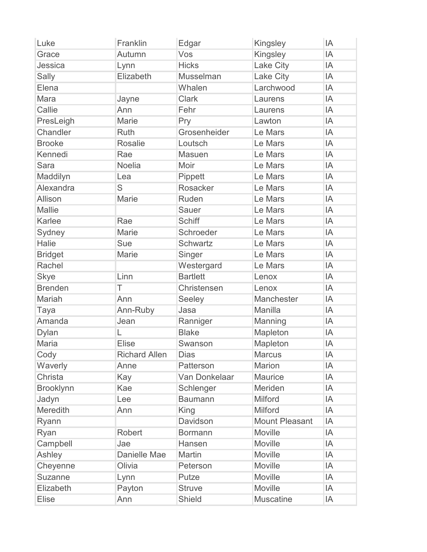| Luke             | Franklin             | Edgar           | Kingsley              | IA |
|------------------|----------------------|-----------------|-----------------------|----|
| Grace            | Autumn               | Vos             | Kingsley              | IA |
| Jessica          | Lynn                 | <b>Hicks</b>    | Lake City             | IA |
| Sally            | Elizabeth            | Musselman       | <b>Lake City</b>      | IA |
| Elena            |                      | Whalen          | Larchwood             | IA |
| Mara             | Jayne                | <b>Clark</b>    | Laurens               | IA |
| Callie           | Ann                  | Fehr            | Laurens               | IA |
| PresLeigh        | <b>Marie</b>         | Pry             | Lawton                | IA |
| Chandler         | Ruth                 | Grosenheider    | Le Mars               | IA |
| <b>Brooke</b>    | <b>Rosalie</b>       | Loutsch         | Le Mars               | IA |
| Kennedi          | Rae                  | <b>Masuen</b>   | Le Mars               | IA |
| <b>Sara</b>      | <b>Noelia</b>        | Moir            | Le Mars               | IA |
| Maddilyn         | Lea                  | Pippett         | Le Mars               | IA |
| Alexandra        | S                    | Rosacker        | Le Mars               | IA |
| Allison          | <b>Marie</b>         | Ruden           | Le Mars               | IA |
| <b>Mallie</b>    |                      | <b>Sauer</b>    | Le Mars               | IA |
| Karlee           | Rae                  | <b>Schiff</b>   | Le Mars               | IA |
| Sydney           | Marie                | Schroeder       | Le Mars               | IA |
| <b>Halie</b>     | Sue                  | <b>Schwartz</b> | Le Mars               | IA |
| <b>Bridget</b>   | Marie                | Singer          | Le Mars               | IA |
| Rachel           |                      | Westergard      | Le Mars               | IA |
| <b>Skye</b>      | Linn                 | <b>Bartlett</b> | Lenox                 | IA |
| <b>Brenden</b>   | T                    | Christensen     | Lenox                 | IA |
| Mariah           | Ann                  | Seeley          | Manchester            | IA |
| Taya             | Ann-Ruby             | Jasa            | Manilla               | IA |
| Amanda           | Jean                 | Ranniger        | Manning               | IA |
| <b>Dylan</b>     | L                    | <b>Blake</b>    | Mapleton              | IA |
| <b>Maria</b>     | <b>Elise</b>         | Swanson         | Mapleton              | IA |
| Cody             | <b>Richard Allen</b> | <b>Dias</b>     | <b>Marcus</b>         | IA |
| Waverly          | Anne                 | Patterson       | <b>Marion</b>         | IA |
| Christa          | Kay                  | Van Donkelaar   | <b>Maurice</b>        | IA |
| <b>Brooklynn</b> | Kae                  | Schlenger       | Meriden               | IA |
| Jadyn            | Lee                  | <b>Baumann</b>  | <b>Milford</b>        | IA |
| Meredith         | Ann                  | King            | <b>Milford</b>        | IA |
| Ryann            |                      | Davidson        | <b>Mount Pleasant</b> | IA |
| Ryan             | Robert               | <b>Bormann</b>  | Moville               | IA |
| Campbell         | Jae                  | Hansen          | Moville               | IA |
| Ashley           | Danielle Mae         | Martin          | Moville               | IA |
| Cheyenne         | Olivia               | Peterson        | Moville               | IA |
| <b>Suzanne</b>   | Lynn                 | Putze           | Moville               | IA |
| Elizabeth        | Payton               | <b>Struve</b>   | Moville               | IA |
| <b>Elise</b>     | Ann                  | <b>Shield</b>   | <b>Muscatine</b>      | IA |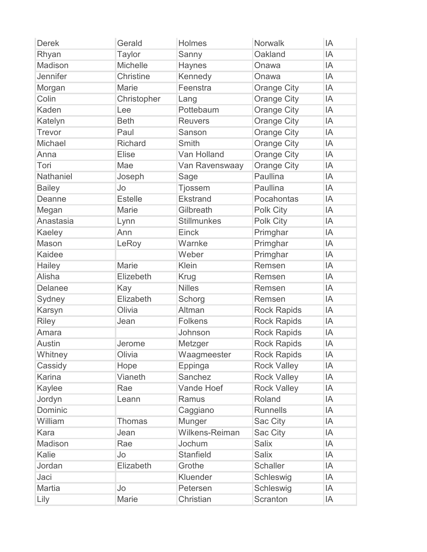| <b>Derek</b>  | Gerald          | Holmes             | <b>Norwalk</b>     | IA |
|---------------|-----------------|--------------------|--------------------|----|
| Rhyan         | <b>Taylor</b>   | Sanny              | Oakland            | ΙA |
| Madison       | <b>Michelle</b> | <b>Haynes</b>      | Onawa              | IA |
| Jennifer      | Christine       | Kennedy            | Onawa              | IA |
| Morgan        | <b>Marie</b>    | Feenstra           | <b>Orange City</b> | ΙA |
| Colin         | Christopher     | Lang               | <b>Orange City</b> | IA |
| Kaden         | Lee             | Pottebaum          | <b>Orange City</b> | ΙA |
| Katelyn       | <b>Beth</b>     | <b>Reuvers</b>     | <b>Orange City</b> | ΙA |
| Trevor        | Paul            | Sanson             | <b>Orange City</b> | IA |
| Michael       | <b>Richard</b>  | Smith              | <b>Orange City</b> | IA |
| Anna          | Elise           | Van Holland        | <b>Orange City</b> | ΙA |
| Tori          | Mae             | Van Ravenswaay     | Orange City        | IA |
| Nathaniel     | Joseph          | Sage               | Paullina           | IA |
| <b>Bailey</b> | Jo              | <b>Tjossem</b>     | Paullina           | IA |
| Deanne        | <b>Estelle</b>  | Ekstrand           | Pocahontas         | IA |
| Megan         | Marie           | Gilbreath          | Polk City          | ΙA |
| Anastasia     | Lynn            | <b>Stillmunkes</b> | Polk City          | ΙA |
| Kaeley        | Ann             | Einck              | Primghar           | IA |
| Mason         | LeRoy           | Warnke             | Primghar           | IA |
| <b>Kaidee</b> |                 | Weber              | Primghar           | IA |
| Hailey        | Marie           | Klein              | Remsen             | IA |
| Alisha        | Elizebeth       | Krug               | Remsen             | IA |
| Delanee       | Kay             | <b>Nilles</b>      | Remsen             | IA |
| Sydney        | Elizabeth       | Schorg             | Remsen             | IA |
| Karsyn        | Olivia          | Altman             | <b>Rock Rapids</b> | ΙA |
| <b>Riley</b>  | Jean            | <b>Folkens</b>     | <b>Rock Rapids</b> | IA |
| Amara         |                 | Johnson            | <b>Rock Rapids</b> | ΙA |
| <b>Austin</b> | Jerome          | Metzger            | <b>Rock Rapids</b> | ΙA |
| Whitney       | Olivia          | Waagmeester        | <b>Rock Rapids</b> | ΙA |
| Cassidy       | Hope            | Eppinga            | <b>Rock Valley</b> | ΙA |
| Karina        | Vianeth         | Sanchez            | <b>Rock Valley</b> | IA |
| Kaylee        | Rae             | Vande Hoef         | <b>Rock Valley</b> | IA |
| Jordyn        | Leann           | Ramus              | Roland             | IA |
| Dominic       |                 | Caggiano           | <b>Runnells</b>    | ΙA |
| William       | <b>Thomas</b>   | Munger             | Sac City           | IA |
| Kara          | Jean            | Wilkens-Reiman     | Sac City           | IA |
| Madison       | Rae             | Jochum             | <b>Salix</b>       | ΙA |
| Kalie         | Jo              | <b>Stanfield</b>   | <b>Salix</b>       | IA |
| Jordan        | Elizabeth       | Grothe             | <b>Schaller</b>    | IA |
| Jaci          |                 | Kluender           | Schleswig          | IA |
| <b>Martia</b> | Jo              | Petersen           | Schleswig          | IA |
| Lily          | Marie           | Christian          | Scranton           | ΙA |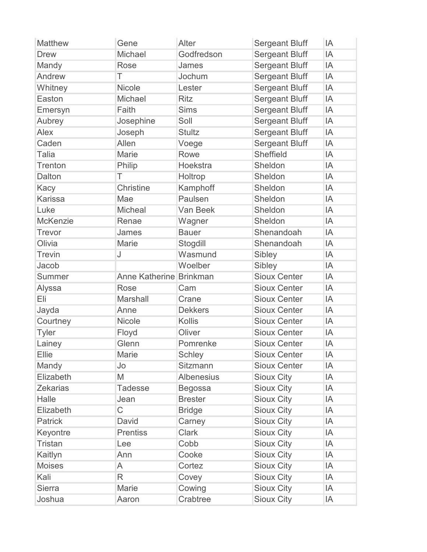| <b>Matthew</b>  | Gene                    | Alter             | <b>Sergeant Bluff</b> | IA |
|-----------------|-------------------------|-------------------|-----------------------|----|
| <b>Drew</b>     | Michael                 | Godfredson        | <b>Sergeant Bluff</b> | IA |
| Mandy           | Rose                    | James             | <b>Sergeant Bluff</b> | IA |
| Andrew          | Τ                       | Jochum            | <b>Sergeant Bluff</b> | ΙA |
| Whitney         | <b>Nicole</b>           | Lester            | <b>Sergeant Bluff</b> | IA |
| Easton          | Michael                 | <b>Ritz</b>       | <b>Sergeant Bluff</b> | IA |
| Emersyn         | Faith                   | <b>Sims</b>       | <b>Sergeant Bluff</b> | ΙA |
| Aubrey          | Josephine               | Soll              | <b>Sergeant Bluff</b> | IA |
| Alex            | Joseph                  | <b>Stultz</b>     | <b>Sergeant Bluff</b> | IA |
| Caden           | Allen                   | Voege             | <b>Sergeant Bluff</b> | ΙA |
| <b>Talia</b>    | Marie                   | Rowe              | <b>Sheffield</b>      | IA |
| Trenton         | Philip                  | Hoekstra          | Sheldon               | IA |
| Dalton          | Τ                       | Holtrop           | Sheldon               | ΙA |
| Kacy            | Christine               | Kamphoff          | Sheldon               | IA |
| <b>Karissa</b>  | Mae                     | Paulsen           | Sheldon               | IA |
| Luke            | Micheal                 | Van Beek          | Sheldon               | ΙA |
| McKenzie        | Renae                   | Wagner            | Sheldon               | IA |
| <b>Trevor</b>   | James                   | <b>Bauer</b>      | Shenandoah            | ΙA |
| Olivia          | Marie                   | Stogdill          | Shenandoah            | ΙA |
| <b>Trevin</b>   | J                       | Wasmund           | Sibley                | IA |
| Jacob           |                         | Woelber           | Sibley                | ΙA |
| Summer          | Anne Katherine Brinkman |                   | <b>Sioux Center</b>   | ΙA |
| Alyssa          | Rose                    | Cam               | <b>Sioux Center</b>   | IA |
| Eli             | <b>Marshall</b>         | Crane             | <b>Sioux Center</b>   | IA |
| Jayda           | Anne                    | <b>Dekkers</b>    | <b>Sioux Center</b>   | ΙA |
| Courtney        | <b>Nicole</b>           | <b>Kollis</b>     | <b>Sioux Center</b>   | IA |
| <b>Tyler</b>    | Floyd                   | Oliver            | <b>Sioux Center</b>   | IA |
| Lainey          | Glenn                   | Pomrenke          | <b>Sioux Center</b>   | IA |
| Ellie           | Marie                   | <b>Schley</b>     | <b>Sioux Center</b>   | IA |
| Mandy           | Jo                      | <b>Sitzmann</b>   | <b>Sioux Center</b>   | IA |
| Elizabeth       | M                       | <b>Albenesius</b> | <b>Sioux City</b>     | IA |
| <b>Zekarias</b> | <b>Tadesse</b>          | <b>Begossa</b>    | <b>Sioux City</b>     | ΙA |
| Halle           | Jean                    | <b>Brester</b>    | <b>Sioux City</b>     | IA |
| Elizabeth       | $\mathsf C$             | <b>Bridge</b>     | <b>Sioux City</b>     | ΙA |
| <b>Patrick</b>  | David                   | Carney            | <b>Sioux City</b>     | ΙA |
| Keyontre        | <b>Prentiss</b>         | <b>Clark</b>      | <b>Sioux City</b>     | IA |
| <b>Tristan</b>  | Lee                     | Cobb              | <b>Sioux City</b>     | IA |
| Kaitlyn         | Ann                     | Cooke             | <b>Sioux City</b>     | ΙA |
| <b>Moises</b>   | A                       | Cortez            | <b>Sioux City</b>     | ΙA |
| Kali            | R                       | Covey             | <b>Sioux City</b>     | IA |
| <b>Sierra</b>   | Marie                   | Cowing            | <b>Sioux City</b>     | ΙA |
| Joshua          | Aaron                   | Crabtree          | <b>Sioux City</b>     | ΙA |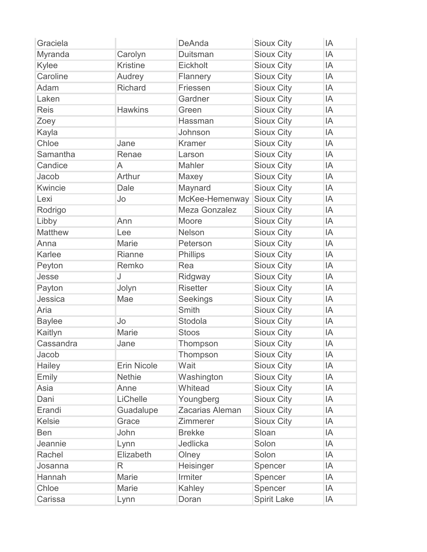| Graciela       |                    | DeAnda          | <b>Sioux City</b>  | IA |
|----------------|--------------------|-----------------|--------------------|----|
| Myranda        | Carolyn            | Duitsman        | <b>Sioux City</b>  | ΙA |
| Kylee          | <b>Kristine</b>    | Eickholt        | <b>Sioux City</b>  | ΙA |
| Caroline       | Audrey             | Flannery        | <b>Sioux City</b>  | ΙA |
| Adam           | <b>Richard</b>     | Friessen        | <b>Sioux City</b>  | IA |
| Laken          |                    | Gardner         | <b>Sioux City</b>  | ΙA |
| <b>Reis</b>    | <b>Hawkins</b>     | Green           | <b>Sioux City</b>  | ΙA |
| Zoey           |                    | Hassman         | <b>Sioux City</b>  | IA |
| Kayla          |                    | Johnson         | <b>Sioux City</b>  | ΙA |
| Chloe          | Jane               | <b>Kramer</b>   | <b>Sioux City</b>  | ΙA |
| Samantha       | Renae              | Larson          | <b>Sioux City</b>  | IA |
| Candice        | A                  | Mahler          | <b>Sioux City</b>  | ΙA |
| Jacob          | Arthur             | Maxey           | <b>Sioux City</b>  | ΙA |
| Kwincie        | Dale               | Maynard         | <b>Sioux City</b>  | IA |
| Lexi           | Jo                 | McKee-Hemenway  | <b>Sioux City</b>  | IA |
| Rodrigo        |                    | Meza Gonzalez   | <b>Sioux City</b>  | ΙA |
| Libby          | Ann                | Moore           | <b>Sioux City</b>  | IA |
| <b>Matthew</b> | Lee                | Nelson          | <b>Sioux City</b>  | ΙA |
| Anna           | Marie              | Peterson        | <b>Sioux City</b>  | ΙA |
| Karlee         | Rianne             | Phillips        | <b>Sioux City</b>  | IA |
| Peyton         | Remko              | Rea             | <b>Sioux City</b>  | ΙA |
| Jesse          | J                  | Ridgway         | <b>Sioux City</b>  | ΙA |
| Payton         | Jolyn              | <b>Risetter</b> | <b>Sioux City</b>  | IA |
| Jessica        | Mae                | <b>Seekings</b> | <b>Sioux City</b>  | ΙA |
| Aria           |                    | <b>Smith</b>    | <b>Sioux City</b>  | ΙA |
| <b>Baylee</b>  | Jo                 | Stodola         | <b>Sioux City</b>  | IA |
| Kaitlyn        | Marie              | <b>Stoos</b>    | <b>Sioux City</b>  | ΙA |
| Cassandra      | Jane               | Thompson        | <b>Sioux City</b>  | IA |
| Jacob          |                    | Thompson        | <b>Sioux City</b>  | ΙA |
| Hailey         | <b>Erin Nicole</b> | Wait            | <b>Sioux City</b>  | ΙA |
| Emily          | <b>Nethie</b>      | Washington      | <b>Sioux City</b>  | ΙA |
| Asia           | Anne               | Whitead         | <b>Sioux City</b>  | ΙA |
| Dani           | LiChelle           | Youngberg       | <b>Sioux City</b>  | ΙA |
| Erandi         | Guadalupe          | Zacarias Aleman | <b>Sioux City</b>  | ΙA |
| <b>Kelsie</b>  | Grace              | Zimmerer        | <b>Sioux City</b>  | ΙA |
| <b>Ben</b>     | John               | <b>Brekke</b>   | Sloan              | ΙA |
| Jeannie        | Lynn               | Jedlicka        | Solon              | ΙA |
| Rachel         | Elizabeth          | Olney           | Solon              | ΙA |
| Josanna        | R                  | Heisinger       | Spencer            | ΙA |
| Hannah         | Marie              | Irmiter         | Spencer            | ΙA |
| Chloe          | Marie              | Kahley          | Spencer            | ΙA |
| Carissa        | Lynn               | Doran           | <b>Spirit Lake</b> | IA |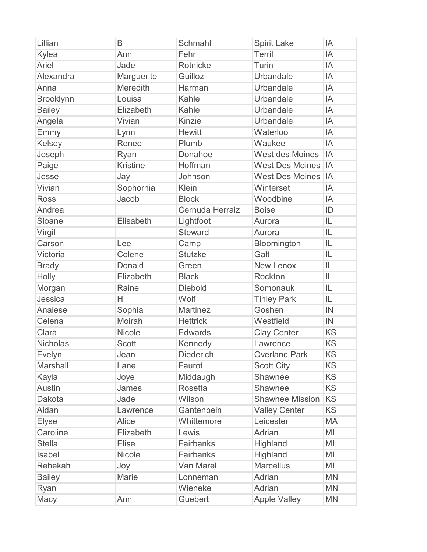| Lillian          | B               | Schmahl          | <b>Spirit Lake</b>     | IA        |
|------------------|-----------------|------------------|------------------------|-----------|
| Kylea            | Ann             | Fehr             | Terril                 | IA        |
| Ariel            | Jade            | Rotnicke         | Turin                  | IA        |
| Alexandra        | Marguerite      | Guilloz          | Urbandale              | IA        |
| Anna             | Meredith        | Harman           | Urbandale              | IA        |
| <b>Brooklynn</b> | Louisa          | Kahle            | Urbandale              | IA        |
| <b>Bailey</b>    | Elizabeth       | Kahle            | Urbandale              | IA        |
| Angela           | Vivian          | Kinzie           | Urbandale              | IA        |
| Emmy             | Lynn            | <b>Hewitt</b>    | Waterloo               | IA        |
| Kelsey           | Renee           | Plumb            | Waukee                 | IA        |
| Joseph           | Ryan            | Donahoe          | West des Moines        | IA        |
| Paige            | <b>Kristine</b> | Hoffman          | <b>West Des Moines</b> | IA        |
| Jesse            | Jay             | Johnson          | <b>West Des Moines</b> | IA        |
| Vivian           | Sophornia       | Klein            | Winterset              | IA        |
| <b>Ross</b>      | Jacob           | <b>Block</b>     | Woodbine               | IA        |
| Andrea           |                 | Cernuda Herraiz  | <b>Boise</b>           | ID        |
| Sloane           | Elisabeth       | Lightfoot        | Aurora                 | IL        |
| Virgil           |                 | <b>Steward</b>   | Aurora                 | IL        |
| Carson           | Lee             | Camp             | Bloomington            | IL        |
| Victoria         | Colene          | <b>Stutzke</b>   | Galt                   | IL        |
| <b>Brady</b>     | Donald          | Green            | New Lenox              | IL        |
| Holly            | Elizabeth       | <b>Black</b>     | Rockton                | IL        |
| Morgan           | Raine           | <b>Diebold</b>   | Somonauk               | IL        |
| Jessica          | Н               | Wolf             | <b>Tinley Park</b>     | IL        |
| Analese          | Sophia          | <b>Martinez</b>  | Goshen                 | IN        |
| Celena           | Moirah          | <b>Hettrick</b>  | Westfield              | IN        |
| Clara            | Nicole          | <b>Edwards</b>   | <b>Clay Center</b>     | <b>KS</b> |
| <b>Nicholas</b>  | <b>Scott</b>    | Kennedy          | Lawrence               | <b>KS</b> |
| <b>Evelyn</b>    | Jean            | <b>Diederich</b> | <b>Overland Park</b>   | <b>KS</b> |
| Marshall         | Lane            | Faurot           | <b>Scott City</b>      | <b>KS</b> |
| Kayla            | Joye            | Middaugh         | Shawnee                | <b>KS</b> |
| <b>Austin</b>    | James           | <b>Rosetta</b>   | Shawnee                | <b>KS</b> |
| Dakota           | Jade            | Wilson           | <b>Shawnee Mission</b> | KS        |
| Aidan            | Lawrence        | Gantenbein       | <b>Valley Center</b>   | <b>KS</b> |
| <b>Elyse</b>     | Alice           | Whittemore       | Leicester              | MA        |
| Caroline         | Elizabeth       | Lewis            | Adrian                 | MI        |
| <b>Stella</b>    | <b>Elise</b>    | Fairbanks        | Highland               | MI        |
| Isabel           | <b>Nicole</b>   | <b>Fairbanks</b> | Highland               | MI        |
| Rebekah          | Joy             | Van Marel        | <b>Marcellus</b>       | ΜI        |
| <b>Bailey</b>    | Marie           | Lonneman         | Adrian                 | <b>MN</b> |
| Ryan             |                 | Wieneke          | Adrian                 | <b>MN</b> |
| Macy             | Ann             | Guebert          | <b>Apple Valley</b>    | <b>MN</b> |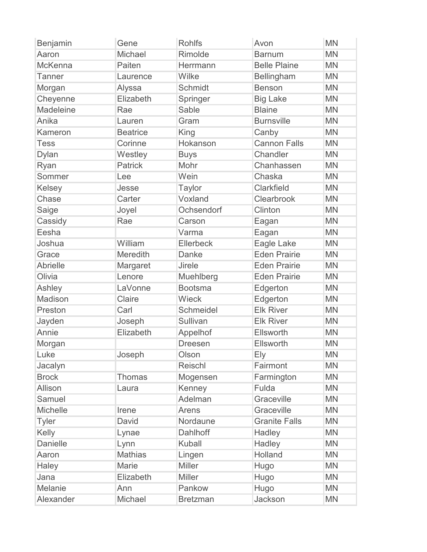| Benjamin        | Gene            | <b>Rohlfs</b>    | Avon                 | <b>MN</b> |
|-----------------|-----------------|------------------|----------------------|-----------|
| Aaron           | Michael         | Rimolde          | <b>Barnum</b>        | <b>MN</b> |
| <b>McKenna</b>  | Paiten          | Herrmann         | <b>Belle Plaine</b>  | <b>MN</b> |
| <b>Tanner</b>   | Laurence        | Wilke            | Bellingham           | <b>MN</b> |
| Morgan          | Alyssa          | Schmidt          | <b>Benson</b>        | <b>MN</b> |
| Cheyenne        | Elizabeth       | Springer         | <b>Big Lake</b>      | <b>MN</b> |
| Madeleine       | Rae             | Sable            | <b>Blaine</b>        | <b>MN</b> |
| Anika           | Lauren          | Gram             | <b>Burnsville</b>    | <b>MN</b> |
| Kameron         | <b>Beatrice</b> | King             | Canby                | <b>MN</b> |
| <b>Tess</b>     | Corinne         | Hokanson         | <b>Cannon Falls</b>  | <b>MN</b> |
| Dylan           | Westley         | <b>Buys</b>      | Chandler             | <b>MN</b> |
| Ryan            | <b>Patrick</b>  | Mohr             | Chanhassen           | <b>MN</b> |
| Sommer          | Lee             | Wein             | Chaska               | <b>MN</b> |
| Kelsey          | Jesse           | <b>Taylor</b>    | Clarkfield           | <b>MN</b> |
| Chase           | Carter          | Voxland          | Clearbrook           | <b>MN</b> |
| Saige           | Joyel           | Ochsendorf       | Clinton              | <b>MN</b> |
| Cassidy         | Rae             | Carson           | Eagan                | <b>MN</b> |
| Eesha           |                 | Varma            | Eagan                | <b>MN</b> |
| Joshua          | William         | Ellerbeck        | Eagle Lake           | <b>MN</b> |
| Grace           | Meredith        | <b>Danke</b>     | <b>Eden Prairie</b>  | <b>MN</b> |
| <b>Abrielle</b> | Margaret        | <b>Jirele</b>    | <b>Eden Prairie</b>  | <b>MN</b> |
| Olivia          | Lenore          | Muehlberg        | <b>Eden Prairie</b>  | <b>MN</b> |
| Ashley          | LaVonne         | <b>Bootsma</b>   | Edgerton             | <b>MN</b> |
| Madison         | Claire          | Wieck            | Edgerton             | <b>MN</b> |
| Preston         | Carl            | <b>Schmeidel</b> | <b>Elk River</b>     | <b>MN</b> |
| Jayden          | Joseph          | Sullivan         | <b>Elk River</b>     | <b>MN</b> |
| Annie           | Elizabeth       | Appelhof         | Ellsworth            | <b>MN</b> |
| Morgan          |                 | <b>Dreesen</b>   | Ellsworth            | <b>MN</b> |
| Luke            | Joseph          | Olson            | Ely                  | <b>MN</b> |
| Jacalyn         |                 | Reischl          | Fairmont             | <b>MN</b> |
| <b>Brock</b>    | <b>Thomas</b>   | Mogensen         | Farmington           | <b>MN</b> |
| Allison         | Laura           | Kenney           | Fulda                | <b>MN</b> |
| Samuel          |                 | Adelman          | Graceville           | <b>MN</b> |
| <b>Michelle</b> | Irene           | Arens            | Graceville           | <b>MN</b> |
| <b>Tyler</b>    | David           | Nordaune         | <b>Granite Falls</b> | <b>MN</b> |
| Kelly           | Lynae           | Dahlhoff         | Hadley               | <b>MN</b> |
| <b>Danielle</b> | Lynn            | <b>Kuball</b>    | Hadley               | <b>MN</b> |
| Aaron           | <b>Mathias</b>  | Lingen           | Holland              | <b>MN</b> |
| Haley           | Marie           | <b>Miller</b>    | Hugo                 | <b>MN</b> |
| Jana            | Elizabeth       | <b>Miller</b>    | Hugo                 | <b>MN</b> |
| Melanie         | Ann             | Pankow           | Hugo                 | <b>MN</b> |
| Alexander       | Michael         | <b>Bretzman</b>  | Jackson              | <b>MN</b> |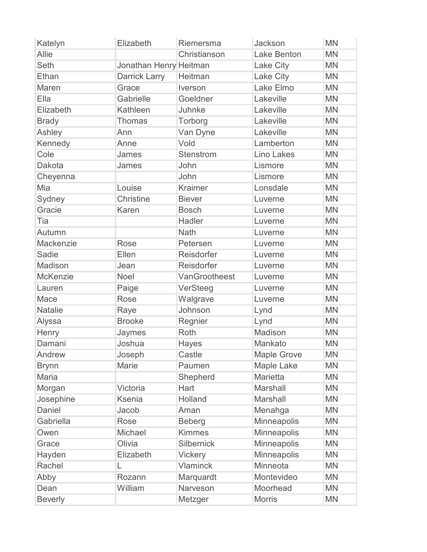| Katelyn         | Elizabeth              | Riemersma         | Jackson            | <b>MN</b> |
|-----------------|------------------------|-------------------|--------------------|-----------|
| <b>Allie</b>    |                        | Christianson      | <b>Lake Benton</b> | <b>MN</b> |
| <b>Seth</b>     | Jonathan Henry Heitman |                   | Lake City          | <b>MN</b> |
| Ethan           | Darrick Larry          | Heitman           | Lake City          | <b>MN</b> |
| Maren           | Grace                  | Iverson           | Lake Elmo          | <b>MN</b> |
| Ella            | Gabrielle              | Goeldner          | Lakeville          | <b>MN</b> |
| Elizabeth       | Kathleen               | Juhnke            | Lakeville          | <b>MN</b> |
| <b>Brady</b>    | <b>Thomas</b>          | Torborg           | Lakeville          | <b>MN</b> |
| Ashley          | Ann                    | Van Dyne          | Lakeville          | <b>MN</b> |
| Kennedy         | Anne                   | Vold              | Lamberton          | <b>MN</b> |
| Cole            | James                  | Stenstrom         | <b>Lino Lakes</b>  | <b>MN</b> |
| Dakota          | James                  | John              | Lismore            | <b>MN</b> |
| Cheyenna        |                        | John              | Lismore            | <b>MN</b> |
| Mia             | Louise                 | <b>Kraimer</b>    | Lonsdale           | <b>MN</b> |
| Sydney          | Christine              | <b>Biever</b>     | Luverne            | <b>MN</b> |
| Gracie          | Karen                  | <b>Bosch</b>      | Luverne            | <b>MN</b> |
| Tia             |                        | Hadler            | Luverne            | <b>MN</b> |
| Autumn          |                        | <b>Nath</b>       | Luverne            | <b>MN</b> |
| Mackenzie       | Rose                   | Petersen          | Luverne            | <b>MN</b> |
| Sadie           | Ellen                  | Reisdorfer        | Luverne            | <b>MN</b> |
| Madison         | Jean                   | Reisdorfer        | Luverne            | <b>MN</b> |
| <b>McKenzie</b> | Noel                   | VanGrootheest     | Luverne            | <b>MN</b> |
| Lauren          | Paige                  | VerSteeg          | Luverne            | <b>MN</b> |
| Mace            | Rose                   | Walgrave          | Luverne            | <b>MN</b> |
| <b>Natalie</b>  | Raye                   | Johnson           | Lynd               | <b>MN</b> |
| Alyssa          | <b>Brooke</b>          | Regnier           | Lynd               | <b>MN</b> |
| Henry           | Jaymes                 | <b>Roth</b>       | Madison            | <b>MN</b> |
| Damani          | Joshua                 | Hayes             | Mankato            | <b>MN</b> |
| Andrew          | Joseph                 | Castle            | <b>Maple Grove</b> | <b>MN</b> |
| <b>Brynn</b>    | Marie                  | Paumen            | <b>Maple Lake</b>  | <b>MN</b> |
| <b>Maria</b>    |                        | Shepherd          | Marietta           | <b>MN</b> |
| Morgan          | Victoria               | Hart              | Marshall           | <b>MN</b> |
| Josephine       | <b>Ksenia</b>          | Holland           | Marshall           | <b>MN</b> |
| <b>Daniel</b>   | Jacob                  | Aman              | Menahga            | <b>MN</b> |
| Gabriella       | <b>Rose</b>            | <b>Beberg</b>     | Minneapolis        | <b>MN</b> |
| Owen            | Michael                | <b>Kimmes</b>     | Minneapolis        | <b>MN</b> |
| Grace           | Olivia                 | <b>Silbernick</b> | Minneapolis        | <b>MN</b> |
| Hayden          | Elizabeth              | Vickery           | <b>Minneapolis</b> | <b>MN</b> |
| Rachel          | L                      | <b>Vlaminck</b>   | Minneota           | <b>MN</b> |
| Abby            | Rozann                 | Marquardt         | Montevideo         | <b>MN</b> |
| Dean            | William                | Narveson          | Moorhead           | <b>MN</b> |
| <b>Beverly</b>  |                        | Metzger           | <b>Morris</b>      | <b>MN</b> |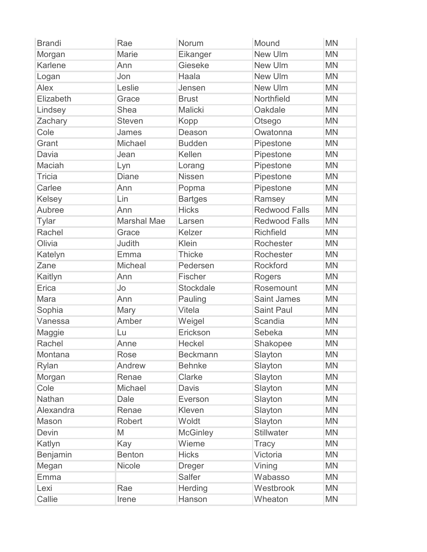| <b>Brandi</b> | Rae                | Norum           | Mound                | <b>MN</b> |
|---------------|--------------------|-----------------|----------------------|-----------|
| Morgan        | Marie              | Eikanger        | <b>New Ulm</b>       | <b>MN</b> |
| Karlene       | Ann                | Gieseke         | <b>New Ulm</b>       | <b>MN</b> |
| Logan         | Jon                | Haala           | New Ulm              | <b>MN</b> |
| Alex          | Leslie             | Jensen          | New Ulm              | <b>MN</b> |
| Elizabeth     | Grace              | <b>Brust</b>    | Northfield           | <b>MN</b> |
| Lindsey       | Shea               | Malicki         | Oakdale              | <b>MN</b> |
| Zachary       | <b>Steven</b>      | Kopp            | Otsego               | <b>MN</b> |
| Cole          | James              | Deason          | Owatonna             | <b>MN</b> |
| Grant         | Michael            | <b>Budden</b>   | Pipestone            | <b>MN</b> |
| Davia         | Jean               | Kellen          | Pipestone            | <b>MN</b> |
| Maciah        | Lyn                | Lorang          | Pipestone            | <b>MN</b> |
| <b>Tricia</b> | <b>Diane</b>       | <b>Nissen</b>   | Pipestone            | <b>MN</b> |
| Carlee        | Ann                | Popma           | Pipestone            | <b>MN</b> |
| Kelsey        | Lin                | <b>Bartges</b>  | Ramsey               | <b>MN</b> |
| Aubree        | Ann                | <b>Hicks</b>    | <b>Redwood Falls</b> | <b>MN</b> |
| <b>Tylar</b>  | <b>Marshal Mae</b> | Larsen          | <b>Redwood Falls</b> | <b>MN</b> |
| Rachel        | Grace              | Kelzer          | <b>Richfield</b>     | <b>MN</b> |
| Olivia        | Judith             | Klein           | Rochester            | <b>MN</b> |
| Katelyn       | Emma               | <b>Thicke</b>   | Rochester            | <b>MN</b> |
| Zane          | Micheal            | Pedersen        | Rockford             | <b>MN</b> |
| Kaitlyn       | Ann                | Fischer         | Rogers               | <b>MN</b> |
| Erica         | Jo                 | Stockdale       | Rosemount            | <b>MN</b> |
| Mara          | Ann                | Pauling         | <b>Saint James</b>   | <b>MN</b> |
| Sophia        | Mary               | Vitela          | <b>Saint Paul</b>    | <b>MN</b> |
| Vanessa       | Amber              | Weigel          | Scandia              | <b>MN</b> |
| Maggie        | Lu                 | Erickson        | Sebeka               | <b>MN</b> |
| Rachel        | Anne               | Heckel          | Shakopee             | <b>MN</b> |
| Montana       | Rose               | <b>Beckmann</b> | Slayton              | <b>MN</b> |
| Rylan         | Andrew             | <b>Behnke</b>   | Slayton              | <b>MN</b> |
| Morgan        | Renae              | Clarke          | Slayton              | <b>MN</b> |
| Cole          | Michael            | Davis           | Slayton              | <b>MN</b> |
| Nathan        | Dale               | Everson         | Slayton              | <b>MN</b> |
| Alexandra     | Renae              | Kleven          | Slayton              | <b>MN</b> |
| Mason         | <b>Robert</b>      | Woldt           | Slayton              | <b>MN</b> |
| <b>Devin</b>  | M                  | <b>McGinley</b> | <b>Stillwater</b>    | <b>MN</b> |
| Katlyn        | Kay                | Wieme           | <b>Tracy</b>         | <b>MN</b> |
| Benjamin      | <b>Benton</b>      | <b>Hicks</b>    | Victoria             | <b>MN</b> |
| Megan         | <b>Nicole</b>      | <b>Dreger</b>   | Vining               | <b>MN</b> |
| Emma          |                    | Salfer          | Wabasso              | <b>MN</b> |
| Lexi          | Rae                | <b>Herding</b>  | Westbrook            | <b>MN</b> |
| Callie        | Irene              | Hanson          | Wheaton              | <b>MN</b> |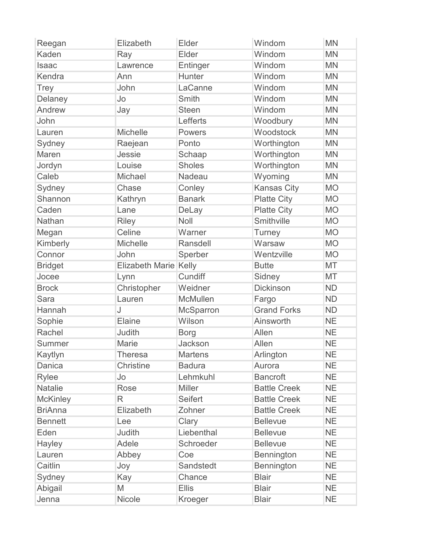| Reegan          | Elizabeth             | Elder          | Windom              | <b>MN</b> |
|-----------------|-----------------------|----------------|---------------------|-----------|
| Kaden           | Ray                   | Elder          | Windom              | <b>MN</b> |
| Isaac           | Lawrence              | Entinger       | Windom              | <b>MN</b> |
| Kendra          | Ann                   | Hunter         | Windom              | <b>MN</b> |
| <b>Trey</b>     | John                  | LaCanne        | Windom              | <b>MN</b> |
| Delaney         | Jo                    | <b>Smith</b>   | Windom              | <b>MN</b> |
| Andrew          | Jay                   | <b>Steen</b>   | Windom              | <b>MN</b> |
| John            |                       | Lefferts       | Woodbury            | <b>MN</b> |
| Lauren          | <b>Michelle</b>       | Powers         | Woodstock           | <b>MN</b> |
| Sydney          | Raejean               | Ponto          | Worthington         | <b>MN</b> |
| Maren           | Jessie                | Schaap         | Worthington         | <b>MN</b> |
| Jordyn          | Louise                | <b>Sholes</b>  | Worthington         | <b>MN</b> |
| Caleb           | Michael               | Nadeau         | Wyoming             | <b>MN</b> |
| Sydney          | Chase                 | Conley         | <b>Kansas City</b>  | <b>MO</b> |
| Shannon         | Kathryn               | <b>Banark</b>  | <b>Platte City</b>  | <b>MO</b> |
| Caden           | Lane                  | DeLay          | <b>Platte City</b>  | <b>MO</b> |
| Nathan          | <b>Riley</b>          | Noll           | Smithville          | <b>MO</b> |
| Megan           | Celine                | Warner         | Turney              | <b>MO</b> |
| Kimberly        | Michelle              | Ransdell       | Warsaw              | <b>MO</b> |
| Connor          | John                  | Sperber        | Wentzville          | <b>MO</b> |
| <b>Bridget</b>  | Elizabeth Marie Kelly |                | <b>Butte</b>        | MT        |
| Jocee           | Lynn                  | Cundiff        | Sidney              | MT        |
| <b>Brock</b>    | Christopher           | Weidner        | <b>Dickinson</b>    | <b>ND</b> |
| Sara            | Lauren                | McMullen       | Fargo               | <b>ND</b> |
| Hannah          | J                     | McSparron      | <b>Grand Forks</b>  | <b>ND</b> |
| Sophie          | Elaine                | Wilson         | Ainsworth           | <b>NE</b> |
| Rachel          | Judith                | <b>Borg</b>    | Allen               | <b>NE</b> |
| Summer          | Marie                 | Jackson        | Allen               | <b>NE</b> |
| Kaytlyn         | <b>Theresa</b>        | <b>Martens</b> | Arlington           | NE        |
| Danica          | Christine             | <b>Badura</b>  | Aurora              | <b>NE</b> |
| Rylee           | Jo                    | Lehmkuhl       | <b>Bancroft</b>     | <b>NE</b> |
| <b>Natalie</b>  | <b>Rose</b>           | <b>Miller</b>  | <b>Battle Creek</b> | <b>NE</b> |
| <b>McKinley</b> | R                     | <b>Seifert</b> | <b>Battle Creek</b> | <b>NE</b> |
| <b>BriAnna</b>  | Elizabeth             | Zohner         | <b>Battle Creek</b> | <b>NE</b> |
| <b>Bennett</b>  | Lee                   | Clary          | <b>Bellevue</b>     | <b>NE</b> |
| Eden            | Judith                | Liebenthal     | <b>Bellevue</b>     | <b>NE</b> |
| <b>Hayley</b>   | Adele                 | Schroeder      | <b>Bellevue</b>     | <b>NE</b> |
| Lauren          | Abbey                 | Coe            | Bennington          | <b>NE</b> |
| Caitlin         | Joy                   | Sandstedt      | Bennington          | <b>NE</b> |
| Sydney          | Kay                   | Chance         | <b>Blair</b>        | <b>NE</b> |
| Abigail         | M                     | <b>Ellis</b>   | <b>Blair</b>        | <b>NE</b> |
| Jenna           | Nicole                | Kroeger        | <b>Blair</b>        | <b>NE</b> |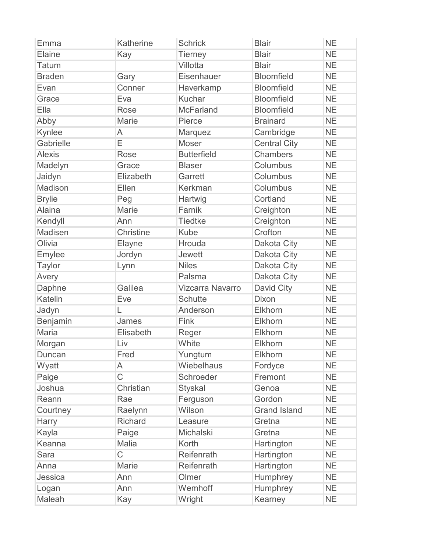| Emma          | Katherine      | <b>Schrick</b>          | <b>Blair</b>        | <b>NE</b> |
|---------------|----------------|-------------------------|---------------------|-----------|
| Elaine        | Kay            | <b>Tierney</b>          | <b>Blair</b>        | <b>NE</b> |
| <b>Tatum</b>  |                | Villotta                | <b>Blair</b>        | <b>NE</b> |
| <b>Braden</b> | Gary           | Eisenhauer              | <b>Bloomfield</b>   | <b>NE</b> |
| Evan          | Conner         | Haverkamp               | <b>Bloomfield</b>   | <b>NE</b> |
| Grace         | Eva            | Kuchar                  | <b>Bloomfield</b>   | <b>NE</b> |
| Ella          | Rose           | <b>McFarland</b>        | <b>Bloomfield</b>   | <b>NE</b> |
| Abby          | <b>Marie</b>   | Pierce                  | <b>Brainard</b>     | <b>NE</b> |
| Kynlee        | A              | Marquez                 | Cambridge           | <b>NE</b> |
| Gabrielle     | E              | <b>Moser</b>            | <b>Central City</b> | <b>NE</b> |
| <b>Alexis</b> | <b>Rose</b>    | <b>Butterfield</b>      | <b>Chambers</b>     | <b>NE</b> |
| Madelyn       | Grace          | <b>Blaser</b>           | Columbus            | <b>NE</b> |
| Jaidyn        | Elizabeth      | Garrett                 | Columbus            | <b>NE</b> |
| Madison       | Ellen          | Kerkman                 | Columbus            | <b>NE</b> |
| <b>Brylie</b> | Peg            | Hartwig                 | Cortland            | <b>NE</b> |
| <b>Alaina</b> | <b>Marie</b>   | Farnik                  | Creighton           | <b>NE</b> |
| Kendyll       | Ann            | <b>Tiedtke</b>          | Creighton           | <b>NE</b> |
| Madisen       | Christine      | <b>Kube</b>             | Crofton             | <b>NE</b> |
| Olivia        | Elayne         | Hrouda                  | Dakota City         | <b>NE</b> |
| Emylee        | Jordyn         | <b>Jewett</b>           | <b>Dakota City</b>  | <b>NE</b> |
| <b>Taylor</b> | Lynn           | <b>Niles</b>            | Dakota City         | <b>NE</b> |
| Avery         |                | Palsma                  | Dakota City         | <b>NE</b> |
| Daphne        | Galilea        | <b>Vizcarra Navarro</b> | David City          | <b>NE</b> |
| Katelin       | Eve            | <b>Schutte</b>          | <b>Dixon</b>        | <b>NE</b> |
| Jadyn         | L              | Anderson                | Elkhorn             | <b>NE</b> |
| Benjamin      | James          | Fink                    | Elkhorn             | <b>NE</b> |
| <b>Maria</b>  | Elisabeth      | Reger                   | Elkhorn             | <b>NE</b> |
| Morgan        | Liv            | White                   | Elkhorn             | <b>NE</b> |
| Duncan        | Fred           | Yungtum                 | Elkhorn             | <b>NE</b> |
| Wyatt         | A              | Wiebelhaus              | Fordyce             | <b>NE</b> |
| Paige         | $\overline{C}$ | Schroeder               | Fremont             | <b>NE</b> |
| Joshua        | Christian      | <b>Styskal</b>          | Genoa               | <b>NE</b> |
| Reann         | Rae            | Ferguson                | Gordon              | <b>NE</b> |
| Courtney      | Raelynn        | Wilson                  | <b>Grand Island</b> | <b>NE</b> |
| Harry         | <b>Richard</b> | Leasure                 | Gretna              | <b>NE</b> |
| Kayla         | Paige          | Michalski               | Gretna              | <b>NE</b> |
| Keanna        | Malia          | Korth                   | Hartington          | <b>NE</b> |
| <b>Sara</b>   | $\overline{C}$ | Reifenrath              | Hartington          | <b>NE</b> |
| Anna          | Marie          | Reifenrath              | Hartington          | <b>NE</b> |
| Jessica       | Ann            | Olmer                   | Humphrey            | <b>NE</b> |
| Logan         | Ann            | Wemhoff                 | Humphrey            | <b>NE</b> |
| Maleah        | Kay            | Wright                  | Kearney             | <b>NE</b> |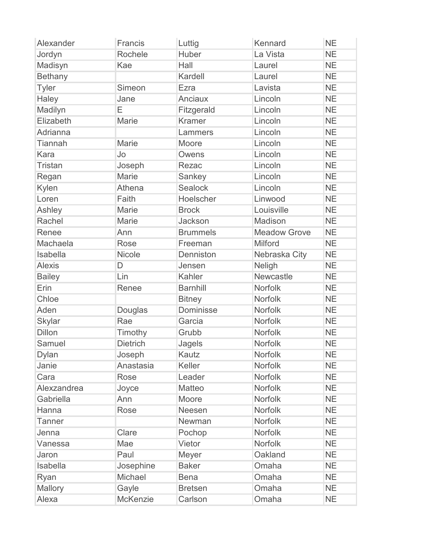| Alexander      | Francis         | Luttig          | Kennard             | <b>NE</b> |
|----------------|-----------------|-----------------|---------------------|-----------|
| Jordyn         | Rochele         | Huber           | La Vista            | <b>NE</b> |
| Madisyn        | Kae             | Hall            | Laurel              | <b>NE</b> |
| <b>Bethany</b> |                 | Kardell         | Laurel              | <b>NE</b> |
| Tyler          | Simeon          | Ezra            | Lavista             | <b>NE</b> |
| Haley          | Jane            | Anciaux         | Lincoln             | <b>NE</b> |
| Madilyn        | E               | Fitzgerald      | Lincoln             | <b>NE</b> |
| Elizabeth      | Marie           | <b>Kramer</b>   | Lincoln             | <b>NE</b> |
| Adrianna       |                 | Lammers         | Lincoln             | <b>NE</b> |
| <b>Tiannah</b> | <b>Marie</b>    | Moore           | Lincoln             | <b>NE</b> |
| Kara           | Jo              | Owens           | Lincoln             | <b>NE</b> |
| <b>Tristan</b> | Joseph          | Rezac           | Lincoln             | <b>NE</b> |
| Regan          | <b>Marie</b>    | Sankey          | Lincoln             | <b>NE</b> |
| Kylen          | Athena          | Sealock         | Lincoln             | <b>NE</b> |
| Loren          | Faith           | Hoelscher       | Linwood             | <b>NE</b> |
| Ashley         | <b>Marie</b>    | <b>Brock</b>    | Louisville          | <b>NE</b> |
| Rachel         | Marie           | Jackson         | Madison             | <b>NE</b> |
| Renee          | Ann             | <b>Brummels</b> | <b>Meadow Grove</b> | <b>NE</b> |
| Machaela       | <b>Rose</b>     | Freeman         | Milford             | <b>NE</b> |
| Isabella       | <b>Nicole</b>   | Denniston       | Nebraska City       | <b>NE</b> |
| <b>Alexis</b>  | D               | Jensen          | Neligh              | <b>NE</b> |
| <b>Bailey</b>  | Lin             | Kahler          | Newcastle           | <b>NE</b> |
| Erin           | Renee           | <b>Barnhill</b> | Norfolk             | <b>NE</b> |
| Chloe          |                 | <b>Bitney</b>   | <b>Norfolk</b>      | <b>NE</b> |
| Aden           | Douglas         | Dominisse       | <b>Norfolk</b>      | <b>NE</b> |
| Skylar         | Rae             | Garcia          | Norfolk             | <b>NE</b> |
| <b>Dillon</b>  | Timothy         | Grubb           | Norfolk             | <b>NE</b> |
| Samuel         | <b>Dietrich</b> | Jagels          | Norfolk             | <b>NE</b> |
| <b>Dylan</b>   | Joseph          | Kautz           | <b>Norfolk</b>      | <b>NE</b> |
| Janie          | Anastasia       | Keller          | Norfolk             | <b>NE</b> |
| Cara           | Rose            | Leader          | <b>Norfolk</b>      | <b>NE</b> |
| Alexzandrea    | Joyce           | Matteo          | <b>Norfolk</b>      | <b>NE</b> |
| Gabriella      | Ann             | Moore           | Norfolk             | <b>NE</b> |
| Hanna          | Rose            | Neesen          | <b>Norfolk</b>      | <b>NE</b> |
| <b>Tanner</b>  |                 | Newman          | <b>Norfolk</b>      | <b>NE</b> |
| Jenna          | Clare           | Pochop          | Norfolk             | <b>NE</b> |
| Vanessa        | Mae             | Vietor          | Norfolk             | <b>NE</b> |
| Jaron          | Paul            | Meyer           | Oakland             | <b>NE</b> |
| Isabella       | Josephine       | <b>Baker</b>    | Omaha               | <b>NE</b> |
| Ryan           | Michael         | <b>Bena</b>     | Omaha               | <b>NE</b> |
| Mallory        | Gayle           | <b>Bretsen</b>  | Omaha               | <b>NE</b> |
| Alexa          | McKenzie        | Carlson         | Omaha               | <b>NE</b> |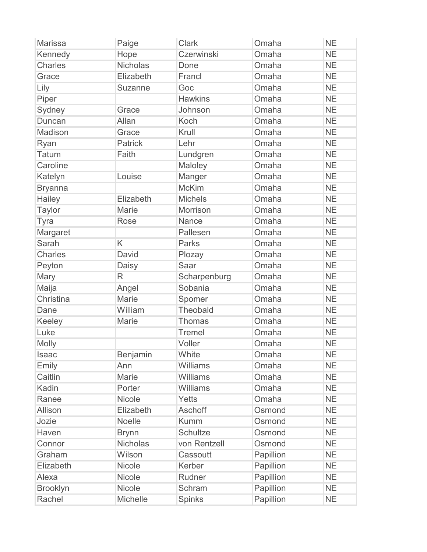| <b>Marissa</b>  | Paige           | <b>Clark</b>    | Omaha     | <b>NE</b> |
|-----------------|-----------------|-----------------|-----------|-----------|
| Kennedy         | Hope            | Czerwinski      | Omaha     | <b>NE</b> |
| <b>Charles</b>  | <b>Nicholas</b> | Done            | Omaha     | <b>NE</b> |
| Grace           | Elizabeth       | Francl          | Omaha     | <b>NE</b> |
| Lily            | <b>Suzanne</b>  | Goc             | Omaha     | <b>NE</b> |
| Piper           |                 | <b>Hawkins</b>  | Omaha     | <b>NE</b> |
| Sydney          | Grace           | Johnson         | Omaha     | <b>NE</b> |
| Duncan          | Allan           | Koch            | Omaha     | <b>NE</b> |
| Madison         | Grace           | Krull           | Omaha     | <b>NE</b> |
| Ryan            | <b>Patrick</b>  | Lehr            | Omaha     | <b>NE</b> |
| <b>Tatum</b>    | Faith           | Lundgren        | Omaha     | <b>NE</b> |
| Caroline        |                 | Maloley         | Omaha     | <b>NE</b> |
| Katelyn         | Louise          | Manger          | Omaha     | <b>NE</b> |
| <b>Bryanna</b>  |                 | <b>McKim</b>    | Omaha     | <b>NE</b> |
| Hailey          | Elizabeth       | <b>Michels</b>  | Omaha     | <b>NE</b> |
| <b>Taylor</b>   | <b>Marie</b>    | Morrison        | Omaha     | <b>NE</b> |
| Tyra            | Rose            | Nance           | Omaha     | <b>NE</b> |
| Margaret        |                 | Pallesen        | Omaha     | <b>NE</b> |
| Sarah           | K               | <b>Parks</b>    | Omaha     | <b>NE</b> |
| <b>Charles</b>  | David           | Plozay          | Omaha     | <b>NE</b> |
| Peyton          | Daisy           | <b>Saar</b>     | Omaha     | <b>NE</b> |
| Mary            | R               | Scharpenburg    | Omaha     | <b>NE</b> |
| Maija           | Angel           | Sobania         | Omaha     | <b>NE</b> |
| Christina       | <b>Marie</b>    | Spomer          | Omaha     | <b>NE</b> |
| Dane            | William         | Theobald        | Omaha     | <b>NE</b> |
| Keeley          | Marie           | <b>Thomas</b>   | Omaha     | <b>NE</b> |
| Luke            |                 | <b>Tremel</b>   | Omaha     | <b>NE</b> |
| Molly           |                 | Voller          | Omaha     | <b>NE</b> |
| <b>Isaac</b>    | <b>Benjamin</b> | White           | Omaha     | <b>NE</b> |
| Emily           | Ann             | Williams        | Omaha     | <b>NE</b> |
| Caitlin         | Marie           | Williams        | Omaha     | <b>NE</b> |
| Kadin           | Porter          | Williams        | Omaha     | <b>NE</b> |
| Ranee           | Nicole          | Yetts           | Omaha     | <b>NE</b> |
| <b>Allison</b>  | Elizabeth       | Aschoff         | Osmond    | <b>NE</b> |
| Jozie           | Noelle          | <b>Kumm</b>     | Osmond    | <b>NE</b> |
| Haven           | <b>Brynn</b>    | <b>Schultze</b> | Osmond    | <b>NE</b> |
| Connor          | <b>Nicholas</b> | von Rentzell    | Osmond    | <b>NE</b> |
| Graham          | Wilson          | Cassoutt        | Papillion | <b>NE</b> |
| Elizabeth       | Nicole          | Kerber          | Papillion | <b>NE</b> |
| Alexa           | Nicole          | Rudner          | Papillion | <b>NE</b> |
| <b>Brooklyn</b> | Nicole          | Schram          | Papillion | <b>NE</b> |
| Rachel          | Michelle        | <b>Spinks</b>   | Papillion | <b>NE</b> |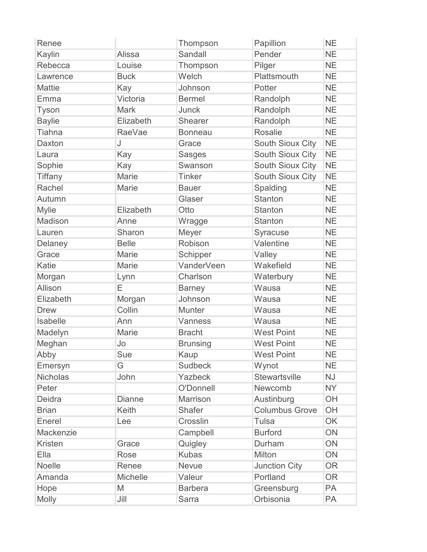| Renee           |                 | Thompson          | Papillion               | <b>NE</b> |
|-----------------|-----------------|-------------------|-------------------------|-----------|
| Kaylin          | <b>Alissa</b>   | Sandall           | Pender                  | <b>NE</b> |
| Rebecca         | Louise          | Thompson          | Pilger                  | <b>NE</b> |
| Lawrence        | <b>Buck</b>     | Welch             | Plattsmouth             | <b>NE</b> |
| <b>Mattie</b>   | Kay             | Johnson           | Potter                  | <b>NE</b> |
| Emma            | Victoria        | <b>Bermel</b>     | Randolph                | <b>NE</b> |
| Tyson           | <b>Mark</b>     | Junck             | Randolph                | <b>NE</b> |
| <b>Baylie</b>   | Elizabeth       | Shearer           | Randolph                | <b>NE</b> |
| <b>Tiahna</b>   | <b>RaeVae</b>   | <b>Bonneau</b>    | <b>Rosalie</b>          | <b>NE</b> |
| <b>Daxton</b>   | J               | Grace             | South Sioux City        | <b>NE</b> |
| Laura           | Kay             | <b>Sasges</b>     | <b>South Sioux City</b> | <b>NE</b> |
| Sophie          | Kay             | Swanson           | South Sioux City        | <b>NE</b> |
| <b>Tiffany</b>  | <b>Marie</b>    | <b>Tinker</b>     | <b>South Sioux City</b> | <b>NE</b> |
| Rachel          | <b>Marie</b>    | <b>Bauer</b>      | Spalding                | <b>NE</b> |
| Autumn          |                 | Glaser            | <b>Stanton</b>          | <b>NE</b> |
| <b>Mylie</b>    | Elizabeth       | Otto              | <b>Stanton</b>          | <b>NE</b> |
| Madison         | Anne            | Wragge            | <b>Stanton</b>          | <b>NE</b> |
| Lauren          | Sharon          | Meyer             | Syracuse                | <b>NE</b> |
| Delaney         | <b>Belle</b>    | Robison           | Valentine               | <b>NE</b> |
| Grace           | <b>Marie</b>    | Schipper          | Valley                  | <b>NE</b> |
| Katie           | <b>Marie</b>    | <b>VanderVeen</b> | Wakefield               | <b>NE</b> |
| Morgan          | Lynn            | Charlson          | Waterbury               | <b>NE</b> |
| Allison         | E               | <b>Barney</b>     | Wausa                   | <b>NE</b> |
| Elizabeth       | Morgan          | Johnson           | Wausa                   | <b>NE</b> |
| <b>Drew</b>     | Collin          | <b>Munter</b>     | Wausa                   | <b>NE</b> |
| Isabelle        | Ann             | Vanness           | Wausa                   | <b>NE</b> |
| Madelyn         | <b>Marie</b>    | <b>Bracht</b>     | <b>West Point</b>       | <b>NE</b> |
| Meghan          | Jo              | <b>Brunsing</b>   | <b>West Point</b>       | <b>NE</b> |
| Abby            | Sue             | Kaup              | <b>West Point</b>       | <b>NE</b> |
| Emersyn         | G               | <b>Sudbeck</b>    | Wynot                   | <b>NE</b> |
| <b>Nicholas</b> | John            | Yazbeck           | <b>Stewartsville</b>    | <b>NJ</b> |
| Peter           |                 | O'Donnell         | Newcomb                 | <b>NY</b> |
| <b>Deidra</b>   | <b>Dianne</b>   | Marrison          | Austinburg              | OH        |
| <b>Brian</b>    | <b>Keith</b>    | <b>Shafer</b>     | <b>Columbus Grove</b>   | OH        |
| Enerel          | Lee             | Crosslin          | <b>Tulsa</b>            | OK        |
| Mackenzie       |                 | Campbell          | <b>Burford</b>          | ON        |
| <b>Kristen</b>  | Grace           | Quigley           | Durham                  | ON        |
| Ella            | Rose            | <b>Kubas</b>      | Milton                  | ON        |
| Noelle          | Renee           | <b>Nevue</b>      | <b>Junction City</b>    | <b>OR</b> |
| Amanda          | <b>Michelle</b> | Valeur            | Portland                | <b>OR</b> |
| Hope            | M               | <b>Barbera</b>    | Greensburg              | PA        |
| <b>Molly</b>    | Jill            | Sarra             | Orbisonia               | PA        |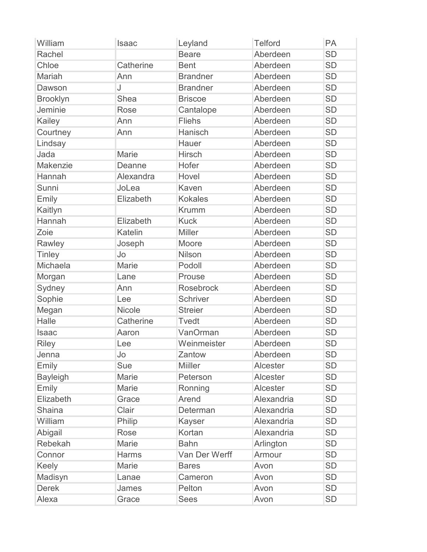| William         | <b>Isaac</b> | Leyland          | <b>Telford</b> | PA        |
|-----------------|--------------|------------------|----------------|-----------|
| Rachel          |              | <b>Beare</b>     | Aberdeen       | <b>SD</b> |
| Chloe           | Catherine    | <b>Bent</b>      | Aberdeen       | <b>SD</b> |
| Mariah          | Ann          | <b>Brandner</b>  | Aberdeen       | <b>SD</b> |
| Dawson          | J            | <b>Brandner</b>  | Aberdeen       | <b>SD</b> |
| <b>Brooklyn</b> | Shea         | <b>Briscoe</b>   | Aberdeen       | <b>SD</b> |
| Jeminie         | Rose         | Cantalope        | Aberdeen       | <b>SD</b> |
| Kailey          | Ann          | <b>Fliehs</b>    | Aberdeen       | <b>SD</b> |
| Courtney        | Ann          | Hanisch          | Aberdeen       | <b>SD</b> |
| Lindsay         |              | Hauer            | Aberdeen       | <b>SD</b> |
| Jada            | Marie        | Hirsch           | Aberdeen       | <b>SD</b> |
| Makenzie        | Deanne       | Hofer            | Aberdeen       | <b>SD</b> |
| Hannah          | Alexandra    | Hovel            | Aberdeen       | <b>SD</b> |
| Sunni           | JoLea        | <b>Kaven</b>     | Aberdeen       | <b>SD</b> |
| Emily           | Elizabeth    | <b>Kokales</b>   | Aberdeen       | <b>SD</b> |
| Kaitlyn         |              | <b>Krumm</b>     | Aberdeen       | <b>SD</b> |
| Hannah          | Elizabeth    | <b>Kuck</b>      | Aberdeen       | <b>SD</b> |
| Zoie            | Katelin      | <b>Miller</b>    | Aberdeen       | <b>SD</b> |
| Rawley          | Joseph       | Moore            | Aberdeen       | <b>SD</b> |
| Tinley          | Jo           | Nilson           | Aberdeen       | <b>SD</b> |
| Michaela        | Marie        | Podoll           | Aberdeen       | <b>SD</b> |
| Morgan          | Lane         | Prouse           | Aberdeen       | <b>SD</b> |
| Sydney          | Ann          | <b>Rosebrock</b> | Aberdeen       | <b>SD</b> |
| Sophie          | Lee          | Schriver         | Aberdeen       | <b>SD</b> |
| Megan           | Nicole       | <b>Streier</b>   | Aberdeen       | <b>SD</b> |
| Halle           | Catherine    | <b>T</b> vedt    | Aberdeen       | <b>SD</b> |
| Isaac           | Aaron        | VanOrman         | Aberdeen       | <b>SD</b> |
| <b>Riley</b>    | Lee          | Weinmeister      | Aberdeen       | <b>SD</b> |
| Jenna           | Jo           | Zantow           | Aberdeen       | <b>SD</b> |
| Emily           | <b>Sue</b>   | <b>Miiller</b>   | Alcester       | <b>SD</b> |
| <b>Bayleigh</b> | Marie        | Peterson         | Alcester       | <b>SD</b> |
| Emily           | Marie        | Ronning          | Alcester       | <b>SD</b> |
| Elizabeth       | Grace        | Arend            | Alexandria     | <b>SD</b> |
| <b>Shaina</b>   | Clair        | Determan         | Alexandria     | <b>SD</b> |
| William         | Philip       | Kayser           | Alexandria     | <b>SD</b> |
| Abigail         | Rose         | Kortan           | Alexandria     | <b>SD</b> |
| Rebekah         | Marie        | <b>Bahn</b>      | Arlington      | <b>SD</b> |
| Connor          | <b>Harms</b> | Van Der Werff    | Armour         | <b>SD</b> |
| <b>Keely</b>    | Marie        | <b>Bares</b>     | Avon           | <b>SD</b> |
| Madisyn         | Lanae        | Cameron          | Avon           | <b>SD</b> |
| <b>Derek</b>    | James        | Pelton           | Avon           | <b>SD</b> |
| Alexa           | Grace        | <b>Sees</b>      | Avon           | <b>SD</b> |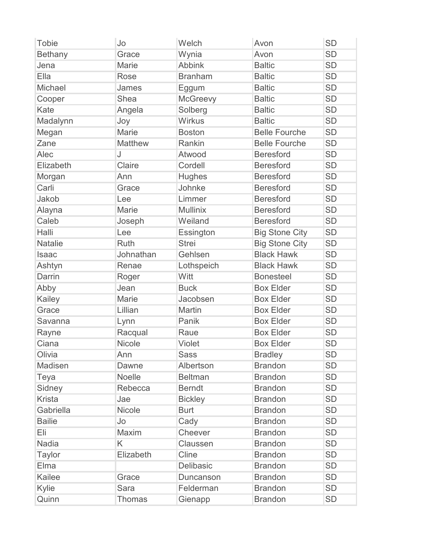| <b>Tobie</b>   | Jo             | Welch           | Avon                  | <b>SD</b> |
|----------------|----------------|-----------------|-----------------------|-----------|
| <b>Bethany</b> | Grace          | Wynia           | Avon                  | <b>SD</b> |
| Jena           | Marie          | <b>Abbink</b>   | <b>Baltic</b>         | <b>SD</b> |
| Ella           | Rose           | <b>Branham</b>  | <b>Baltic</b>         | <b>SD</b> |
| Michael        | James          | Eggum           | <b>Baltic</b>         | <b>SD</b> |
| Cooper         | <b>Shea</b>    | <b>McGreevy</b> | <b>Baltic</b>         | <b>SD</b> |
| Kate           | Angela         | Solberg         | <b>Baltic</b>         | <b>SD</b> |
| Madalynn       | Joy            | <b>Wirkus</b>   | <b>Baltic</b>         | <b>SD</b> |
| Megan          | <b>Marie</b>   | <b>Boston</b>   | <b>Belle Fourche</b>  | <b>SD</b> |
| Zane           | <b>Matthew</b> | Rankin          | <b>Belle Fourche</b>  | <b>SD</b> |
| Alec           | J              | Atwood          | <b>Beresford</b>      | <b>SD</b> |
| Elizabeth      | Claire         | Cordell         | <b>Beresford</b>      | <b>SD</b> |
| Morgan         | Ann            | <b>Hughes</b>   | <b>Beresford</b>      | <b>SD</b> |
| Carli          | Grace          | Johnke          | <b>Beresford</b>      | <b>SD</b> |
| Jakob          | Lee            | Limmer          | <b>Beresford</b>      | <b>SD</b> |
| Alayna         | Marie          | <b>Mullinix</b> | <b>Beresford</b>      | <b>SD</b> |
| Caleb          | Joseph         | Weiland         | <b>Beresford</b>      | <b>SD</b> |
| Halli          | Lee            | Essington       | <b>Big Stone City</b> | <b>SD</b> |
| <b>Natalie</b> | Ruth           | <b>Strei</b>    | <b>Big Stone City</b> | <b>SD</b> |
| Isaac          | Johnathan      | Gehlsen         | <b>Black Hawk</b>     | <b>SD</b> |
| Ashtyn         | Renae          | Lothspeich      | <b>Black Hawk</b>     | <b>SD</b> |
| Darrin         | Roger          | Witt            | <b>Bonesteel</b>      | <b>SD</b> |
| Abby           | Jean           | <b>Buck</b>     | <b>Box Elder</b>      | <b>SD</b> |
| Kailey         | Marie          | Jacobsen        | <b>Box Elder</b>      | <b>SD</b> |
| Grace          | Lillian        | Martin          | <b>Box Elder</b>      | <b>SD</b> |
| Savanna        | Lynn           | Panik           | <b>Box Elder</b>      | <b>SD</b> |
| Rayne          | Racqual        | Raue            | <b>Box Elder</b>      | <b>SD</b> |
| Ciana          | <b>Nicole</b>  | Violet          | <b>Box Elder</b>      | <b>SD</b> |
| Olivia         | Ann            | <b>Sass</b>     | <b>Bradley</b>        | <b>SD</b> |
| Madisen        | Dawne          | Albertson       | <b>Brandon</b>        | <b>SD</b> |
| Teya           | Noelle         | <b>Beltman</b>  | <b>Brandon</b>        | <b>SD</b> |
| Sidney         | Rebecca        | <b>Berndt</b>   | <b>Brandon</b>        | <b>SD</b> |
| <b>Krista</b>  | Jae            | <b>Bickley</b>  | <b>Brandon</b>        | <b>SD</b> |
| Gabriella      | <b>Nicole</b>  | <b>Burt</b>     | <b>Brandon</b>        | <b>SD</b> |
| <b>Bailie</b>  | Jo             | Cady            | <b>Brandon</b>        | <b>SD</b> |
| Eli            | Maxim          | Cheever         | <b>Brandon</b>        | <b>SD</b> |
| <b>Nadia</b>   | K              | Claussen        | <b>Brandon</b>        | <b>SD</b> |
| <b>Taylor</b>  | Elizabeth      | Cline           | <b>Brandon</b>        | <b>SD</b> |
| Elma           |                | Delibasic       | <b>Brandon</b>        | <b>SD</b> |
| Kailee         | Grace          | Duncanson       | <b>Brandon</b>        | <b>SD</b> |
| Kylie          | Sara           | Felderman       | <b>Brandon</b>        | <b>SD</b> |
| Quinn          | <b>Thomas</b>  | Gienapp         | <b>Brandon</b>        | <b>SD</b> |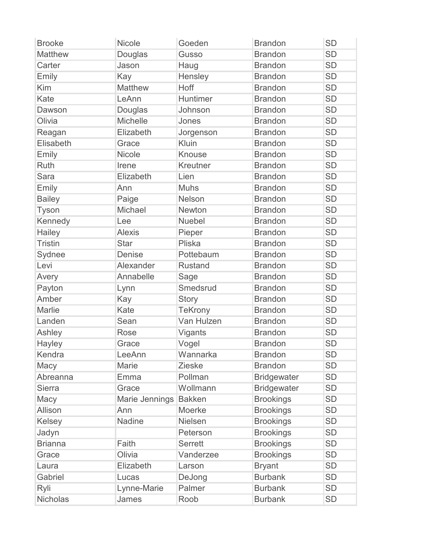| <b>Brooke</b>   | Nicole         | Goeden         | <b>Brandon</b>     | <b>SD</b> |
|-----------------|----------------|----------------|--------------------|-----------|
| <b>Matthew</b>  | Douglas        | Gusso          | <b>Brandon</b>     | <b>SD</b> |
| Carter          | Jason          | Haug           | <b>Brandon</b>     | <b>SD</b> |
| Emily           | Kay            | Hensley        | <b>Brandon</b>     | <b>SD</b> |
| Kim             | <b>Matthew</b> | Hoff           | <b>Brandon</b>     | <b>SD</b> |
| Kate            | LeAnn          | Huntimer       | <b>Brandon</b>     | <b>SD</b> |
| Dawson          | Douglas        | Johnson        | <b>Brandon</b>     | <b>SD</b> |
| Olivia          | Michelle       | Jones          | <b>Brandon</b>     | <b>SD</b> |
| Reagan          | Elizabeth      | Jorgenson      | <b>Brandon</b>     | <b>SD</b> |
| Elisabeth       | Grace          | Kluin          | <b>Brandon</b>     | <b>SD</b> |
| <b>Emily</b>    | Nicole         | <b>Knouse</b>  | <b>Brandon</b>     | <b>SD</b> |
| <b>Ruth</b>     | Irene          | Kreutner       | <b>Brandon</b>     | <b>SD</b> |
| <b>Sara</b>     | Elizabeth      | Lien           | <b>Brandon</b>     | <b>SD</b> |
| Emily           | Ann            | <b>Muhs</b>    | <b>Brandon</b>     | <b>SD</b> |
| <b>Bailey</b>   | Paige          | Nelson         | <b>Brandon</b>     | <b>SD</b> |
| <b>Tyson</b>    | Michael        | Newton         | <b>Brandon</b>     | <b>SD</b> |
| Kennedy         | Lee            | <b>Nuebel</b>  | <b>Brandon</b>     | <b>SD</b> |
| Hailey          | <b>Alexis</b>  | Pieper         | <b>Brandon</b>     | <b>SD</b> |
| <b>Tristin</b>  | <b>Star</b>    | Pliska         | <b>Brandon</b>     | <b>SD</b> |
| Sydnee          | <b>Denise</b>  | Pottebaum      | <b>Brandon</b>     | <b>SD</b> |
| Levi            | Alexander      | <b>Rustand</b> | <b>Brandon</b>     | <b>SD</b> |
| Avery           | Annabelle      | Sage           | <b>Brandon</b>     | <b>SD</b> |
| Payton          | Lynn           | Smedsrud       | <b>Brandon</b>     | <b>SD</b> |
| Amber           | Kay            | <b>Story</b>   | <b>Brandon</b>     | <b>SD</b> |
| Marlie          | Kate           | <b>TeKrony</b> | <b>Brandon</b>     | <b>SD</b> |
| Landen          | Sean           | Van Hulzen     | <b>Brandon</b>     | <b>SD</b> |
| Ashley          | Rose           | Vigants        | <b>Brandon</b>     | <b>SD</b> |
| Hayley          | Grace          | Vogel          | <b>Brandon</b>     | <b>SD</b> |
| Kendra          | LeeAnn         | Wannarka       | <b>Brandon</b>     | <b>SD</b> |
| Macy            | Marie          | <b>Zieske</b>  | <b>Brandon</b>     | <b>SD</b> |
| Abreanna        | Emma           | Pollman        | <b>Bridgewater</b> | <b>SD</b> |
| <b>Sierra</b>   | Grace          | Wollmann       | <b>Bridgewater</b> | <b>SD</b> |
| Macy            | Marie Jennings | <b>Bakken</b>  | <b>Brookings</b>   | <b>SD</b> |
| Allison         | Ann            | Moerke         | <b>Brookings</b>   | <b>SD</b> |
| Kelsey          | Nadine         | Nielsen        | <b>Brookings</b>   | <b>SD</b> |
| Jadyn           |                | Peterson       | <b>Brookings</b>   | <b>SD</b> |
| <b>Brianna</b>  | Faith          | <b>Serrett</b> | <b>Brookings</b>   | <b>SD</b> |
| Grace           | Olivia         | Vanderzee      | <b>Brookings</b>   | <b>SD</b> |
| Laura           | Elizabeth      | Larson         | <b>Bryant</b>      | <b>SD</b> |
| Gabriel         | Lucas          | DeJong         | <b>Burbank</b>     | <b>SD</b> |
| Ryli            | Lynne-Marie    | Palmer         | <b>Burbank</b>     | <b>SD</b> |
| <b>Nicholas</b> | James          | Roob           | <b>Burbank</b>     | <b>SD</b> |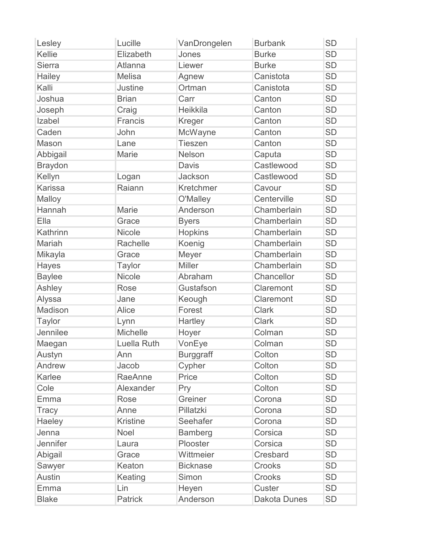| Lesley          | Lucille         | VanDrongelen     | <b>Burbank</b> | <b>SD</b> |
|-----------------|-----------------|------------------|----------------|-----------|
| Kellie          | Elizabeth       | Jones            | <b>Burke</b>   | <b>SD</b> |
| <b>Sierra</b>   | Atlanna         | Liewer           | <b>Burke</b>   | <b>SD</b> |
| Hailey          | <b>Melisa</b>   | Agnew            | Canistota      | <b>SD</b> |
| Kalli           | <b>Justine</b>  | Ortman           | Canistota      | <b>SD</b> |
| Joshua          | <b>Brian</b>    | Carr             | Canton         | <b>SD</b> |
| Joseph          | Craig           | Heikkila         | Canton         | <b>SD</b> |
| Izabel          | Francis         | Kreger           | Canton         | <b>SD</b> |
| Caden           | John            | McWayne          | Canton         | <b>SD</b> |
| Mason           | Lane            | <b>Tieszen</b>   | Canton         | <b>SD</b> |
| Abbigail        | Marie           | Nelson           | Caputa         | <b>SD</b> |
| <b>Braydon</b>  |                 | <b>Davis</b>     | Castlewood     | <b>SD</b> |
| Kellyn          | Logan           | Jackson          | Castlewood     | <b>SD</b> |
| <b>Karissa</b>  | Raiann          | Kretchmer        | Cavour         | <b>SD</b> |
| Malloy          |                 | O'Malley         | Centerville    | <b>SD</b> |
| Hannah          | <b>Marie</b>    | Anderson         | Chamberlain    | <b>SD</b> |
| Ella            | Grace           | <b>Byers</b>     | Chamberlain    | <b>SD</b> |
| Kathrinn        | Nicole          | <b>Hopkins</b>   | Chamberlain    | <b>SD</b> |
| Mariah          | Rachelle        | Koenig           | Chamberlain    | <b>SD</b> |
| Mikayla         | Grace           | Meyer            | Chamberlain    | <b>SD</b> |
| Hayes           | Taylor          | <b>Miller</b>    | Chamberlain    | <b>SD</b> |
| <b>Baylee</b>   | <b>Nicole</b>   | Abraham          | Chancellor     | <b>SD</b> |
| Ashley          | Rose            | Gustafson        | Claremont      | <b>SD</b> |
| Alyssa          | Jane            | Keough           | Claremont      | <b>SD</b> |
| Madison         | Alice           | Forest           | <b>Clark</b>   | <b>SD</b> |
| <b>Taylor</b>   | Lynn            | Hartley          | <b>Clark</b>   | <b>SD</b> |
| Jennilee        | Michelle        | Hoyer            | Colman         | <b>SD</b> |
| Maegan          | Luella Ruth     | VonEye           | Colman         | <b>SD</b> |
| Austyn          | Ann             | <b>Burggraff</b> | Colton         | <b>SD</b> |
| Andrew          | Jacob           | Cypher           | Colton         | <b>SD</b> |
| Karlee          | RaeAnne         | Price            | Colton         | <b>SD</b> |
| Cole            | Alexander       | Pry              | Colton         | <b>SD</b> |
| Emma            | Rose            | Greiner          | Corona         | <b>SD</b> |
| <b>Tracy</b>    | Anne            | Pillatzki        | Corona         | <b>SD</b> |
| Haeley          | <b>Kristine</b> | Seehafer         | Corona         | <b>SD</b> |
| Jenna           | Noel            | <b>Bamberg</b>   | Corsica        | <b>SD</b> |
| <b>Jennifer</b> | Laura           | Plooster         | Corsica        | <b>SD</b> |
| Abigail         | Grace           | Wittmeier        | Cresbard       | <b>SD</b> |
| Sawyer          | Keaton          | <b>Bicknase</b>  | Crooks         | <b>SD</b> |
| <b>Austin</b>   | Keating         | Simon            | Crooks         | <b>SD</b> |
| Emma            | Lin             | Heyen            | Custer         | <b>SD</b> |
| <b>Blake</b>    | <b>Patrick</b>  | Anderson         | Dakota Dunes   | <b>SD</b> |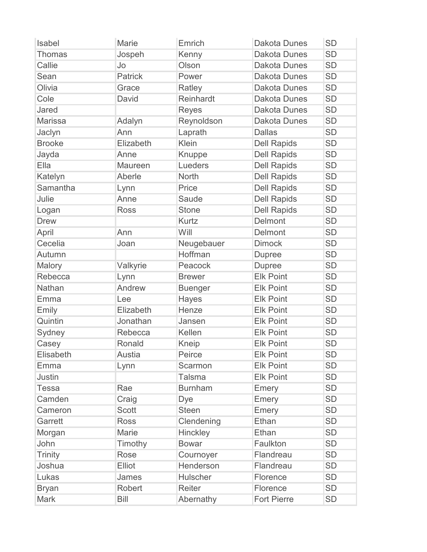| Isabel        | <b>Marie</b>   | Emrich         | <b>Dakota Dunes</b> | <b>SD</b> |
|---------------|----------------|----------------|---------------------|-----------|
| <b>Thomas</b> | Jospeh         | Kenny          | <b>Dakota Dunes</b> | <b>SD</b> |
| Callie        | Jo             | Olson          | <b>Dakota Dunes</b> | <b>SD</b> |
| Sean          | <b>Patrick</b> | Power          | <b>Dakota Dunes</b> | <b>SD</b> |
| Olivia        | Grace          | Ratley         | <b>Dakota Dunes</b> | <b>SD</b> |
| Cole          | David          | Reinhardt      | <b>Dakota Dunes</b> | <b>SD</b> |
| Jared         |                | <b>Reyes</b>   | <b>Dakota Dunes</b> | <b>SD</b> |
| Marissa       | Adalyn         | Reynoldson     | <b>Dakota Dunes</b> | <b>SD</b> |
| Jaclyn        | Ann            | Laprath        | <b>Dallas</b>       | <b>SD</b> |
| <b>Brooke</b> | Elizabeth      | Klein          | <b>Dell Rapids</b>  | <b>SD</b> |
| Jayda         | Anne           | Knuppe         | <b>Dell Rapids</b>  | <b>SD</b> |
| Ella          | <b>Maureen</b> | Lueders        | <b>Dell Rapids</b>  | <b>SD</b> |
| Katelyn       | Aberle         | <b>North</b>   | <b>Dell Rapids</b>  | <b>SD</b> |
| Samantha      | Lynn           | Price          | <b>Dell Rapids</b>  | <b>SD</b> |
| Julie         | Anne           | Saude          | <b>Dell Rapids</b>  | <b>SD</b> |
| Logan         | <b>Ross</b>    | <b>Stone</b>   | <b>Dell Rapids</b>  | <b>SD</b> |
| <b>Drew</b>   |                | <b>Kurtz</b>   | Delmont             | <b>SD</b> |
| April         | Ann            | Will           | Delmont             | <b>SD</b> |
| Cecelia       | Joan           | Neugebauer     | <b>Dimock</b>       | <b>SD</b> |
| Autumn        |                | Hoffman        | <b>Dupree</b>       | <b>SD</b> |
| Malory        | Valkyrie       | Peacock        | <b>Dupree</b>       | <b>SD</b> |
| Rebecca       | Lynn           | <b>Brewer</b>  | <b>Elk Point</b>    | <b>SD</b> |
| Nathan        | Andrew         | <b>Buenger</b> | <b>Elk Point</b>    | <b>SD</b> |
| Emma          | Lee            | Hayes          | <b>Elk Point</b>    | <b>SD</b> |
| Emily         | Elizabeth      | Henze          | <b>Elk Point</b>    | <b>SD</b> |
| Quintin       | Jonathan       | Jansen         | <b>Elk Point</b>    | <b>SD</b> |
| Sydney        | Rebecca        | Kellen         | <b>Elk Point</b>    | <b>SD</b> |
| Casey         | Ronald         | Kneip          | <b>Elk Point</b>    | <b>SD</b> |
| Elisabeth     | Austia         | Peirce         | <b>Elk Point</b>    | <b>SD</b> |
| Emma          | Lynn           | Scarmon        | <b>Elk Point</b>    | <b>SD</b> |
| <b>Justin</b> |                | <b>Talsma</b>  | <b>Elk Point</b>    | <b>SD</b> |
| Tessa         | Rae            | <b>Burnham</b> | Emery               | <b>SD</b> |
| Camden        | Craig          | Dye            | Emery               | <b>SD</b> |
| Cameron       | <b>Scott</b>   | <b>Steen</b>   | Emery               | <b>SD</b> |
| Garrett       | <b>Ross</b>    | Clendening     | Ethan               | <b>SD</b> |
| Morgan        | Marie          | Hinckley       | Ethan               | <b>SD</b> |
| John          | Timothy        | <b>Bowar</b>   | Faulkton            | <b>SD</b> |
| Trinity       | Rose           | Cournoyer      | Flandreau           | <b>SD</b> |
| Joshua        | Elliot         | Henderson      | Flandreau           | <b>SD</b> |
| Lukas         | James          | Hulscher       | Florence            | <b>SD</b> |
| <b>Bryan</b>  | Robert         | Reiter         | Florence            | <b>SD</b> |
| <b>Mark</b>   | <b>Bill</b>    | Abernathy      | <b>Fort Pierre</b>  | <b>SD</b> |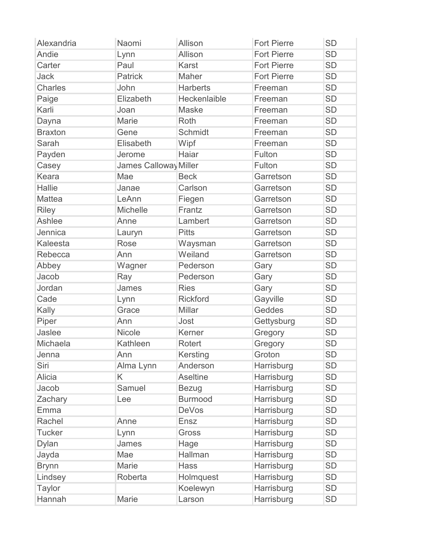| Alexandria     | Naomi                 | Allison         | <b>Fort Pierre</b> | <b>SD</b> |
|----------------|-----------------------|-----------------|--------------------|-----------|
| Andie          | Lynn                  | Allison         | <b>Fort Pierre</b> | <b>SD</b> |
| Carter         | Paul                  | Karst           | <b>Fort Pierre</b> | <b>SD</b> |
| <b>Jack</b>    | <b>Patrick</b>        | Maher           | <b>Fort Pierre</b> | <b>SD</b> |
| <b>Charles</b> | John                  | <b>Harberts</b> | Freeman            | <b>SD</b> |
| Paige          | Elizabeth             | Heckenlaible    | Freeman            | <b>SD</b> |
| Karli          | Joan                  | <b>Maske</b>    | Freeman            | <b>SD</b> |
| Dayna          | Marie                 | Roth            | Freeman            | <b>SD</b> |
| <b>Braxton</b> | Gene                  | Schmidt         | Freeman            | <b>SD</b> |
| Sarah          | Elisabeth             | Wipf            | Freeman            | <b>SD</b> |
| Payden         | Jerome                | Haiar           | Fulton             | <b>SD</b> |
| Casey          | James Calloway Miller |                 | Fulton             | <b>SD</b> |
| Keara          | Mae                   | <b>Beck</b>     | Garretson          | <b>SD</b> |
| Hallie         | Janae                 | Carlson         | Garretson          | <b>SD</b> |
| <b>Mattea</b>  | LeAnn                 | Fiegen          | Garretson          | <b>SD</b> |
| <b>Riley</b>   | Michelle              | Frantz          | Garretson          | <b>SD</b> |
| <b>Ashlee</b>  | Anne                  | Lambert         | Garretson          | <b>SD</b> |
| Jennica        | Lauryn                | <b>Pitts</b>    | Garretson          | <b>SD</b> |
| Kaleesta       | Rose                  | Waysman         | Garretson          | <b>SD</b> |
| Rebecca        | Ann                   | Weiland         | Garretson          | <b>SD</b> |
| Abbey          | Wagner                | Pederson        | Gary               | <b>SD</b> |
| Jacob          | Ray                   | Pederson        | Gary               | <b>SD</b> |
| Jordan         | James                 | <b>Ries</b>     | Gary               | <b>SD</b> |
| Cade           | Lynn                  | <b>Rickford</b> | Gayville           | <b>SD</b> |
| Kally          | Grace                 | <b>Millar</b>   | Geddes             | <b>SD</b> |
| Piper          | Ann                   | Jost            | Gettysburg         | <b>SD</b> |
| Jaslee         | Nicole                | Kerner          | Gregory            | <b>SD</b> |
| Michaela       | Kathleen              | Rotert          | Gregory            | <b>SD</b> |
| Jenna          | Ann                   | Kersting        | Groton             | <b>SD</b> |
| Siri           | Alma Lynn             | Anderson        | Harrisburg         | <b>SD</b> |
| Alicia         | K                     | <b>Aseltine</b> | Harrisburg         | <b>SD</b> |
| Jacob          | Samuel                | <b>Bezug</b>    | Harrisburg         | <b>SD</b> |
| Zachary        | Lee                   | <b>Burmood</b>  | Harrisburg         | <b>SD</b> |
| Emma           |                       | <b>DeVos</b>    | Harrisburg         | <b>SD</b> |
| Rachel         | Anne                  | Ensz            | Harrisburg         | <b>SD</b> |
| <b>Tucker</b>  | Lynn                  | Gross           | Harrisburg         | <b>SD</b> |
| <b>Dylan</b>   | James                 | Hage            | Harrisburg         | SD        |
| Jayda          | Mae                   | Hallman         | Harrisburg         | <b>SD</b> |
| <b>Brynn</b>   | Marie                 | <b>Hass</b>     | Harrisburg         | <b>SD</b> |
| Lindsey        | Roberta               | Holmquest       | Harrisburg         | SD        |
| <b>Taylor</b>  |                       | Koelewyn        | Harrisburg         | <b>SD</b> |
| Hannah         | Marie                 | Larson          | Harrisburg         | <b>SD</b> |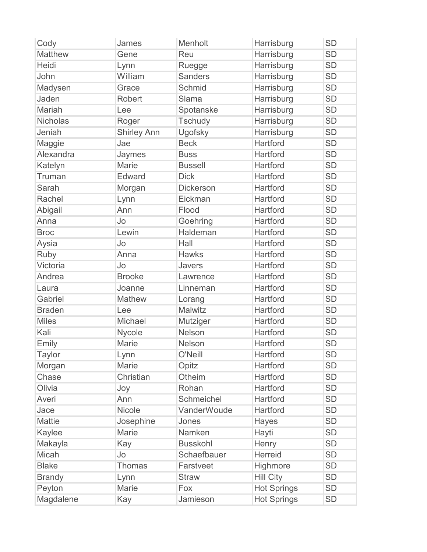| Cody            | James              | Menholt          | Harrisburg         | <b>SD</b> |
|-----------------|--------------------|------------------|--------------------|-----------|
| <b>Matthew</b>  | Gene               | Reu              | Harrisburg         | <b>SD</b> |
| Heidi           | Lynn               | Ruegge           | Harrisburg         | <b>SD</b> |
| John            | William            | <b>Sanders</b>   | Harrisburg         | <b>SD</b> |
| Madysen         | Grace              | Schmid           | Harrisburg         | <b>SD</b> |
| Jaden           | Robert             | Slama            | Harrisburg         | <b>SD</b> |
| Mariah          | Lee                | Spotanske        | Harrisburg         | <b>SD</b> |
| <b>Nicholas</b> | Roger              | Tschudy          | Harrisburg         | <b>SD</b> |
| Jeniah          | <b>Shirley Ann</b> | Ugofsky          | Harrisburg         | <b>SD</b> |
| Maggie          | Jae                | <b>Beck</b>      | Hartford           | <b>SD</b> |
| Alexandra       | Jaymes             | <b>Buss</b>      | Hartford           | <b>SD</b> |
| Katelyn         | <b>Marie</b>       | <b>Bussell</b>   | Hartford           | <b>SD</b> |
| Truman          | Edward             | <b>Dick</b>      | Hartford           | <b>SD</b> |
| Sarah           | Morgan             | <b>Dickerson</b> | Hartford           | <b>SD</b> |
| Rachel          | Lynn               | Eickman          | Hartford           | <b>SD</b> |
| Abigail         | Ann                | Flood            | Hartford           | <b>SD</b> |
| Anna            | Jo                 | Goehring         | <b>Hartford</b>    | <b>SD</b> |
| <b>Broc</b>     | Lewin              | Haldeman         | Hartford           | <b>SD</b> |
| Aysia           | Jo                 | Hall             | Hartford           | <b>SD</b> |
| Ruby            | Anna               | <b>Hawks</b>     | Hartford           | <b>SD</b> |
| Victoria        | Jo                 | Javers           | Hartford           | <b>SD</b> |
| Andrea          | <b>Brooke</b>      | Lawrence         | Hartford           | <b>SD</b> |
| Laura           | Joanne             | Linneman         | Hartford           | <b>SD</b> |
| Gabriel         | Mathew             | Lorang           | Hartford           | <b>SD</b> |
| <b>Braden</b>   | Lee                | Malwitz          | Hartford           | <b>SD</b> |
| <b>Miles</b>    | Michael            | Mutziger         | Hartford           | <b>SD</b> |
| Kali            | Nycole             | <b>Nelson</b>    | Hartford           | <b>SD</b> |
| Emily           | <b>Marie</b>       | <b>Nelson</b>    | Hartford           | <b>SD</b> |
| Taylor          | Lynn               | O'Neill          | <b>Hartford</b>    | <b>SD</b> |
| Morgan          | Marie              | Opitz            | Hartford           | <b>SD</b> |
| Chase           | Christian          | Otheim           | Hartford           | <b>SD</b> |
| Olivia          | Joy                | Rohan            | Hartford           | <b>SD</b> |
| Averi           | Ann                | Schmeichel       | Hartford           | <b>SD</b> |
| Jace            | <b>Nicole</b>      | VanderWoude      | Hartford           | <b>SD</b> |
| Mattie          | Josephine          | Jones            | Hayes              | <b>SD</b> |
| Kaylee          | Marie              | Namken           | Hayti              | <b>SD</b> |
| Makayla         | Kay                | <b>Busskohl</b>  | Henry              | <b>SD</b> |
| Micah           | Jo                 | Schaefbauer      | <b>Herreid</b>     | <b>SD</b> |
| <b>Blake</b>    | Thomas             | Farstveet        | Highmore           | <b>SD</b> |
| <b>Brandy</b>   | Lynn               | <b>Straw</b>     | <b>Hill City</b>   | <b>SD</b> |
| Peyton          | Marie              | Fox              | <b>Hot Springs</b> | <b>SD</b> |
| Magdalene       | Kay                | Jamieson         | <b>Hot Springs</b> | <b>SD</b> |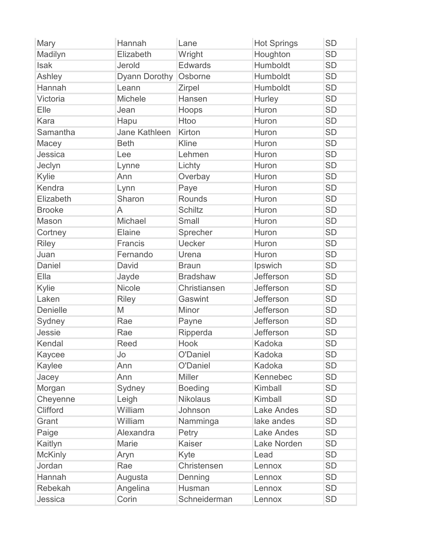| Mary            | Hannah               | Lane            | <b>Hot Springs</b> | <b>SD</b> |
|-----------------|----------------------|-----------------|--------------------|-----------|
| Madilyn         | Elizabeth            | Wright          | Houghton           | <b>SD</b> |
| <b>Isak</b>     | Jerold               | <b>Edwards</b>  | Humboldt           | <b>SD</b> |
| Ashley          | Dyann Dorothy        | Osborne         | Humboldt           | <b>SD</b> |
| Hannah          | Leann                | Zirpel          | Humboldt           | <b>SD</b> |
| Victoria        | Michele              | Hansen          | Hurley             | <b>SD</b> |
| Elle            | Jean                 | Hoops           | Huron              | <b>SD</b> |
| Kara            | Hapu                 | Htoo            | Huron              | <b>SD</b> |
| Samantha        | <b>Jane Kathleen</b> | Kirton          | Huron              | <b>SD</b> |
| Macey           | <b>Beth</b>          | Kline           | Huron              | <b>SD</b> |
| Jessica         | Lee                  | Lehmen          | Huron              | <b>SD</b> |
| Jeclyn          | Lynne                | Lichty          | Huron              | <b>SD</b> |
| Kylie           | Ann                  | Overbay         | Huron              | <b>SD</b> |
| Kendra          | Lynn                 | Paye            | Huron              | <b>SD</b> |
| Elizabeth       | Sharon               | <b>Rounds</b>   | Huron              | <b>SD</b> |
| <b>Brooke</b>   | A                    | <b>Schiltz</b>  | Huron              | <b>SD</b> |
| Mason           | Michael              | <b>Small</b>    | Huron              | <b>SD</b> |
| Cortney         | Elaine               | Sprecher        | Huron              | <b>SD</b> |
| <b>Riley</b>    | Francis              | <b>Uecker</b>   | Huron              | <b>SD</b> |
| Juan            | Fernando             | Urena           | Huron              | <b>SD</b> |
| Daniel          | David                | <b>Braun</b>    | Ipswich            | <b>SD</b> |
| Ella            | Jayde                | <b>Bradshaw</b> | Jefferson          | <b>SD</b> |
| Kylie           | <b>Nicole</b>        | Christiansen    | Jefferson          | <b>SD</b> |
| Laken           | <b>Riley</b>         | Gaswint         | Jefferson          | <b>SD</b> |
| <b>Denielle</b> | M                    | Minor           | Jefferson          | <b>SD</b> |
| Sydney          | Rae                  | Payne           | Jefferson          | <b>SD</b> |
| Jessie          | Rae                  | Ripperda        | Jefferson          | <b>SD</b> |
| Kendal          | Reed                 | Hook            | Kadoka             | <b>SD</b> |
| Kaycee          | Jo                   | O'Daniel        | Kadoka             | <b>SD</b> |
| Kaylee          | Ann                  | O'Daniel        | Kadoka             | <b>SD</b> |
| Jacey           | Ann                  | <b>Miller</b>   | Kennebec           | <b>SD</b> |
| Morgan          | Sydney               | <b>Boeding</b>  | Kimball            | <b>SD</b> |
| Cheyenne        | Leigh                | <b>Nikolaus</b> | Kimball            | <b>SD</b> |
| <b>Clifford</b> | William              | Johnson         | <b>Lake Andes</b>  | <b>SD</b> |
| Grant           | William              | Namminga        | lake andes         | <b>SD</b> |
| Paige           | Alexandra            | Petry           | <b>Lake Andes</b>  | <b>SD</b> |
| Kaitlyn         | Marie                | <b>Kaiser</b>   | Lake Norden        | SD        |
| <b>McKinly</b>  | Aryn                 | Kyte            | Lead               | <b>SD</b> |
| Jordan          | Rae                  | Christensen     | Lennox             | <b>SD</b> |
| Hannah          | Augusta              | Denning         | Lennox             | SD        |
| Rebekah         | Angelina             | Husman          | Lennox             | <b>SD</b> |
| Jessica         | Corin                | Schneiderman    | Lennox             | <b>SD</b> |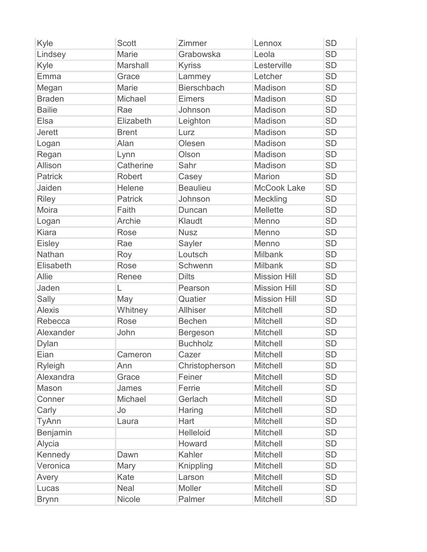| Kyle           | <b>Scott</b>    | Zimmer             | Lennox              | <b>SD</b> |
|----------------|-----------------|--------------------|---------------------|-----------|
| Lindsey        | <b>Marie</b>    | Grabowska          | Leola               | <b>SD</b> |
| Kyle           | <b>Marshall</b> | <b>Kyriss</b>      | Lesterville         | <b>SD</b> |
| Emma           | Grace           | Lammey             | Letcher             | <b>SD</b> |
| Megan          | <b>Marie</b>    | <b>Bierschbach</b> | Madison             | <b>SD</b> |
| <b>Braden</b>  | Michael         | <b>Eimers</b>      | Madison             | <b>SD</b> |
| <b>Bailie</b>  | Rae             | Johnson            | Madison             | <b>SD</b> |
| Elsa           | Elizabeth       | Leighton           | Madison             | <b>SD</b> |
| <b>Jerett</b>  | <b>Brent</b>    | Lurz               | Madison             | <b>SD</b> |
| Logan          | Alan            | Olesen             | Madison             | <b>SD</b> |
| Regan          | Lynn            | Olson              | Madison             | <b>SD</b> |
| Allison        | Catherine       | Sahr               | Madison             | <b>SD</b> |
| <b>Patrick</b> | Robert          | Casey              | <b>Marion</b>       | <b>SD</b> |
| Jaiden         | Helene          | <b>Beaulieu</b>    | <b>McCook Lake</b>  | <b>SD</b> |
| <b>Riley</b>   | <b>Patrick</b>  | Johnson            | Meckling            | <b>SD</b> |
| Moira          | Faith           | Duncan             | <b>Mellette</b>     | <b>SD</b> |
| Logan          | <b>Archie</b>   | Klaudt             | Menno               | <b>SD</b> |
| <b>Kiara</b>   | <b>Rose</b>     | <b>Nusz</b>        | Menno               | <b>SD</b> |
| <b>Eisley</b>  | Rae             | Sayler             | Menno               | <b>SD</b> |
| Nathan         | Roy             | Loutsch            | <b>Milbank</b>      | <b>SD</b> |
| Elisabeth      | Rose            | Schwenn            | <b>Milbank</b>      | <b>SD</b> |
| <b>Allie</b>   | Renee           | <b>Dilts</b>       | <b>Mission Hill</b> | <b>SD</b> |
| Jaden          | L               | Pearson            | <b>Mission Hill</b> | <b>SD</b> |
| Sally          | May             | Quatier            | <b>Mission Hill</b> | <b>SD</b> |
| <b>Alexis</b>  | Whitney         | <b>Allhiser</b>    | <b>Mitchell</b>     | <b>SD</b> |
| Rebecca        | <b>Rose</b>     | <b>Bechen</b>      | <b>Mitchell</b>     | <b>SD</b> |
| Alexander      | John            | <b>Bergeson</b>    | <b>Mitchell</b>     | <b>SD</b> |
| <b>Dylan</b>   |                 | <b>Buchholz</b>    | <b>Mitchell</b>     | <b>SD</b> |
| Eian           | Cameron         | Cazer              | <b>Mitchell</b>     | <b>SD</b> |
| <b>Ryleigh</b> | Ann             | Christopherson     | <b>Mitchell</b>     | <b>SD</b> |
| Alexandra      | Grace           | Feiner             | <b>Mitchell</b>     | <b>SD</b> |
| Mason          | James           | Ferrie             | <b>Mitchell</b>     | <b>SD</b> |
| Conner         | Michael         | Gerlach            | <b>Mitchell</b>     | <b>SD</b> |
| Carly          | Jo              | Haring             | <b>Mitchell</b>     | <b>SD</b> |
| <b>TyAnn</b>   | Laura           | Hart               | <b>Mitchell</b>     | <b>SD</b> |
| Benjamin       |                 | <b>Helleloid</b>   | Mitchell            | <b>SD</b> |
| Alycia         |                 | Howard             | <b>Mitchell</b>     | <b>SD</b> |
| Kennedy        | Dawn            | Kahler             | <b>Mitchell</b>     | <b>SD</b> |
| Veronica       | Mary            | Knippling          | <b>Mitchell</b>     | <b>SD</b> |
| Avery          | Kate            | Larson             | <b>Mitchell</b>     | <b>SD</b> |
| Lucas          | <b>Neal</b>     | Moller             | <b>Mitchell</b>     | <b>SD</b> |
| <b>Brynn</b>   | Nicole          | Palmer             | <b>Mitchell</b>     | <b>SD</b> |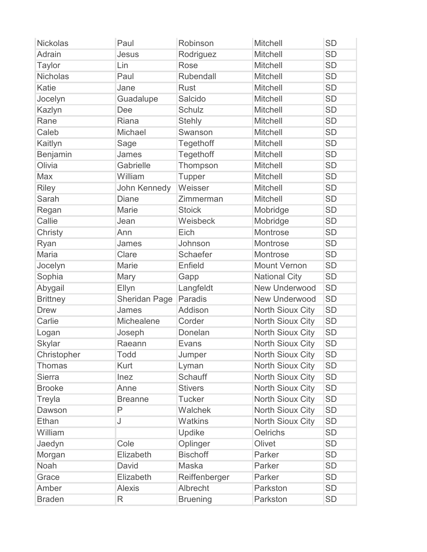| <b>Nickolas</b> | Paul                 | Robinson        | Mitchell                | <b>SD</b> |
|-----------------|----------------------|-----------------|-------------------------|-----------|
| Adrain          | Jesus                | Rodriguez       | <b>Mitchell</b>         | <b>SD</b> |
| <b>Taylor</b>   | Lin                  | Rose            | <b>Mitchell</b>         | <b>SD</b> |
| <b>Nicholas</b> | Paul                 | Rubendall       | <b>Mitchell</b>         | <b>SD</b> |
| Katie           | Jane                 | <b>Rust</b>     | <b>Mitchell</b>         | <b>SD</b> |
| Jocelyn         | Guadalupe            | Salcido         | <b>Mitchell</b>         | <b>SD</b> |
| Kazlyn          | Dee                  | Schulz          | <b>Mitchell</b>         | <b>SD</b> |
| Rane            | Riana                | <b>Stehly</b>   | <b>Mitchell</b>         | <b>SD</b> |
| Caleb           | Michael              | Swanson         | <b>Mitchell</b>         | <b>SD</b> |
| Kaitlyn         | Sage                 | Tegethoff       | <b>Mitchell</b>         | <b>SD</b> |
| Benjamin        | James                | Tegethoff       | <b>Mitchell</b>         | <b>SD</b> |
| Olivia          | Gabrielle            | Thompson        | <b>Mitchell</b>         | <b>SD</b> |
| Max             | William              | <b>Tupper</b>   | <b>Mitchell</b>         | <b>SD</b> |
| <b>Riley</b>    | John Kennedy         | Weisser         | <b>Mitchell</b>         | <b>SD</b> |
| Sarah           | <b>Diane</b>         | Zimmerman       | <b>Mitchell</b>         | <b>SD</b> |
| Regan           | <b>Marie</b>         | <b>Stoick</b>   | Mobridge                | <b>SD</b> |
| Callie          | Jean                 | Weisbeck        | Mobridge                | <b>SD</b> |
| Christy         | Ann                  | Eich            | Montrose                | <b>SD</b> |
| Ryan            | James                | Johnson         | Montrose                | <b>SD</b> |
| Maria           | Clare                | Schaefer        | Montrose                | <b>SD</b> |
| Jocelyn         | Marie                | Enfield         | <b>Mount Vernon</b>     | <b>SD</b> |
| Sophia          | Mary                 | Gapp            | <b>National City</b>    | <b>SD</b> |
| Abygail         | Ellyn                | Langfeldt       | <b>New Underwood</b>    | <b>SD</b> |
| <b>Brittney</b> | <b>Sheridan Page</b> | Paradis         | <b>New Underwood</b>    | <b>SD</b> |
| <b>Drew</b>     | James                | Addison         | <b>North Sioux City</b> | <b>SD</b> |
| Carlie          | Michealene           | Corder          | North Sioux City        | <b>SD</b> |
| Logan           | Joseph               | Donelan         | North Sioux City        | <b>SD</b> |
| <b>Skylar</b>   | Raeann               | Evans           | <b>North Sioux City</b> | <b>SD</b> |
| Christopher     | <b>Todd</b>          | Jumper          | <b>North Sioux City</b> | <b>SD</b> |
| <b>Thomas</b>   | Kurt                 | Lyman           | North Sioux City        | <b>SD</b> |
| <b>Sierra</b>   | Inez                 | Schauff         | North Sioux City        | <b>SD</b> |
| <b>Brooke</b>   | Anne                 | <b>Stivers</b>  | <b>North Sioux City</b> | <b>SD</b> |
| Treyla          | <b>Breanne</b>       | <b>Tucker</b>   | North Sioux City        | <b>SD</b> |
| Dawson          | P                    | Walchek         | <b>North Sioux City</b> | <b>SD</b> |
| Ethan           | J                    | <b>Watkins</b>  | <b>North Sioux City</b> | <b>SD</b> |
| William         |                      | Updike          | <b>Oelrichs</b>         | <b>SD</b> |
| Jaedyn          | Cole                 | Oplinger        | Olivet                  | <b>SD</b> |
| Morgan          | Elizabeth            | <b>Bischoff</b> | Parker                  | <b>SD</b> |
| Noah            | David                | <b>Maska</b>    | Parker                  | <b>SD</b> |
| Grace           | Elizabeth            | Reiffenberger   | Parker                  | <b>SD</b> |
| Amber           | <b>Alexis</b>        | Albrecht        | Parkston                | <b>SD</b> |
| <b>Braden</b>   | R                    | <b>Bruening</b> | Parkston                | <b>SD</b> |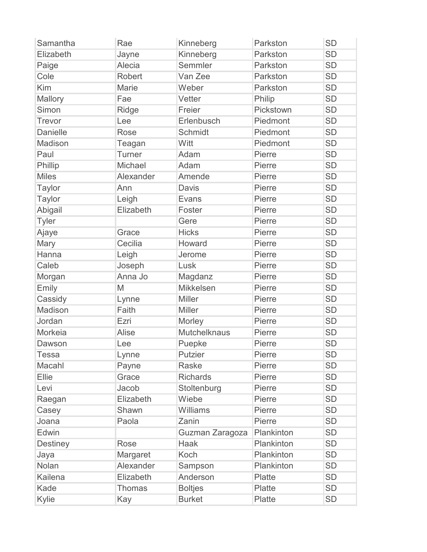| Samantha        | Rae           | Kinneberg           | Parkston      | <b>SD</b> |
|-----------------|---------------|---------------------|---------------|-----------|
| Elizabeth       | Jayne         | Kinneberg           | Parkston      | <b>SD</b> |
| Paige           | Alecia        | Semmler             | Parkston      | <b>SD</b> |
| Cole            | Robert        | Van Zee             | Parkston      | <b>SD</b> |
| Kim             | <b>Marie</b>  | Weber               | Parkston      | <b>SD</b> |
| Mallory         | Fae           | Vetter              | Philip        | <b>SD</b> |
| Simon           | Ridge         | Freier              | Pickstown     | <b>SD</b> |
| <b>Trevor</b>   | Lee           | Erlenbusch          | Piedmont      | <b>SD</b> |
| <b>Danielle</b> | Rose          | Schmidt             | Piedmont      | <b>SD</b> |
| Madison         | Teagan        | Witt                | Piedmont      | <b>SD</b> |
| Paul            | Turner        | Adam                | Pierre        | <b>SD</b> |
| Phillip         | Michael       | Adam                | Pierre        | <b>SD</b> |
| <b>Miles</b>    | Alexander     | Amende              | Pierre        | <b>SD</b> |
| <b>Taylor</b>   | Ann           | <b>Davis</b>        | Pierre        | <b>SD</b> |
| <b>Taylor</b>   | Leigh         | Evans               | Pierre        | <b>SD</b> |
| Abigail         | Elizabeth     | Foster              | Pierre        | <b>SD</b> |
| <b>Tyler</b>    |               | Gere                | Pierre        | <b>SD</b> |
| Ajaye           | Grace         | <b>Hicks</b>        | Pierre        | <b>SD</b> |
| Mary            | Cecilia       | Howard              | Pierre        | <b>SD</b> |
| Hanna           | Leigh         | Jerome              | Pierre        | <b>SD</b> |
| Caleb           | Joseph        | Lusk                | Pierre        | <b>SD</b> |
| Morgan          | Anna Jo       | Magdanz             | Pierre        | <b>SD</b> |
| Emily           | M             | Mikkelsen           | Pierre        | <b>SD</b> |
| Cassidy         | Lynne         | <b>Miller</b>       | Pierre        | <b>SD</b> |
| Madison         | Faith         | <b>Miller</b>       | Pierre        | <b>SD</b> |
| Jordan          | Ezri          | Morley              | Pierre        | <b>SD</b> |
| Morkeia         | Alise         | <b>Mutchelknaus</b> | Pierre        | <b>SD</b> |
| Dawson          | Lee           | Puepke              | Pierre        | <b>SD</b> |
| Tessa           | Lynne         | Putzier             | Pierre        | <b>SD</b> |
| Macahl          | Payne         | <b>Raske</b>        | Pierre        | <b>SD</b> |
| Ellie           | Grace         | <b>Richards</b>     | Pierre        | <b>SD</b> |
| Levi            | Jacob         | Stoltenburg         | Pierre        | <b>SD</b> |
| Raegan          | Elizabeth     | Wiebe               | Pierre        | <b>SD</b> |
| Casey           | Shawn         | Williams            | Pierre        | <b>SD</b> |
| Joana           | Paola         | Zanin               | Pierre        | <b>SD</b> |
| Edwin           |               | Guzman Zaragoza     | Plankinton    | <b>SD</b> |
| <b>Destiney</b> | Rose          | Haak                | Plankinton    | <b>SD</b> |
| Jaya            | Margaret      | Koch                | Plankinton    | <b>SD</b> |
| Nolan           | Alexander     | Sampson             | Plankinton    | <b>SD</b> |
| <b>Kailena</b>  | Elizabeth     | Anderson            | Platte        | <b>SD</b> |
| Kade            | <b>Thomas</b> | <b>Boltjes</b>      | <b>Platte</b> | <b>SD</b> |
| Kylie           | Kay           | <b>Burket</b>       | Platte        | <b>SD</b> |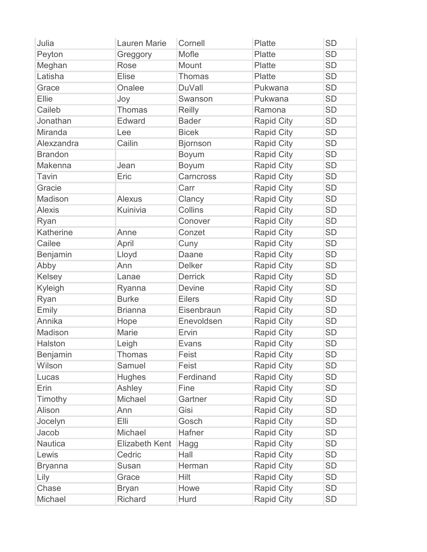| Julia          | <b>Lauren Marie</b>   | Cornell         | Platte            | <b>SD</b> |
|----------------|-----------------------|-----------------|-------------------|-----------|
| Peyton         | Greggory              | Mofle           | <b>Platte</b>     | <b>SD</b> |
| Meghan         | <b>Rose</b>           | Mount           | <b>Platte</b>     | <b>SD</b> |
| Latisha        | <b>Elise</b>          | Thomas          | Platte            | <b>SD</b> |
| Grace          | Onalee                | <b>DuVall</b>   | Pukwana           | <b>SD</b> |
| Ellie          | Joy                   | Swanson         | Pukwana           | <b>SD</b> |
| Caileb         | <b>Thomas</b>         | Reilly          | Ramona            | <b>SD</b> |
| Jonathan       | Edward                | <b>Bader</b>    | <b>Rapid City</b> | <b>SD</b> |
| <b>Miranda</b> | Lee                   | <b>Bicek</b>    | <b>Rapid City</b> | <b>SD</b> |
| Alexzandra     | Cailin                | <b>Bjornson</b> | <b>Rapid City</b> | <b>SD</b> |
| <b>Brandon</b> |                       | Boyum           | <b>Rapid City</b> | <b>SD</b> |
| Makenna        | Jean                  | <b>Boyum</b>    | <b>Rapid City</b> | <b>SD</b> |
| <b>Tavin</b>   | Eric                  | Carncross       | <b>Rapid City</b> | <b>SD</b> |
| Gracie         |                       | Carr            | <b>Rapid City</b> | <b>SD</b> |
| Madison        | <b>Alexus</b>         | Clancy          | <b>Rapid City</b> | <b>SD</b> |
| <b>Alexis</b>  | Kuinivia              | Collins         | <b>Rapid City</b> | <b>SD</b> |
| Ryan           |                       | Conover         | <b>Rapid City</b> | <b>SD</b> |
| Katherine      | Anne                  | Conzet          | <b>Rapid City</b> | <b>SD</b> |
| Cailee         | April                 | Cuny            | <b>Rapid City</b> | <b>SD</b> |
| Benjamin       | Lloyd                 | Daane           | <b>Rapid City</b> | <b>SD</b> |
| Abby           | Ann                   | <b>Delker</b>   | <b>Rapid City</b> | <b>SD</b> |
| Kelsey         | Lanae                 | <b>Derrick</b>  | <b>Rapid City</b> | <b>SD</b> |
| Kyleigh        | Ryanna                | <b>Devine</b>   | <b>Rapid City</b> | <b>SD</b> |
| Ryan           | <b>Burke</b>          | <b>Eilers</b>   | <b>Rapid City</b> | <b>SD</b> |
| Emily          | <b>Brianna</b>        | Eisenbraun      | <b>Rapid City</b> | <b>SD</b> |
| Annika         | Hope                  | Enevoldsen      | <b>Rapid City</b> | <b>SD</b> |
| Madison        | <b>Marie</b>          | Ervin           | <b>Rapid City</b> | <b>SD</b> |
| <b>Halston</b> | Leigh                 | <b>Evans</b>    | <b>Rapid City</b> | <b>SD</b> |
| Benjamin       | <b>Thomas</b>         | Feist           | <b>Rapid City</b> | <b>SD</b> |
| Wilson         | Samuel                | Feist           | <b>Rapid City</b> | <b>SD</b> |
| Lucas          | <b>Hughes</b>         | Ferdinand       | <b>Rapid City</b> | <b>SD</b> |
| Erin           | Ashley                | Fine            | <b>Rapid City</b> | <b>SD</b> |
| Timothy        | Michael               | Gartner         | <b>Rapid City</b> | <b>SD</b> |
| Alison         | Ann                   | Gisi            | <b>Rapid City</b> | <b>SD</b> |
| Jocelyn        | Elli                  | Gosch           | <b>Rapid City</b> | <b>SD</b> |
| Jacob          | Michael               | Hafner          | <b>Rapid City</b> | <b>SD</b> |
| <b>Nautica</b> | <b>Elizabeth Kent</b> | Hagg            | <b>Rapid City</b> | SD        |
| Lewis          | Cedric                | Hall            | <b>Rapid City</b> | <b>SD</b> |
| <b>Bryanna</b> | Susan                 | Herman          | <b>Rapid City</b> | <b>SD</b> |
| Lily           | Grace                 | <b>Hilt</b>     | <b>Rapid City</b> | SD        |
| Chase          | <b>Bryan</b>          | Howe            | <b>Rapid City</b> | <b>SD</b> |
| Michael        | <b>Richard</b>        | Hurd            | <b>Rapid City</b> | <b>SD</b> |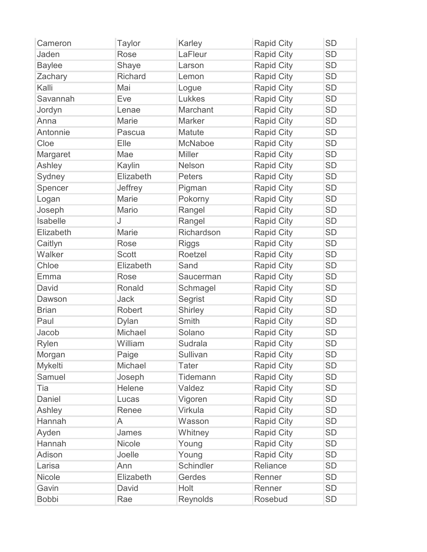| Cameron       | <b>Taylor</b>  | Karley         | <b>Rapid City</b> | <b>SD</b> |
|---------------|----------------|----------------|-------------------|-----------|
| Jaden         | Rose           | LaFleur        | <b>Rapid City</b> | <b>SD</b> |
| <b>Baylee</b> | Shaye          | Larson         | Rapid City        | <b>SD</b> |
| Zachary       | <b>Richard</b> | Lemon          | <b>Rapid City</b> | <b>SD</b> |
| Kalli         | Mai            | Logue          | <b>Rapid City</b> | <b>SD</b> |
| Savannah      | Eve            | Lukkes         | <b>Rapid City</b> | <b>SD</b> |
| Jordyn        | Lenae          | Marchant       | <b>Rapid City</b> | <b>SD</b> |
| Anna          | Marie          | <b>Marker</b>  | <b>Rapid City</b> | <b>SD</b> |
| Antonnie      | Pascua         | Matute         | <b>Rapid City</b> | <b>SD</b> |
| Cloe          | Elle           | McNaboe        | <b>Rapid City</b> | <b>SD</b> |
| Margaret      | Mae            | <b>Miller</b>  | <b>Rapid City</b> | <b>SD</b> |
| Ashley        | Kaylin         | Nelson         | <b>Rapid City</b> | <b>SD</b> |
| Sydney        | Elizabeth      | <b>Peters</b>  | <b>Rapid City</b> | <b>SD</b> |
| Spencer       | Jeffrey        | Pigman         | <b>Rapid City</b> | <b>SD</b> |
| Logan         | <b>Marie</b>   | Pokorny        | <b>Rapid City</b> | <b>SD</b> |
| Joseph        | Mario          | Rangel         | <b>Rapid City</b> | <b>SD</b> |
| Isabelle      | J              | Rangel         | <b>Rapid City</b> | <b>SD</b> |
| Elizabeth     | <b>Marie</b>   | Richardson     | <b>Rapid City</b> | <b>SD</b> |
| Caitlyn       | <b>Rose</b>    | <b>Riggs</b>   | <b>Rapid City</b> | <b>SD</b> |
| Walker        | <b>Scott</b>   | Roetzel        | <b>Rapid City</b> | <b>SD</b> |
| Chloe         | Elizabeth      | Sand           | <b>Rapid City</b> | <b>SD</b> |
| Emma          | <b>Rose</b>    | Saucerman      | <b>Rapid City</b> | <b>SD</b> |
| David         | Ronald         | Schmagel       | <b>Rapid City</b> | <b>SD</b> |
| Dawson        | Jack           | Segrist        | <b>Rapid City</b> | <b>SD</b> |
| <b>Brian</b>  | Robert         | Shirley        | <b>Rapid City</b> | <b>SD</b> |
| Paul          | Dylan          | <b>Smith</b>   | <b>Rapid City</b> | <b>SD</b> |
| Jacob         | Michael        | Solano         | <b>Rapid City</b> | <b>SD</b> |
| Rylen         | William        | <b>Sudrala</b> | <b>Rapid City</b> | <b>SD</b> |
| Morgan        | Paige          | Sullivan       | <b>Rapid City</b> | <b>SD</b> |
| Mykelti       | Michael        | <b>Tater</b>   | <b>Rapid City</b> | <b>SD</b> |
| Samuel        | Joseph         | Tidemann       | <b>Rapid City</b> | <b>SD</b> |
| Tia           | Helene         | Valdez         | <b>Rapid City</b> | <b>SD</b> |
| Daniel        | Lucas          | Vigoren        | <b>Rapid City</b> | <b>SD</b> |
| Ashley        | Renee          | Virkula        | <b>Rapid City</b> | <b>SD</b> |
| Hannah        | A              | Wasson         | <b>Rapid City</b> | <b>SD</b> |
| Ayden         | James          | Whitney        | <b>Rapid City</b> | <b>SD</b> |
| Hannah        | Nicole         | Young          | <b>Rapid City</b> | <b>SD</b> |
| Adison        | Joelle         | Young          | <b>Rapid City</b> | <b>SD</b> |
| Larisa        | Ann            | Schindler      | Reliance          | <b>SD</b> |
| <b>Nicole</b> | Elizabeth      | Gerdes         | Renner            | <b>SD</b> |
| Gavin         | David          | Holt           | Renner            | <b>SD</b> |
| <b>Bobbi</b>  | Rae            | Reynolds       | Rosebud           | <b>SD</b> |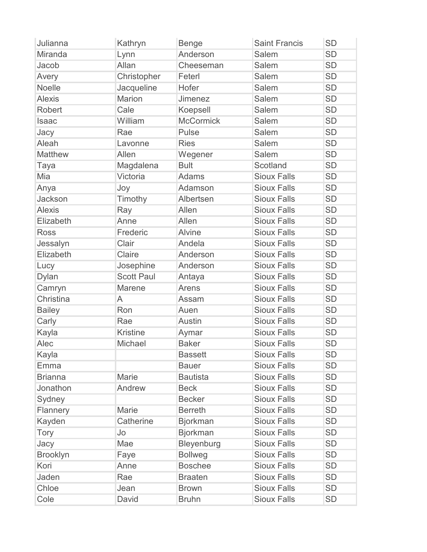| Julianna        | Kathryn           | <b>Benge</b>     | <b>Saint Francis</b> | <b>SD</b> |
|-----------------|-------------------|------------------|----------------------|-----------|
| Miranda         | Lynn              | Anderson         | <b>Salem</b>         | <b>SD</b> |
| Jacob           | Allan             | Cheeseman        | Salem                | <b>SD</b> |
| Avery           | Christopher       | Feterl           | Salem                | <b>SD</b> |
| <b>Noelle</b>   | Jacqueline        | Hofer            | Salem                | <b>SD</b> |
| <b>Alexis</b>   | <b>Marion</b>     | <b>Jimenez</b>   | Salem                | <b>SD</b> |
| Robert          | Cale              | Koepsell         | Salem                | <b>SD</b> |
| Isaac           | William           | <b>McCormick</b> | Salem                | <b>SD</b> |
| Jacy            | Rae               | Pulse            | Salem                | <b>SD</b> |
| Aleah           | Lavonne           | <b>Ries</b>      | Salem                | <b>SD</b> |
| Matthew         | Allen             | Wegener          | Salem                | <b>SD</b> |
| Taya            | Magdalena         | <b>Bult</b>      | Scotland             | <b>SD</b> |
| Mia             | Victoria          | <b>Adams</b>     | <b>Sioux Falls</b>   | <b>SD</b> |
| Anya            | Joy               | Adamson          | <b>Sioux Falls</b>   | <b>SD</b> |
| Jackson         | Timothy           | Albertsen        | <b>Sioux Falls</b>   | <b>SD</b> |
| <b>Alexis</b>   | Ray               | Allen            | <b>Sioux Falls</b>   | <b>SD</b> |
| Elizabeth       | Anne              | Allen            | <b>Sioux Falls</b>   | <b>SD</b> |
| <b>Ross</b>     | Frederic          | <b>Alvine</b>    | <b>Sioux Falls</b>   | <b>SD</b> |
| Jessalyn        | Clair             | Andela           | <b>Sioux Falls</b>   | <b>SD</b> |
| Elizabeth       | Claire            | Anderson         | <b>Sioux Falls</b>   | <b>SD</b> |
| Lucy            | Josephine         | Anderson         | <b>Sioux Falls</b>   | <b>SD</b> |
| Dylan           | <b>Scott Paul</b> | Antaya           | <b>Sioux Falls</b>   | <b>SD</b> |
| Camryn          | Marene            | Arens            | <b>Sioux Falls</b>   | <b>SD</b> |
| Christina       | A                 | Assam            | <b>Sioux Falls</b>   | <b>SD</b> |
| <b>Bailey</b>   | Ron               | Auen             | <b>Sioux Falls</b>   | <b>SD</b> |
| Carly           | Rae               | <b>Austin</b>    | <b>Sioux Falls</b>   | <b>SD</b> |
| Kayla           | <b>Kristine</b>   | Aymar            | <b>Sioux Falls</b>   | <b>SD</b> |
| Alec            | Michael           | <b>Baker</b>     | <b>Sioux Falls</b>   | <b>SD</b> |
| Kayla           |                   | <b>Bassett</b>   | <b>Sioux Falls</b>   | <b>SD</b> |
| Emma            |                   | <b>Bauer</b>     | <b>Sioux Falls</b>   | <b>SD</b> |
| <b>Brianna</b>  | Marie             | <b>Bautista</b>  | <b>Sioux Falls</b>   | <b>SD</b> |
| Jonathon        | Andrew            | <b>Beck</b>      | <b>Sioux Falls</b>   | <b>SD</b> |
| Sydney          |                   | <b>Becker</b>    | <b>Sioux Falls</b>   | <b>SD</b> |
| Flannery        | Marie             | <b>Berreth</b>   | <b>Sioux Falls</b>   | <b>SD</b> |
| Kayden          | Catherine         | <b>Bjorkman</b>  | <b>Sioux Falls</b>   | <b>SD</b> |
| Tory            | Jo                | <b>Bjorkman</b>  | <b>Sioux Falls</b>   | <b>SD</b> |
| Jacy            | Mae               | Bleyenburg       | <b>Sioux Falls</b>   | <b>SD</b> |
| <b>Brooklyn</b> | Faye              | <b>Bollweg</b>   | <b>Sioux Falls</b>   | <b>SD</b> |
| Kori            | Anne              | <b>Boschee</b>   | <b>Sioux Falls</b>   | <b>SD</b> |
| Jaden           | Rae               | <b>Braaten</b>   | <b>Sioux Falls</b>   | <b>SD</b> |
| Chloe           | Jean              | <b>Brown</b>     | <b>Sioux Falls</b>   | <b>SD</b> |
| Cole            | David             | <b>Bruhn</b>     | <b>Sioux Falls</b>   | <b>SD</b> |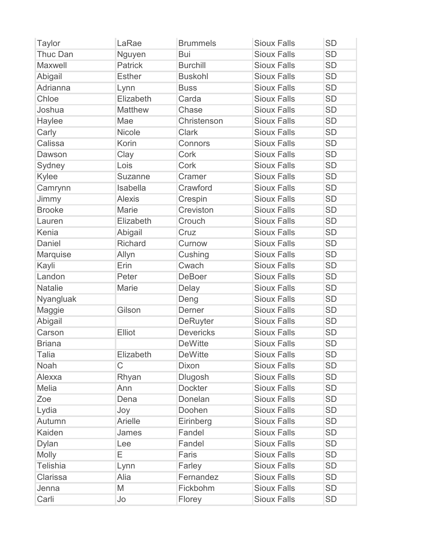| <b>Taylor</b>   | LaRae          | <b>Brummels</b>  | <b>Sioux Falls</b> | <b>SD</b> |
|-----------------|----------------|------------------|--------------------|-----------|
| <b>Thuc Dan</b> | Nguyen         | Bui              | <b>Sioux Falls</b> | <b>SD</b> |
| Maxwell         | <b>Patrick</b> | <b>Burchill</b>  | <b>Sioux Falls</b> | <b>SD</b> |
| Abigail         | <b>Esther</b>  | <b>Buskohl</b>   | <b>Sioux Falls</b> | <b>SD</b> |
| Adrianna        | Lynn           | <b>Buss</b>      | <b>Sioux Falls</b> | <b>SD</b> |
| Chloe           | Elizabeth      | Carda            | <b>Sioux Falls</b> | <b>SD</b> |
| Joshua          | <b>Matthew</b> | Chase            | <b>Sioux Falls</b> | <b>SD</b> |
| Haylee          | Mae            | Christenson      | <b>Sioux Falls</b> | <b>SD</b> |
| Carly           | <b>Nicole</b>  | <b>Clark</b>     | <b>Sioux Falls</b> | <b>SD</b> |
| Calissa         | Korin          | Connors          | <b>Sioux Falls</b> | <b>SD</b> |
| Dawson          | Clay           | Cork             | <b>Sioux Falls</b> | <b>SD</b> |
| Sydney          | Lois           | Cork             | <b>Sioux Falls</b> | <b>SD</b> |
| Kylee           | <b>Suzanne</b> | Cramer           | <b>Sioux Falls</b> | <b>SD</b> |
| Camrynn         | Isabella       | Crawford         | <b>Sioux Falls</b> | <b>SD</b> |
| Jimmy           | <b>Alexis</b>  | Crespin          | <b>Sioux Falls</b> | <b>SD</b> |
| <b>Brooke</b>   | <b>Marie</b>   | Creviston        | <b>Sioux Falls</b> | <b>SD</b> |
| Lauren          | Elizabeth      | Crouch           | <b>Sioux Falls</b> | <b>SD</b> |
| Kenia           | Abigail        | Cruz             | <b>Sioux Falls</b> | <b>SD</b> |
| <b>Daniel</b>   | <b>Richard</b> | Curnow           | <b>Sioux Falls</b> | <b>SD</b> |
| Marquise        | Allyn          | Cushing          | <b>Sioux Falls</b> | <b>SD</b> |
| Kayli           | Erin           | Cwach            | <b>Sioux Falls</b> | <b>SD</b> |
| Landon          | Peter          | <b>DeBoer</b>    | <b>Sioux Falls</b> | <b>SD</b> |
| <b>Natalie</b>  | Marie          | Delay            | <b>Sioux Falls</b> | <b>SD</b> |
| Nyangluak       |                | Deng             | <b>Sioux Falls</b> | <b>SD</b> |
| Maggie          | Gilson         | Derner           | <b>Sioux Falls</b> | <b>SD</b> |
| Abigail         |                | <b>DeRuyter</b>  | <b>Sioux Falls</b> | <b>SD</b> |
| Carson          | Elliot         | <b>Devericks</b> | <b>Sioux Falls</b> | <b>SD</b> |
| <b>Briana</b>   |                | <b>DeWitte</b>   | <b>Sioux Falls</b> | <b>SD</b> |
| Talia           | Elizabeth      | <b>DeWitte</b>   | <b>Sioux Falls</b> | <b>SD</b> |
| Noah            | $\mathsf C$    | Dixon            | <b>Sioux Falls</b> | <b>SD</b> |
| Alexxa          | Rhyan          | <b>Dlugosh</b>   | <b>Sioux Falls</b> | <b>SD</b> |
| <b>Melia</b>    | Ann            | <b>Dockter</b>   | <b>Sioux Falls</b> | <b>SD</b> |
| Zoe             | Dena           | Donelan          | <b>Sioux Falls</b> | <b>SD</b> |
| Lydia           | Joy            | Doohen           | <b>Sioux Falls</b> | <b>SD</b> |
| Autumn          | Arielle        | Eirinberg        | <b>Sioux Falls</b> | <b>SD</b> |
| Kaiden          | James          | Fandel           | <b>Sioux Falls</b> | <b>SD</b> |
| Dylan           | Lee            | Fandel           | <b>Sioux Falls</b> | <b>SD</b> |
| Molly           | E              | Faris            | <b>Sioux Falls</b> | <b>SD</b> |
| <b>Telishia</b> | Lynn           | Farley           | <b>Sioux Falls</b> | <b>SD</b> |
| Clarissa        | Alia           | Fernandez        | <b>Sioux Falls</b> | SD        |
| Jenna           | M              | Fickbohm         | <b>Sioux Falls</b> | <b>SD</b> |
| Carli           | Jo             | Florey           | <b>Sioux Falls</b> | <b>SD</b> |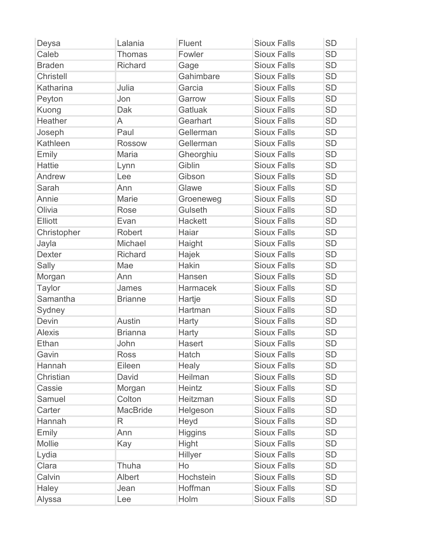| Deysa          | Lalania         | Fluent         | <b>Sioux Falls</b> | <b>SD</b> |
|----------------|-----------------|----------------|--------------------|-----------|
| Caleb          | <b>Thomas</b>   | Fowler         | <b>Sioux Falls</b> | <b>SD</b> |
| <b>Braden</b>  | <b>Richard</b>  | Gage           | <b>Sioux Falls</b> | <b>SD</b> |
| Christell      |                 | Gahimbare      | <b>Sioux Falls</b> | <b>SD</b> |
| Katharina      | Julia           | Garcia         | <b>Sioux Falls</b> | <b>SD</b> |
| Peyton         | Jon             | Garrow         | <b>Sioux Falls</b> | <b>SD</b> |
| Kuong          | Dak             | Gatluak        | <b>Sioux Falls</b> | <b>SD</b> |
| <b>Heather</b> | A               | Gearhart       | <b>Sioux Falls</b> | <b>SD</b> |
| Joseph         | Paul            | Gellerman      | <b>Sioux Falls</b> | <b>SD</b> |
| Kathleen       | <b>Rossow</b>   | Gellerman      | <b>Sioux Falls</b> | <b>SD</b> |
| Emily          | Maria           | Gheorghiu      | <b>Sioux Falls</b> | <b>SD</b> |
| <b>Hattie</b>  | Lynn            | Giblin         | <b>Sioux Falls</b> | <b>SD</b> |
| Andrew         | Lee             | Gibson         | <b>Sioux Falls</b> | <b>SD</b> |
| Sarah          | Ann             | Glawe          | <b>Sioux Falls</b> | <b>SD</b> |
| Annie          | Marie           | Groeneweg      | <b>Sioux Falls</b> | <b>SD</b> |
| Olivia         | Rose            | Gulseth        | <b>Sioux Falls</b> | <b>SD</b> |
| <b>Elliott</b> | Evan            | <b>Hackett</b> | <b>Sioux Falls</b> | <b>SD</b> |
| Christopher    | <b>Robert</b>   | Haiar          | <b>Sioux Falls</b> | <b>SD</b> |
| Jayla          | Michael         | Haight         | <b>Sioux Falls</b> | <b>SD</b> |
| <b>Dexter</b>  | <b>Richard</b>  | Hajek          | <b>Sioux Falls</b> | <b>SD</b> |
| Sally          | Mae             | Hakin          | <b>Sioux Falls</b> | <b>SD</b> |
| Morgan         | Ann             | Hansen         | <b>Sioux Falls</b> | <b>SD</b> |
| <b>Taylor</b>  | James           | Harmacek       | <b>Sioux Falls</b> | <b>SD</b> |
| Samantha       | <b>Brianne</b>  | Hartje         | <b>Sioux Falls</b> | <b>SD</b> |
| Sydney         |                 | Hartman        | <b>Sioux Falls</b> | <b>SD</b> |
| Devin          | <b>Austin</b>   | Harty          | <b>Sioux Falls</b> | <b>SD</b> |
| <b>Alexis</b>  | <b>Brianna</b>  | Harty          | <b>Sioux Falls</b> | <b>SD</b> |
| Ethan          | John            | <b>Hasert</b>  | <b>Sioux Falls</b> | <b>SD</b> |
| Gavin          | <b>Ross</b>     | Hatch          | <b>Sioux Falls</b> | <b>SD</b> |
| Hannah         | Eileen          | Healy          | <b>Sioux Falls</b> | <b>SD</b> |
| Christian      | David           | Heilman        | <b>Sioux Falls</b> | <b>SD</b> |
| Cassie         | Morgan          | Heintz         | <b>Sioux Falls</b> | <b>SD</b> |
| Samuel         | Colton          | Heitzman       | <b>Sioux Falls</b> | <b>SD</b> |
| Carter         | <b>MacBride</b> | Helgeson       | <b>Sioux Falls</b> | <b>SD</b> |
| Hannah         | R               | Heyd           | <b>Sioux Falls</b> | <b>SD</b> |
| Emily          | Ann             | <b>Higgins</b> | <b>Sioux Falls</b> | <b>SD</b> |
| Mollie         | Kay             | Hight          | <b>Sioux Falls</b> | <b>SD</b> |
| Lydia          |                 | Hillyer        | <b>Sioux Falls</b> | <b>SD</b> |
| Clara          | Thuha           | Ho             | <b>Sioux Falls</b> | <b>SD</b> |
| Calvin         | Albert          | Hochstein      | <b>Sioux Falls</b> | SD        |
| Haley          | Jean            | Hoffman        | <b>Sioux Falls</b> | <b>SD</b> |
| Alyssa         | Lee             | Holm           | <b>Sioux Falls</b> | <b>SD</b> |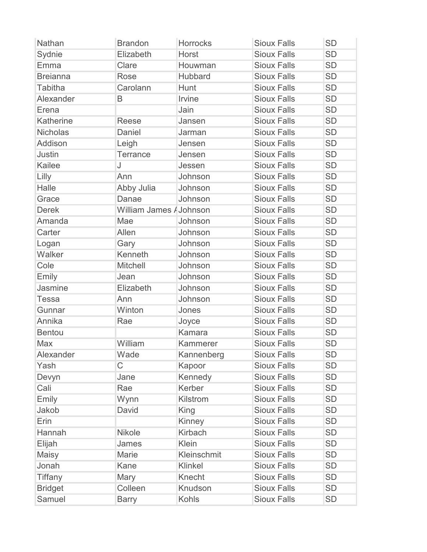| <b>Nathan</b>   | <b>Brandon</b>          | <b>Horrocks</b> | <b>Sioux Falls</b> | <b>SD</b> |
|-----------------|-------------------------|-----------------|--------------------|-----------|
| Sydnie          | Elizabeth               | Horst           | <b>Sioux Falls</b> | <b>SD</b> |
| Emma            | Clare                   | Houwman         | <b>Sioux Falls</b> | <b>SD</b> |
| <b>Breianna</b> | Rose                    | Hubbard         | <b>Sioux Falls</b> | <b>SD</b> |
| <b>Tabitha</b>  | Carolann                | Hunt            | <b>Sioux Falls</b> | <b>SD</b> |
| Alexander       | B                       | Irvine          | <b>Sioux Falls</b> | <b>SD</b> |
| Erena           |                         | Jain            | <b>Sioux Falls</b> | <b>SD</b> |
| Katherine       | Reese                   | Jansen          | <b>Sioux Falls</b> | <b>SD</b> |
| <b>Nicholas</b> | Daniel                  | Jarman          | <b>Sioux Falls</b> | <b>SD</b> |
| Addison         | Leigh                   | Jensen          | <b>Sioux Falls</b> | <b>SD</b> |
| <b>Justin</b>   | Terrance                | Jensen          | <b>Sioux Falls</b> | <b>SD</b> |
| Kailee          | J                       | Jessen          | <b>Sioux Falls</b> | <b>SD</b> |
| Lilly           | Ann                     | Johnson         | <b>Sioux Falls</b> | <b>SD</b> |
| Halle           | Abby Julia              | Johnson         | <b>Sioux Falls</b> | <b>SD</b> |
| Grace           | Danae                   | Johnson         | <b>Sioux Falls</b> | <b>SD</b> |
| <b>Derek</b>    | William James / Johnson |                 | <b>Sioux Falls</b> | <b>SD</b> |
| Amanda          | Mae                     | Johnson         | <b>Sioux Falls</b> | <b>SD</b> |
| Carter          | Allen                   | Johnson         | <b>Sioux Falls</b> | <b>SD</b> |
| Logan           | Gary                    | Johnson         | <b>Sioux Falls</b> | <b>SD</b> |
| Walker          | Kenneth                 | Johnson         | <b>Sioux Falls</b> | <b>SD</b> |
| Cole            | <b>Mitchell</b>         | Johnson         | <b>Sioux Falls</b> | <b>SD</b> |
| Emily           | Jean                    | Johnson         | <b>Sioux Falls</b> | <b>SD</b> |
| Jasmine         | Elizabeth               | Johnson         | <b>Sioux Falls</b> | <b>SD</b> |
| <b>Tessa</b>    | Ann                     | Johnson         | <b>Sioux Falls</b> | <b>SD</b> |
| Gunnar          | Winton                  | Jones           | <b>Sioux Falls</b> | <b>SD</b> |
| Annika          | Rae                     | Joyce           | <b>Sioux Falls</b> | <b>SD</b> |
| <b>Bentou</b>   |                         | Kamara          | <b>Sioux Falls</b> | <b>SD</b> |
| Max             | William                 | Kammerer        | <b>Sioux Falls</b> | <b>SD</b> |
| Alexander       | Wade                    | Kannenberg      | <b>Sioux Falls</b> | <b>SD</b> |
| Yash            | C                       | Kapoor          | <b>Sioux Falls</b> | <b>SD</b> |
| Devyn           | Jane                    | Kennedy         | <b>Sioux Falls</b> | <b>SD</b> |
| Cali            | Rae                     | Kerber          | <b>Sioux Falls</b> | <b>SD</b> |
| Emily           | Wynn                    | Kilstrom        | <b>Sioux Falls</b> | <b>SD</b> |
| Jakob           | David                   | King            | <b>Sioux Falls</b> | <b>SD</b> |
| Erin            |                         | Kinney          | <b>Sioux Falls</b> | <b>SD</b> |
| Hannah          | <b>Nikole</b>           | Kirbach         | <b>Sioux Falls</b> | <b>SD</b> |
| Elijah          | James                   | Klein           | <b>Sioux Falls</b> | <b>SD</b> |
| Maisy           | Marie                   | Kleinschmit     | <b>Sioux Falls</b> | <b>SD</b> |
| Jonah           | Kane                    | Klinkel         | <b>Sioux Falls</b> | <b>SD</b> |
| <b>Tiffany</b>  | Mary                    | Knecht          | <b>Sioux Falls</b> | <b>SD</b> |
| <b>Bridget</b>  | Colleen                 | Knudson         | <b>Sioux Falls</b> | <b>SD</b> |
| Samuel          | <b>Barry</b>            | Kohls           | <b>Sioux Falls</b> | <b>SD</b> |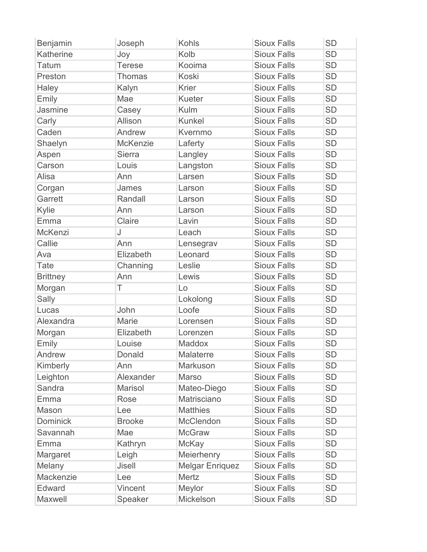| Benjamin        | Joseph          | <b>Kohls</b>           | <b>Sioux Falls</b> | <b>SD</b> |
|-----------------|-----------------|------------------------|--------------------|-----------|
| Katherine       | Joy             | Kolb                   | <b>Sioux Falls</b> | <b>SD</b> |
| <b>Tatum</b>    | <b>Terese</b>   | Kooima                 | <b>Sioux Falls</b> | <b>SD</b> |
| Preston         | <b>Thomas</b>   | <b>Koski</b>           | <b>Sioux Falls</b> | <b>SD</b> |
| Haley           | Kalyn           | <b>Krier</b>           | <b>Sioux Falls</b> | <b>SD</b> |
| Emily           | Mae             | Kueter                 | <b>Sioux Falls</b> | <b>SD</b> |
| Jasmine         | Casey           | Kulm                   | <b>Sioux Falls</b> | <b>SD</b> |
| Carly           | Allison         | <b>Kunkel</b>          | <b>Sioux Falls</b> | <b>SD</b> |
| Caden           | Andrew          | Kvernmo                | <b>Sioux Falls</b> | <b>SD</b> |
| Shaelyn         | <b>McKenzie</b> | Laferty                | <b>Sioux Falls</b> | <b>SD</b> |
| Aspen           | <b>Sierra</b>   | Langley                | <b>Sioux Falls</b> | <b>SD</b> |
| Carson          | Louis           | Langston               | <b>Sioux Falls</b> | <b>SD</b> |
| Alisa           | Ann             | Larsen                 | <b>Sioux Falls</b> | <b>SD</b> |
| Corgan          | James           | Larson                 | <b>Sioux Falls</b> | <b>SD</b> |
| Garrett         | Randall         | Larson                 | <b>Sioux Falls</b> | <b>SD</b> |
| Kylie           | Ann             | Larson                 | <b>Sioux Falls</b> | <b>SD</b> |
| Emma            | Claire          | Lavin                  | <b>Sioux Falls</b> | <b>SD</b> |
| McKenzi         | J               | Leach                  | <b>Sioux Falls</b> | <b>SD</b> |
| Callie          | Ann             | Lensegrav              | <b>Sioux Falls</b> | <b>SD</b> |
| Ava             | Elizabeth       | Leonard                | <b>Sioux Falls</b> | <b>SD</b> |
| Tate            | Channing        | Leslie                 | <b>Sioux Falls</b> | <b>SD</b> |
| <b>Brittney</b> | Ann             | Lewis                  | <b>Sioux Falls</b> | <b>SD</b> |
| Morgan          | T               | Lo                     | <b>Sioux Falls</b> | <b>SD</b> |
| Sally           |                 | Lokolong               | <b>Sioux Falls</b> | <b>SD</b> |
| Lucas           | John            | Loofe                  | <b>Sioux Falls</b> | <b>SD</b> |
| Alexandra       | Marie           | Lorensen               | <b>Sioux Falls</b> | <b>SD</b> |
| Morgan          | Elizabeth       | Lorenzen               | <b>Sioux Falls</b> | <b>SD</b> |
| Emily           | Louise          | Maddox                 | <b>Sioux Falls</b> | <b>SD</b> |
| Andrew          | Donald          | <b>Malaterre</b>       | <b>Sioux Falls</b> | <b>SD</b> |
| Kimberly        | Ann             | Markuson               | <b>Sioux Falls</b> | <b>SD</b> |
| Leighton        | Alexander       | <b>Marso</b>           | <b>Sioux Falls</b> | <b>SD</b> |
| Sandra          | <b>Marisol</b>  | Mateo-Diego            | <b>Sioux Falls</b> | <b>SD</b> |
| Emma            | Rose            | Matrisciano            | <b>Sioux Falls</b> | <b>SD</b> |
| Mason           | Lee             | <b>Matthies</b>        | <b>Sioux Falls</b> | <b>SD</b> |
| <b>Dominick</b> | <b>Brooke</b>   | McClendon              | <b>Sioux Falls</b> | <b>SD</b> |
| Savannah        | Mae             | <b>McGraw</b>          | <b>Sioux Falls</b> | <b>SD</b> |
| Emma            | Kathryn         | <b>McKay</b>           | <b>Sioux Falls</b> | <b>SD</b> |
| Margaret        | Leigh           | Meierhenry             | <b>Sioux Falls</b> | <b>SD</b> |
| Melany          | Jisell          | <b>Melgar Enriquez</b> | <b>Sioux Falls</b> | <b>SD</b> |
| Mackenzie       | Lee             | Mertz                  | <b>Sioux Falls</b> | <b>SD</b> |
| Edward          | Vincent         | Meylor                 | <b>Sioux Falls</b> | <b>SD</b> |
| Maxwell         | Speaker         | Mickelson              | <b>Sioux Falls</b> | <b>SD</b> |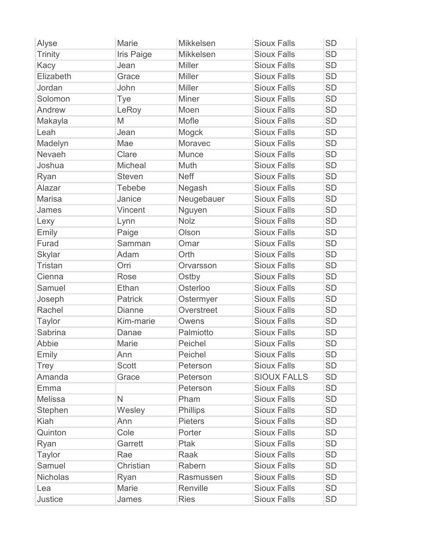| Alyse           | <b>Marie</b>      | <b>Mikkelsen</b> | <b>Sioux Falls</b> | <b>SD</b> |
|-----------------|-------------------|------------------|--------------------|-----------|
| <b>Trinity</b>  | <b>Iris Paige</b> | <b>Mikkelsen</b> | <b>Sioux Falls</b> | <b>SD</b> |
| Kacy            | Jean              | <b>Miller</b>    | <b>Sioux Falls</b> | <b>SD</b> |
| Elizabeth       | Grace             | <b>Miller</b>    | <b>Sioux Falls</b> | <b>SD</b> |
| Jordan          | John              | <b>Miller</b>    | <b>Sioux Falls</b> | <b>SD</b> |
| Solomon         | Tye               | Miner            | <b>Sioux Falls</b> | <b>SD</b> |
| Andrew          | LeRoy             | Moen             | <b>Sioux Falls</b> | <b>SD</b> |
| Makayla         | M                 | Mofle            | <b>Sioux Falls</b> | <b>SD</b> |
| Leah            | Jean              | Mogck            | <b>Sioux Falls</b> | <b>SD</b> |
| Madelyn         | Mae               | Moravec          | <b>Sioux Falls</b> | <b>SD</b> |
| Nevaeh          | Clare             | <b>Munce</b>     | <b>Sioux Falls</b> | <b>SD</b> |
| Joshua          | Micheal           | Muth             | <b>Sioux Falls</b> | <b>SD</b> |
| Ryan            | <b>Steven</b>     | <b>Neff</b>      | <b>Sioux Falls</b> | <b>SD</b> |
| Alazar          | <b>Tebebe</b>     | Negash           | <b>Sioux Falls</b> | <b>SD</b> |
| <b>Marisa</b>   | Janice            | Neugebauer       | <b>Sioux Falls</b> | <b>SD</b> |
| James           | Vincent           | Nguyen           | <b>Sioux Falls</b> | <b>SD</b> |
| Lexy            | Lynn              | <b>Nolz</b>      | <b>Sioux Falls</b> | <b>SD</b> |
| Emily           | Paige             | Olson            | <b>Sioux Falls</b> | <b>SD</b> |
| Furad           | Samman            | Omar             | <b>Sioux Falls</b> | <b>SD</b> |
| <b>Skylar</b>   | Adam              | Orth             | <b>Sioux Falls</b> | <b>SD</b> |
| <b>Tristan</b>  | Orri              | Orvarsson        | <b>Sioux Falls</b> | <b>SD</b> |
| Cienna          | <b>Rose</b>       | Ostby            | <b>Sioux Falls</b> | <b>SD</b> |
| Samuel          | Ethan             | Osterloo         | <b>Sioux Falls</b> | <b>SD</b> |
| Joseph          | <b>Patrick</b>    | Ostermyer        | <b>Sioux Falls</b> | <b>SD</b> |
| Rachel          | <b>Dianne</b>     | Overstreet       | <b>Sioux Falls</b> | <b>SD</b> |
| <b>Taylor</b>   | Kim-marie         | Owens            | <b>Sioux Falls</b> | <b>SD</b> |
| <b>Sabrina</b>  | Danae             | Palmiotto        | <b>Sioux Falls</b> | <b>SD</b> |
| Abbie           | Marie             | Peichel          | <b>Sioux Falls</b> | <b>SD</b> |
| Emily           | Ann               | Peichel          | <b>Sioux Falls</b> | <b>SD</b> |
| <b>Trey</b>     | <b>Scott</b>      | Peterson         | <b>Sioux Falls</b> | <b>SD</b> |
| Amanda          | Grace             | Peterson         | <b>SIOUX FALLS</b> | <b>SD</b> |
| Emma            |                   | Peterson         | <b>Sioux Falls</b> | <b>SD</b> |
| <b>Melissa</b>  | $\mathsf{N}$      | Pham             | <b>Sioux Falls</b> | <b>SD</b> |
| Stephen         | Wesley            | Phillips         | <b>Sioux Falls</b> | <b>SD</b> |
| <b>Kiah</b>     | Ann               | <b>Pieters</b>   | <b>Sioux Falls</b> | <b>SD</b> |
| Quinton         | Cole              | Porter           | <b>Sioux Falls</b> | <b>SD</b> |
| Ryan            | Garrett           | Ptak             | <b>Sioux Falls</b> | <b>SD</b> |
| <b>Taylor</b>   | Rae               | Raak             | <b>Sioux Falls</b> | <b>SD</b> |
| Samuel          | Christian         | Rabern           | <b>Sioux Falls</b> | <b>SD</b> |
| <b>Nicholas</b> | Ryan              | Rasmussen        | <b>Sioux Falls</b> | <b>SD</b> |
| Lea             | Marie             | Renville         | <b>Sioux Falls</b> | <b>SD</b> |
| <b>Justice</b>  | James             | <b>Ries</b>      | <b>Sioux Falls</b> | <b>SD</b> |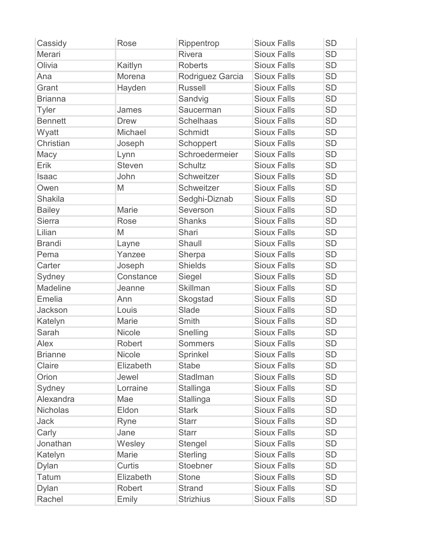| Cassidy         | Rose          | Rippentrop       | <b>Sioux Falls</b> | <b>SD</b> |
|-----------------|---------------|------------------|--------------------|-----------|
| Merari          |               | Rivera           | <b>Sioux Falls</b> | <b>SD</b> |
| Olivia          | Kaitlyn       | <b>Roberts</b>   | <b>Sioux Falls</b> | <b>SD</b> |
| Ana             | Morena        | Rodriguez Garcia | <b>Sioux Falls</b> | <b>SD</b> |
| Grant           | Hayden        | <b>Russell</b>   | <b>Sioux Falls</b> | <b>SD</b> |
| <b>Brianna</b>  |               | Sandvig          | <b>Sioux Falls</b> | <b>SD</b> |
| <b>Tyler</b>    | James         | Saucerman        | <b>Sioux Falls</b> | <b>SD</b> |
| <b>Bennett</b>  | <b>Drew</b>   | <b>Schelhaas</b> | <b>Sioux Falls</b> | <b>SD</b> |
| Wyatt           | Michael       | Schmidt          | <b>Sioux Falls</b> | <b>SD</b> |
| Christian       | Joseph        | Schoppert        | <b>Sioux Falls</b> | <b>SD</b> |
| Macy            | Lynn          | Schroedermeier   | <b>Sioux Falls</b> | <b>SD</b> |
| Erik            | <b>Steven</b> | Schultz          | <b>Sioux Falls</b> | <b>SD</b> |
| <b>Isaac</b>    | John          | Schweitzer       | <b>Sioux Falls</b> | <b>SD</b> |
| Owen            | M             | Schweitzer       | <b>Sioux Falls</b> | <b>SD</b> |
| <b>Shakila</b>  |               | Sedghi-Diznab    | <b>Sioux Falls</b> | <b>SD</b> |
| <b>Bailey</b>   | <b>Marie</b>  | Severson         | <b>Sioux Falls</b> | <b>SD</b> |
| <b>Sierra</b>   | <b>Rose</b>   | <b>Shanks</b>    | <b>Sioux Falls</b> | <b>SD</b> |
| Lilian          | M             | Shari            | <b>Sioux Falls</b> | <b>SD</b> |
| <b>Brandi</b>   | Layne         | Shaull           | <b>Sioux Falls</b> | <b>SD</b> |
| Pema            | Yanzee        | Sherpa           | <b>Sioux Falls</b> | <b>SD</b> |
| Carter          | Joseph        | <b>Shields</b>   | <b>Sioux Falls</b> | <b>SD</b> |
| Sydney          | Constance     | Siegel           | <b>Sioux Falls</b> | <b>SD</b> |
| Madeline        | Jeanne        | <b>Skillman</b>  | <b>Sioux Falls</b> | <b>SD</b> |
| <b>Emelia</b>   | Ann           | Skogstad         | <b>Sioux Falls</b> | <b>SD</b> |
| Jackson         | Louis         | Slade            | <b>Sioux Falls</b> | <b>SD</b> |
| Katelyn         | Marie         | <b>Smith</b>     | <b>Sioux Falls</b> | <b>SD</b> |
| Sarah           | Nicole        | Snelling         | <b>Sioux Falls</b> | <b>SD</b> |
| Alex            | Robert        | <b>Sommers</b>   | <b>Sioux Falls</b> | <b>SD</b> |
| <b>Brianne</b>  | <b>Nicole</b> | Sprinkel         | <b>Sioux Falls</b> | <b>SD</b> |
| Claire          | Elizabeth     | <b>Stabe</b>     | <b>Sioux Falls</b> | <b>SD</b> |
| Orion           | Jewel         | Stadlman         | <b>Sioux Falls</b> | <b>SD</b> |
| Sydney          | Lorraine      | Stallinga        | <b>Sioux Falls</b> | <b>SD</b> |
| Alexandra       | Mae           | Stallinga        | <b>Sioux Falls</b> | <b>SD</b> |
| <b>Nicholas</b> | Eldon         | <b>Stark</b>     | <b>Sioux Falls</b> | <b>SD</b> |
| Jack            | Ryne          | <b>Starr</b>     | <b>Sioux Falls</b> | <b>SD</b> |
| Carly           | Jane          | <b>Starr</b>     | <b>Sioux Falls</b> | <b>SD</b> |
| Jonathan        | Wesley        | Stengel          | <b>Sioux Falls</b> | <b>SD</b> |
| Katelyn         | Marie         | <b>Sterling</b>  | <b>Sioux Falls</b> | <b>SD</b> |
| <b>Dylan</b>    | Curtis        | Stoebner         | <b>Sioux Falls</b> | <b>SD</b> |
| <b>Tatum</b>    | Elizabeth     | <b>Stone</b>     | <b>Sioux Falls</b> | <b>SD</b> |
| <b>Dylan</b>    | Robert        | <b>Strand</b>    | <b>Sioux Falls</b> | <b>SD</b> |
| Rachel          | Emily         | <b>Strizhius</b> | <b>Sioux Falls</b> | <b>SD</b> |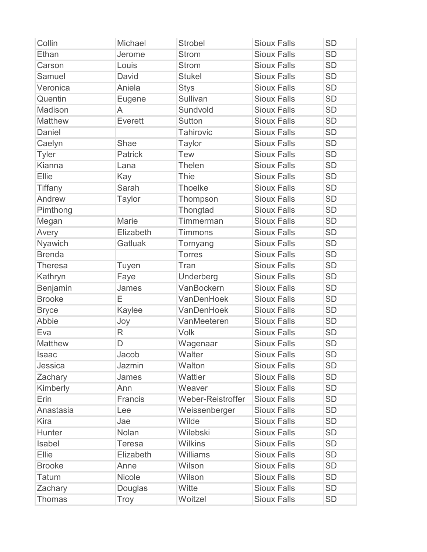| Collin         | Michael        | <b>Strobel</b>    | <b>Sioux Falls</b> | <b>SD</b> |
|----------------|----------------|-------------------|--------------------|-----------|
| Ethan          | Jerome         | <b>Strom</b>      | <b>Sioux Falls</b> | <b>SD</b> |
| Carson         | Louis          | <b>Strom</b>      | <b>Sioux Falls</b> | <b>SD</b> |
| Samuel         | David          | <b>Stukel</b>     | <b>Sioux Falls</b> | <b>SD</b> |
| Veronica       | Aniela         | <b>Stys</b>       | <b>Sioux Falls</b> | <b>SD</b> |
| Quentin        | Eugene         | Sullivan          | <b>Sioux Falls</b> | <b>SD</b> |
| Madison        | A              | Sundvold          | <b>Sioux Falls</b> | <b>SD</b> |
| Matthew        | Everett        | Sutton            | <b>Sioux Falls</b> | <b>SD</b> |
| Daniel         |                | <b>Tahirovic</b>  | <b>Sioux Falls</b> | <b>SD</b> |
| Caelyn         | Shae           | <b>Taylor</b>     | <b>Sioux Falls</b> | <b>SD</b> |
| <b>Tyler</b>   | <b>Patrick</b> | <b>Tew</b>        | <b>Sioux Falls</b> | <b>SD</b> |
| Kianna         | Lana           | Thelen            | <b>Sioux Falls</b> | <b>SD</b> |
| Ellie          | Kay            | <b>Thie</b>       | <b>Sioux Falls</b> | <b>SD</b> |
| <b>Tiffany</b> | Sarah          | <b>Thoelke</b>    | <b>Sioux Falls</b> | <b>SD</b> |
| Andrew         | <b>Taylor</b>  | Thompson          | <b>Sioux Falls</b> | <b>SD</b> |
| Pimthong       |                | Thongtad          | <b>Sioux Falls</b> | <b>SD</b> |
| Megan          | <b>Marie</b>   | Timmerman         | <b>Sioux Falls</b> | <b>SD</b> |
| Avery          | Elizabeth      | <b>Timmons</b>    | <b>Sioux Falls</b> | <b>SD</b> |
| Nyawich        | Gatluak        | Tornyang          | <b>Sioux Falls</b> | <b>SD</b> |
| <b>Brenda</b>  |                | <b>Torres</b>     | <b>Sioux Falls</b> | <b>SD</b> |
| <b>Theresa</b> | Tuyen          | Tran              | <b>Sioux Falls</b> | <b>SD</b> |
| Kathryn        | Faye           | Underberg         | <b>Sioux Falls</b> | <b>SD</b> |
| Benjamin       | James          | VanBockern        | <b>Sioux Falls</b> | <b>SD</b> |
| <b>Brooke</b>  | Ε              | VanDenHoek        | <b>Sioux Falls</b> | <b>SD</b> |
| <b>Bryce</b>   | Kaylee         | VanDenHoek        | <b>Sioux Falls</b> | <b>SD</b> |
| Abbie          | Joy            | VanMeeteren       | <b>Sioux Falls</b> | <b>SD</b> |
| Eva            | $\mathsf{R}$   | Volk              | <b>Sioux Falls</b> | <b>SD</b> |
| <b>Matthew</b> | D              | Wagenaar          | <b>Sioux Falls</b> | <b>SD</b> |
| <b>Isaac</b>   | Jacob          | Walter            | <b>Sioux Falls</b> | <b>SD</b> |
| Jessica        | Jazmin         | Walton            | <b>Sioux Falls</b> | <b>SD</b> |
| Zachary        | James          | Wattier           | <b>Sioux Falls</b> | <b>SD</b> |
| Kimberly       | Ann            | Weaver            | <b>Sioux Falls</b> | <b>SD</b> |
| Erin           | Francis        | Weber-Reistroffer | <b>Sioux Falls</b> | <b>SD</b> |
| Anastasia      | Lee            | Weissenberger     | <b>Sioux Falls</b> | <b>SD</b> |
| <b>Kira</b>    | Jae            | Wilde             | <b>Sioux Falls</b> | <b>SD</b> |
| Hunter         | Nolan          | Wilebski          | <b>Sioux Falls</b> | <b>SD</b> |
| Isabel         | <b>Teresa</b>  | <b>Wilkins</b>    | <b>Sioux Falls</b> | <b>SD</b> |
| Ellie          | Elizabeth      | Williams          | <b>Sioux Falls</b> | <b>SD</b> |
| <b>Brooke</b>  | Anne           | Wilson            | <b>Sioux Falls</b> | <b>SD</b> |
| <b>Tatum</b>   | <b>Nicole</b>  | Wilson            | <b>Sioux Falls</b> | <b>SD</b> |
| Zachary        | Douglas        | Witte             | <b>Sioux Falls</b> | <b>SD</b> |
| Thomas         | Troy           | Woitzel           | <b>Sioux Falls</b> | <b>SD</b> |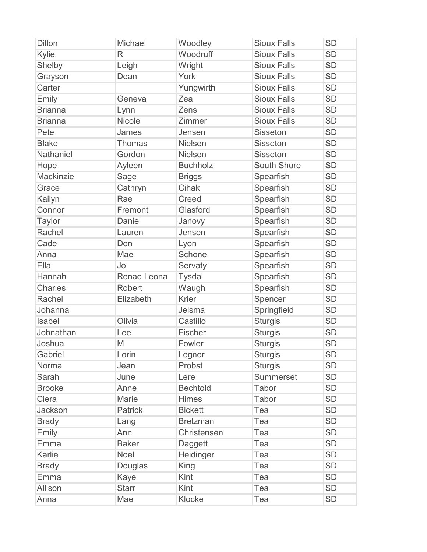| <b>Dillon</b>    | Michael            | Woodley         | <b>Sioux Falls</b> | <b>SD</b> |
|------------------|--------------------|-----------------|--------------------|-----------|
| Kylie            | $\mathsf{R}$       | Woodruff        | <b>Sioux Falls</b> | <b>SD</b> |
| Shelby           | Leigh              | Wright          | <b>Sioux Falls</b> | <b>SD</b> |
| Grayson          | Dean               | York            | <b>Sioux Falls</b> | <b>SD</b> |
| Carter           |                    | Yungwirth       | <b>Sioux Falls</b> | <b>SD</b> |
| Emily            | Geneva             | Zea             | <b>Sioux Falls</b> | <b>SD</b> |
| <b>Brianna</b>   | Lynn               | Zens            | <b>Sioux Falls</b> | <b>SD</b> |
| <b>Brianna</b>   | Nicole             | Zimmer          | <b>Sioux Falls</b> | <b>SD</b> |
| Pete             | James              | Jensen          | <b>Sisseton</b>    | <b>SD</b> |
| <b>Blake</b>     | <b>Thomas</b>      | <b>Nielsen</b>  | <b>Sisseton</b>    | <b>SD</b> |
| <b>Nathaniel</b> | Gordon             | <b>Nielsen</b>  | Sisseton           | <b>SD</b> |
| Hope             | Ayleen             | <b>Buchholz</b> | <b>South Shore</b> | <b>SD</b> |
| Mackinzie        | Sage               | <b>Briggs</b>   | Spearfish          | <b>SD</b> |
| Grace            | Cathryn            | Cihak           | Spearfish          | <b>SD</b> |
| Kailyn           | Rae                | Creed           | Spearfish          | <b>SD</b> |
| Connor           | Fremont            | Glasford        | Spearfish          | <b>SD</b> |
| <b>Taylor</b>    | Daniel             | Janovy          | Spearfish          | <b>SD</b> |
| Rachel           | Lauren             | Jensen          | Spearfish          | <b>SD</b> |
| Cade             | Don                | Lyon            | Spearfish          | <b>SD</b> |
| Anna             | Mae                | Schone          | Spearfish          | <b>SD</b> |
| Ella             | Jo                 | Servaty         | Spearfish          | <b>SD</b> |
| Hannah           | <b>Renae Leona</b> | <b>Tysdal</b>   | Spearfish          | <b>SD</b> |
| <b>Charles</b>   | <b>Robert</b>      | Waugh           | Spearfish          | <b>SD</b> |
| Rachel           | Elizabeth          | <b>Krier</b>    | Spencer            | <b>SD</b> |
| Johanna          |                    | Jelsma          | Springfield        | <b>SD</b> |
| Isabel           | Olivia             | Castillo        | <b>Sturgis</b>     | <b>SD</b> |
| Johnathan        | Lee                | Fischer         | <b>Sturgis</b>     | <b>SD</b> |
| Joshua           | M                  | Fowler          | <b>Sturgis</b>     | <b>SD</b> |
| Gabriel          | Lorin              | Legner          | <b>Sturgis</b>     | <b>SD</b> |
| Norma            | Jean               | Probst          | <b>Sturgis</b>     | <b>SD</b> |
| Sarah            | June               | Lere            | <b>Summerset</b>   | <b>SD</b> |
| <b>Brooke</b>    | Anne               | <b>Bechtold</b> | Tabor              | <b>SD</b> |
| Ciera            | Marie              | <b>Himes</b>    | Tabor              | <b>SD</b> |
| Jackson          | <b>Patrick</b>     | <b>Bickett</b>  | Tea                | <b>SD</b> |
| <b>Brady</b>     | Lang               | <b>Bretzman</b> | Tea                | <b>SD</b> |
| Emily            | Ann                | Christensen     | Tea                | <b>SD</b> |
| Emma             | <b>Baker</b>       | Daggett         | Tea                | <b>SD</b> |
| Karlie           | Noel               | Heidinger       | Tea                | <b>SD</b> |
| <b>Brady</b>     | Douglas            | King            | Tea                | <b>SD</b> |
| Emma             | Kaye               | Kint            | Tea                | <b>SD</b> |
| <b>Allison</b>   | <b>Starr</b>       | Kint            | Tea                | <b>SD</b> |
| Anna             | Mae                | Klocke          | Tea                | <b>SD</b> |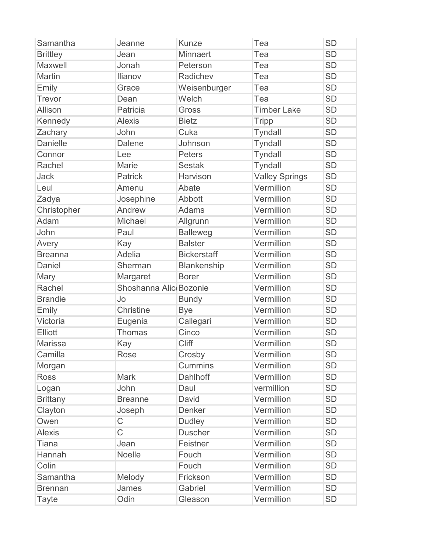| Samantha        | Jeanne                 | <b>Kunze</b>       | Tea                   | <b>SD</b> |
|-----------------|------------------------|--------------------|-----------------------|-----------|
| <b>Brittley</b> | Jean                   | <b>Minnaert</b>    | Tea                   | <b>SD</b> |
| Maxwell         | Jonah                  | Peterson           | Tea                   | <b>SD</b> |
| Martin          | <b>Ilianov</b>         | Radichev           | Tea                   | <b>SD</b> |
| Emily           | Grace                  | Weisenburger       | Tea                   | <b>SD</b> |
| Trevor          | Dean                   | Welch              | Tea                   | <b>SD</b> |
| Allison         | Patricia               | Gross              | <b>Timber Lake</b>    | <b>SD</b> |
| Kennedy         | <b>Alexis</b>          | <b>Bietz</b>       | <b>Tripp</b>          | <b>SD</b> |
| Zachary         | John                   | Cuka               | <b>Tyndall</b>        | <b>SD</b> |
| <b>Danielle</b> | <b>Dalene</b>          | Johnson            | <b>Tyndall</b>        | <b>SD</b> |
| Connor          | Lee                    | <b>Peters</b>      | <b>Tyndall</b>        | <b>SD</b> |
| Rachel          | Marie                  | <b>Sestak</b>      | Tyndall               | <b>SD</b> |
| Jack            | <b>Patrick</b>         | Harvison           | <b>Valley Springs</b> | <b>SD</b> |
| Leul            | Amenu                  | Abate              | Vermillion            | <b>SD</b> |
| Zadya           | Josephine              | Abbott             | Vermillion            | <b>SD</b> |
| Christopher     | Andrew                 | <b>Adams</b>       | Vermillion            | <b>SD</b> |
| Adam            | Michael                | Allgrunn           | Vermillion            | <b>SD</b> |
| John            | Paul                   | <b>Balleweg</b>    | Vermillion            | <b>SD</b> |
| Avery           | Kay                    | <b>Balster</b>     | Vermillion            | <b>SD</b> |
| <b>Breanna</b>  | Adelia                 | <b>Bickerstaff</b> | Vermillion            | <b>SD</b> |
| Daniel          | Sherman                | <b>Blankenship</b> | Vermillion            | <b>SD</b> |
| Mary            | Margaret               | <b>Borer</b>       | Vermillion            | <b>SD</b> |
| Rachel          | Shoshanna Alic Bozonie |                    | Vermillion            | <b>SD</b> |
| <b>Brandie</b>  | Jo                     | <b>Bundy</b>       | Vermillion            | <b>SD</b> |
| Emily           | Christine              | <b>Bye</b>         | Vermillion            | <b>SD</b> |
| Victoria        | Eugenia                | Callegari          | Vermillion            | <b>SD</b> |
| <b>Elliott</b>  | <b>Thomas</b>          | Cinco              | Vermillion            | <b>SD</b> |
| <b>Marissa</b>  | Kay                    | Cliff              | Vermillion            | <b>SD</b> |
| Camilla         | Rose                   | Crosby             | Vermillion            | <b>SD</b> |
| Morgan          |                        | <b>Cummins</b>     | Vermillion            | <b>SD</b> |
| <b>Ross</b>     | <b>Mark</b>            | Dahlhoff           | Vermillion            | <b>SD</b> |
| Logan           | John                   | Daul               | vermillion            | <b>SD</b> |
| <b>Brittany</b> | <b>Breanne</b>         | David              | Vermillion            | <b>SD</b> |
| Clayton         | Joseph                 | Denker             | Vermillion            | <b>SD</b> |
| Owen            | $\mathsf C$            | <b>Dudley</b>      | Vermillion            | <b>SD</b> |
| <b>Alexis</b>   | $\overline{C}$         | <b>Duscher</b>     | Vermillion            | <b>SD</b> |
| <b>Tiana</b>    | Jean                   | Feistner           | Vermillion            | <b>SD</b> |
| Hannah          | Noelle                 | Fouch              | Vermillion            | <b>SD</b> |
| Colin           |                        | Fouch              | Vermillion            | <b>SD</b> |
| Samantha        | Melody                 | Frickson           | Vermillion            | <b>SD</b> |
| <b>Brennan</b>  | James                  | Gabriel            | Vermillion            | <b>SD</b> |
| <b>Tayte</b>    | Odin                   | Gleason            | Vermillion            | <b>SD</b> |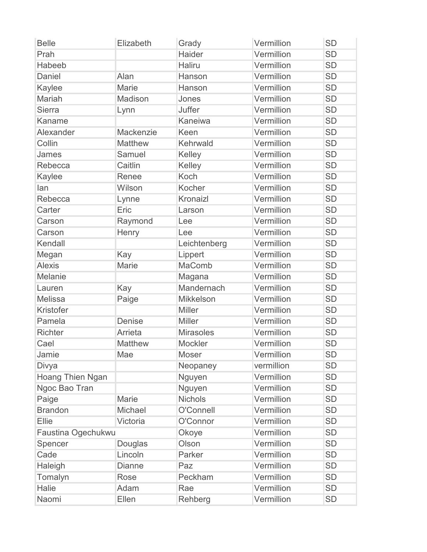| <b>Belle</b>            | Elizabeth      | Grady            | Vermillion | <b>SD</b> |
|-------------------------|----------------|------------------|------------|-----------|
| Prah                    |                | <b>Haider</b>    | Vermillion | <b>SD</b> |
| Habeeb                  |                | <b>Haliru</b>    | Vermillion | <b>SD</b> |
| Daniel                  | Alan           | Hanson           | Vermillion | <b>SD</b> |
| Kaylee                  | <b>Marie</b>   | Hanson           | Vermillion | <b>SD</b> |
| Mariah                  | Madison        | Jones            | Vermillion | <b>SD</b> |
| <b>Sierra</b>           | Lynn           | <b>Juffer</b>    | Vermillion | <b>SD</b> |
| Kaname                  |                | Kaneiwa          | Vermillion | <b>SD</b> |
| Alexander               | Mackenzie      | Keen             | Vermillion | <b>SD</b> |
| Collin                  | Matthew        | Kehrwald         | Vermillion | <b>SD</b> |
| James                   | Samuel         | Kelley           | Vermillion | <b>SD</b> |
| Rebecca                 | Caitlin        | Kelley           | Vermillion | <b>SD</b> |
| Kaylee                  | Renee          | Koch             | Vermillion | <b>SD</b> |
| lan                     | Wilson         | Kocher           | Vermillion | <b>SD</b> |
| Rebecca                 | Lynne          | Kronaizl         | Vermillion | <b>SD</b> |
| Carter                  | Eric           | Larson           | Vermillion | <b>SD</b> |
| Carson                  | Raymond        | Lee              | Vermillion | <b>SD</b> |
| Carson                  | Henry          | Lee              | Vermillion | <b>SD</b> |
| Kendall                 |                | Leichtenberg     | Vermillion | <b>SD</b> |
| Megan                   | Kay            | Lippert          | Vermillion | <b>SD</b> |
| <b>Alexis</b>           | Marie          | <b>MaComb</b>    | Vermillion | <b>SD</b> |
| Melanie                 |                | Magana           | Vermillion | <b>SD</b> |
| Lauren                  | Kay            | Mandernach       | Vermillion | <b>SD</b> |
| Melissa                 | Paige          | Mikkelson        | Vermillion | <b>SD</b> |
| Kristofer               |                | <b>Miller</b>    | Vermillion | <b>SD</b> |
| Pamela                  | <b>Denise</b>  | <b>Miller</b>    | Vermillion | <b>SD</b> |
| <b>Richter</b>          | Arrieta        | <b>Mirasoles</b> | Vermillion | <b>SD</b> |
| Cael                    | <b>Matthew</b> | Mockler          | Vermillion | <b>SD</b> |
| Jamie                   | Mae            | <b>Moser</b>     | Vermillion | <b>SD</b> |
| Divya                   |                | Neopaney         | vermillion | <b>SD</b> |
| <b>Hoang Thien Ngan</b> |                | Nguyen           | Vermillion | <b>SD</b> |
| Ngoc Bao Tran           |                | Nguyen           | Vermillion | <b>SD</b> |
| Paige                   | Marie          | <b>Nichols</b>   | Vermillion | <b>SD</b> |
| <b>Brandon</b>          | Michael        | O'Connell        | Vermillion | <b>SD</b> |
| Ellie                   | Victoria       | O'Connor         | Vermillion | <b>SD</b> |
| Faustina Ogechukwu      |                | Okoye            | Vermillion | <b>SD</b> |
| Spencer                 | Douglas        | Olson            | Vermillion | <b>SD</b> |
| Cade                    | Lincoln        | Parker           | Vermillion | <b>SD</b> |
| Haleigh                 | <b>Dianne</b>  | Paz              | Vermillion | <b>SD</b> |
| Tomalyn                 | Rose           | Peckham          | Vermillion | <b>SD</b> |
| Halie                   | Adam           | Rae              | Vermillion | <b>SD</b> |
| Naomi                   | Ellen          | Rehberg          | Vermillion | <b>SD</b> |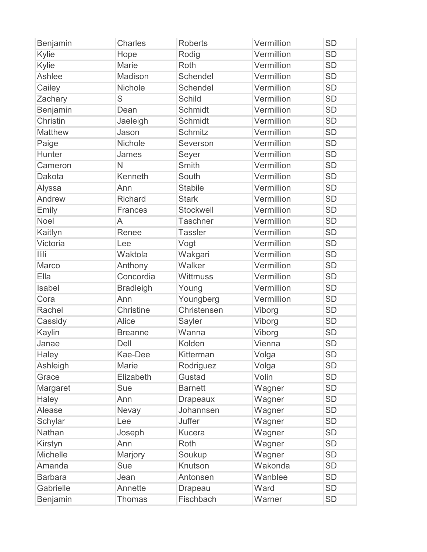| <b>Benjamin</b> | <b>Charles</b>   | <b>Roberts</b>  | Vermillion | <b>SD</b> |
|-----------------|------------------|-----------------|------------|-----------|
| Kylie           | Hope             | Rodig           | Vermillion | <b>SD</b> |
| Kylie           | <b>Marie</b>     | Roth            | Vermillion | <b>SD</b> |
| Ashlee          | Madison          | Schendel        | Vermillion | <b>SD</b> |
| Cailey          | Nichole          | Schendel        | Vermillion | <b>SD</b> |
| Zachary         | S                | <b>Schild</b>   | Vermillion | <b>SD</b> |
| Benjamin        | Dean             | Schmidt         | Vermillion | <b>SD</b> |
| Christin        | Jaeleigh         | Schmidt         | Vermillion | <b>SD</b> |
| <b>Matthew</b>  | Jason            | Schmitz         | Vermillion | <b>SD</b> |
| Paige           | Nichole          | Severson        | Vermillion | <b>SD</b> |
| Hunter          | James            | Seyer           | Vermillion | <b>SD</b> |
| Cameron         | N                | Smith           | Vermillion | <b>SD</b> |
| Dakota          | Kenneth          | South           | Vermillion | <b>SD</b> |
| Alyssa          | Ann              | <b>Stabile</b>  | Vermillion | <b>SD</b> |
| Andrew          | <b>Richard</b>   | <b>Stark</b>    | Vermillion | <b>SD</b> |
| Emily           | <b>Frances</b>   | Stockwell       | Vermillion | <b>SD</b> |
| <b>Noel</b>     | A                | <b>Taschner</b> | Vermillion | <b>SD</b> |
| Kaitlyn         | Renee            | <b>Tassler</b>  | Vermillion | <b>SD</b> |
| Victoria        | Lee              | Vogt            | Vermillion | <b>SD</b> |
| <b>Ilili</b>    | Waktola          | Wakgari         | Vermillion | <b>SD</b> |
| Marco           | Anthony          | Walker          | Vermillion | <b>SD</b> |
| Ella            | Concordia        | Wittmuss        | Vermillion | <b>SD</b> |
| Isabel          | <b>Bradleigh</b> | Young           | Vermillion | <b>SD</b> |
| Cora            | Ann              | Youngberg       | Vermillion | <b>SD</b> |
| Rachel          | <b>Christine</b> | Christensen     | Viborg     | <b>SD</b> |
| Cassidy         | Alice            | Sayler          | Viborg     | <b>SD</b> |
| Kaylin          | <b>Breanne</b>   | Wanna           | Viborg     | <b>SD</b> |
| Janae           | Dell             | Kolden          | Vienna     | <b>SD</b> |
| Haley           | Kae-Dee          | Kitterman       | Volga      | <b>SD</b> |
| Ashleigh        | Marie            | Rodriguez       | Volga      | <b>SD</b> |
| Grace           | Elizabeth        | Gustad          | Volin      | <b>SD</b> |
| Margaret        | Sue              | <b>Barnett</b>  | Wagner     | <b>SD</b> |
| Haley           | Ann              | <b>Drapeaux</b> | Wagner     | <b>SD</b> |
| Alease          | Nevay            | Johannsen       | Wagner     | <b>SD</b> |
| Schylar         | Lee              | Juffer          | Wagner     | <b>SD</b> |
| Nathan          | Joseph           | <b>Kucera</b>   | Wagner     | <b>SD</b> |
| Kirstyn         | Ann              | Roth            | Wagner     | <b>SD</b> |
| Michelle        | Marjory          | Soukup          | Wagner     | <b>SD</b> |
| Amanda          | Sue              | Knutson         | Wakonda    | <b>SD</b> |
| <b>Barbara</b>  | Jean             | Antonsen        | Wanblee    | <b>SD</b> |
| Gabrielle       | Annette          | Drapeau         | Ward       | <b>SD</b> |
| Benjamin        | <b>Thomas</b>    | Fischbach       | Warner     | <b>SD</b> |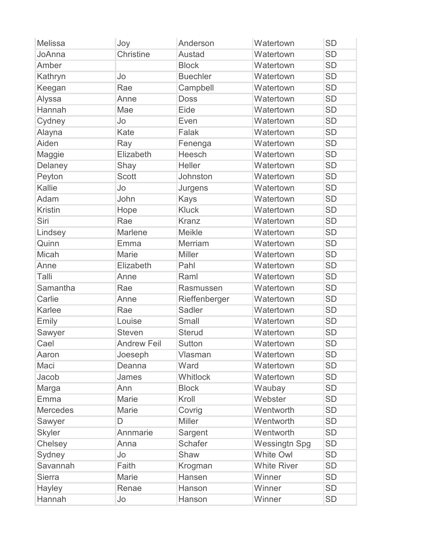| <b>Melissa</b>  | Joy                | Anderson        | Watertown            | <b>SD</b> |
|-----------------|--------------------|-----------------|----------------------|-----------|
| JoAnna          | <b>Christine</b>   | <b>Austad</b>   | Watertown            | <b>SD</b> |
| Amber           |                    | <b>Block</b>    | Watertown            | <b>SD</b> |
| Kathryn         | Jo                 | <b>Buechler</b> | Watertown            | <b>SD</b> |
| Keegan          | Rae                | Campbell        | Watertown            | <b>SD</b> |
| Alyssa          | Anne               | <b>Doss</b>     | Watertown            | <b>SD</b> |
| Hannah          | Mae                | Eide            | Watertown            | <b>SD</b> |
| Cydney          | Jo                 | Even            | Watertown            | <b>SD</b> |
| Alayna          | Kate               | Falak           | Watertown            | <b>SD</b> |
| Aiden           | Ray                | Fenenga         | Watertown            | <b>SD</b> |
| Maggie          | Elizabeth          | Heesch          | Watertown            | <b>SD</b> |
| Delaney         | Shay               | Heller          | Watertown            | <b>SD</b> |
| Peyton          | <b>Scott</b>       | Johnston        | Watertown            | <b>SD</b> |
| Kallie          | Jo                 | Jurgens         | Watertown            | <b>SD</b> |
| Adam            | John               | <b>Kays</b>     | Watertown            | <b>SD</b> |
| <b>Kristin</b>  | Hope               | <b>Kluck</b>    | Watertown            | <b>SD</b> |
| Siri            | Rae                | <b>Kranz</b>    | Watertown            | <b>SD</b> |
| Lindsey         | Marlene            | <b>Meikle</b>   | Watertown            | <b>SD</b> |
| Quinn           | Emma               | Merriam         | Watertown            | <b>SD</b> |
| Micah           | Marie              | <b>Miller</b>   | Watertown            | <b>SD</b> |
| Anne            | Elizabeth          | Pahl            | Watertown            | <b>SD</b> |
| Talli           | Anne               | Raml            | Watertown            | <b>SD</b> |
| Samantha        | Rae                | Rasmussen       | Watertown            | <b>SD</b> |
| Carlie          | Anne               | Rieffenberger   | Watertown            | <b>SD</b> |
| Karlee          | Rae                | Sadler          | Watertown            | <b>SD</b> |
| Emily           | Louise             | Small           | Watertown            | <b>SD</b> |
| Sawyer          | <b>Steven</b>      | <b>Sterud</b>   | Watertown            | <b>SD</b> |
| Cael            | <b>Andrew Feil</b> | <b>Sutton</b>   | Watertown            | <b>SD</b> |
| Aaron           | Joeseph            | Vlasman         | Watertown            | <b>SD</b> |
| Maci            | Deanna             | Ward            | Watertown            | <b>SD</b> |
| Jacob           | James              | Whitlock        | Watertown            | <b>SD</b> |
| Marga           | Ann                | <b>Block</b>    | Waubay               | <b>SD</b> |
| Emma            | Marie              | Kroll           | Webster              | <b>SD</b> |
| <b>Mercedes</b> | Marie              | Covrig          | Wentworth            | <b>SD</b> |
| Sawyer          | D                  | <b>Miller</b>   | Wentworth            | <b>SD</b> |
| <b>Skyler</b>   | Annmarie           | Sargent         | Wentworth            | <b>SD</b> |
| Chelsey         | Anna               | <b>Schafer</b>  | <b>Wessingtn Spg</b> | <b>SD</b> |
| Sydney          | Jo                 | Shaw            | <b>White Owl</b>     | <b>SD</b> |
| Savannah        | Faith              | Krogman         | <b>White River</b>   | <b>SD</b> |
| <b>Sierra</b>   | Marie              | Hansen          | Winner               | <b>SD</b> |
| <b>Hayley</b>   | Renae              | Hanson          | Winner               | <b>SD</b> |
| Hannah          | Jo                 | Hanson          | Winner               | <b>SD</b> |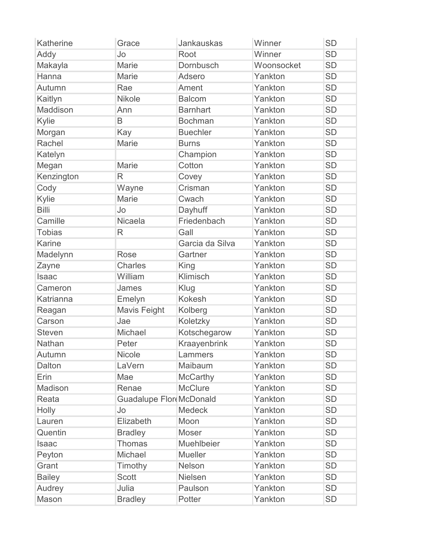| Katherine     | Grace                   | <b>Jankauskas</b> | Winner     | <b>SD</b> |
|---------------|-------------------------|-------------------|------------|-----------|
| Addy          | Jo                      | Root              | Winner     | <b>SD</b> |
| Makayla       | <b>Marie</b>            | Dornbusch         | Woonsocket | <b>SD</b> |
| Hanna         | <b>Marie</b>            | Adsero            | Yankton    | <b>SD</b> |
| Autumn        | Rae                     | Ament             | Yankton    | <b>SD</b> |
| Kaitlyn       | <b>Nikole</b>           | <b>Balcom</b>     | Yankton    | <b>SD</b> |
| Maddison      | Ann                     | <b>Barnhart</b>   | Yankton    | <b>SD</b> |
| Kylie         | B                       | <b>Bochman</b>    | Yankton    | <b>SD</b> |
| Morgan        | Kay                     | <b>Buechler</b>   | Yankton    | <b>SD</b> |
| Rachel        | <b>Marie</b>            | <b>Burns</b>      | Yankton    | <b>SD</b> |
| Katelyn       |                         | Champion          | Yankton    | <b>SD</b> |
| Megan         | <b>Marie</b>            | Cotton            | Yankton    | <b>SD</b> |
| Kenzington    | R                       | Covey             | Yankton    | <b>SD</b> |
| Cody          | Wayne                   | Crisman           | Yankton    | <b>SD</b> |
| Kylie         | Marie                   | Cwach             | Yankton    | <b>SD</b> |
| <b>Billi</b>  | Jo                      | Dayhuff           | Yankton    | <b>SD</b> |
| Camille       | Nicaela                 | Friedenbach       | Yankton    | <b>SD</b> |
| <b>Tobias</b> | R                       | Gall              | Yankton    | <b>SD</b> |
| <b>Karine</b> |                         | Garcia da Silva   | Yankton    | <b>SD</b> |
| Madelynn      | <b>Rose</b>             | Gartner           | Yankton    | <b>SD</b> |
| Zayne         | <b>Charles</b>          | King              | Yankton    | <b>SD</b> |
| <b>Isaac</b>  | William                 | Klimisch          | Yankton    | <b>SD</b> |
| Cameron       | James                   | Klug              | Yankton    | <b>SD</b> |
| Katrianna     | Emelyn                  | <b>Kokesh</b>     | Yankton    | <b>SD</b> |
| Reagan        | <b>Mavis Feight</b>     | Kolberg           | Yankton    | <b>SD</b> |
| Carson        | Jae                     | Koletzky          | Yankton    | <b>SD</b> |
| <b>Steven</b> | Michael                 | Kotschegarow      | Yankton    | <b>SD</b> |
| Nathan        | Peter                   | Kraayenbrink      | Yankton    | <b>SD</b> |
| Autumn        | <b>Nicole</b>           | Lammers           | Yankton    | <b>SD</b> |
| Dalton        | LaVern                  | Maibaum           | Yankton    | <b>SD</b> |
| Erin          | Mae                     | <b>McCarthy</b>   | Yankton    | <b>SD</b> |
| Madison       | Renae                   | <b>McClure</b>    | Yankton    | <b>SD</b> |
| Reata         | Guadalupe Flor McDonald |                   | Yankton    | <b>SD</b> |
| Holly         | Jo                      | <b>Medeck</b>     | Yankton    | <b>SD</b> |
| Lauren        | Elizabeth               | Moon              | Yankton    | <b>SD</b> |
| Quentin       | <b>Bradley</b>          | <b>Moser</b>      | Yankton    | <b>SD</b> |
| Isaac         | <b>Thomas</b>           | Muehlbeier        | Yankton    | <b>SD</b> |
| Peyton        | Michael                 | <b>Mueller</b>    | Yankton    | <b>SD</b> |
| Grant         | Timothy                 | Nelson            | Yankton    | <b>SD</b> |
| <b>Bailey</b> | <b>Scott</b>            | <b>Nielsen</b>    | Yankton    | <b>SD</b> |
| Audrey        | Julia                   | Paulson           | Yankton    | <b>SD</b> |
| Mason         | <b>Bradley</b>          | Potter            | Yankton    | <b>SD</b> |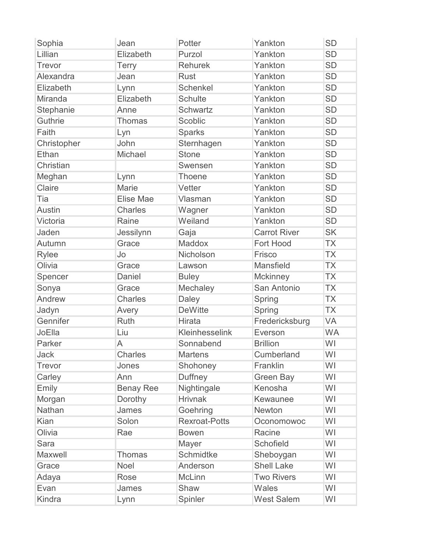| Sophia        | Jean             | Potter               | Yankton             | <b>SD</b> |
|---------------|------------------|----------------------|---------------------|-----------|
| Lillian       | Elizabeth        | Purzol               | Yankton             | <b>SD</b> |
| Trevor        | <b>Terry</b>     | <b>Rehurek</b>       | Yankton             | <b>SD</b> |
| Alexandra     | Jean             | <b>Rust</b>          | Yankton             | <b>SD</b> |
| Elizabeth     | Lynn             | <b>Schenkel</b>      | Yankton             | <b>SD</b> |
| Miranda       | Elizabeth        | <b>Schulte</b>       | Yankton             | <b>SD</b> |
| Stephanie     | Anne             | Schwartz             | Yankton             | <b>SD</b> |
| Guthrie       | Thomas           | Scoblic              | Yankton             | <b>SD</b> |
| Faith         | Lyn              | <b>Sparks</b>        | Yankton             | <b>SD</b> |
| Christopher   | John             | Sternhagen           | Yankton             | <b>SD</b> |
| Ethan         | Michael          | <b>Stone</b>         | Yankton             | <b>SD</b> |
| Christian     |                  | Swensen              | Yankton             | <b>SD</b> |
| Meghan        | Lynn             | <b>Thoene</b>        | Yankton             | <b>SD</b> |
| Claire        | Marie            | Vetter               | Yankton             | <b>SD</b> |
| Tia           | Elise Mae        | Vlasman              | Yankton             | <b>SD</b> |
| <b>Austin</b> | <b>Charles</b>   | Wagner               | Yankton             | <b>SD</b> |
| Victoria      | Raine            | Weiland              | Yankton             | <b>SD</b> |
| Jaden         | Jessilynn        | Gaja                 | <b>Carrot River</b> | <b>SK</b> |
| Autumn        | Grace            | Maddox               | Fort Hood           | <b>TX</b> |
| <b>Rylee</b>  | Jo               | Nicholson            | Frisco              | <b>TX</b> |
| Olivia        | Grace            | Lawson               | Mansfield           | <b>TX</b> |
| Spencer       | Daniel           | <b>Buley</b>         | Mckinney            | <b>TX</b> |
| Sonya         | Grace            | Mechaley             | San Antonio         | <b>TX</b> |
| Andrew        | <b>Charles</b>   | Daley                | Spring              | <b>TX</b> |
| Jadyn         | Avery            | <b>DeWitte</b>       | Spring              | <b>TX</b> |
| Gennifer      | <b>Ruth</b>      | <b>Hirata</b>        | Fredericksburg      | VA        |
| JoElla        | Liu              | Kleinhesselink       | Everson             | <b>WA</b> |
| Parker        | A                | Sonnabend            | <b>Brillion</b>     | WI        |
| Jack          | <b>Charles</b>   | <b>Martens</b>       | Cumberland          | WI        |
| <b>Trevor</b> | Jones            | Shohoney             | Franklin            | WI        |
| Carley        | Ann              | <b>Duffney</b>       | <b>Green Bay</b>    | WI        |
| Emily         | <b>Benay Ree</b> | Nightingale          | Kenosha             | WI        |
| Morgan        | Dorothy          | <b>Hrivnak</b>       | Kewaunee            | WI        |
| Nathan        | James            | Goehring             | <b>Newton</b>       | WI        |
| Kian          | Solon            | <b>Rexroat-Potts</b> | Oconomowoc          | WI        |
| Olivia        | Rae              | <b>Bowen</b>         | Racine              | WI        |
| Sara          |                  | Mayer                | Schofield           | WI        |
| Maxwell       | <b>Thomas</b>    | Schmidtke            | Sheboygan           | WI        |
| Grace         | Noel             | Anderson             | <b>Shell Lake</b>   | WI        |
| Adaya         | Rose             | <b>McLinn</b>        | <b>Two Rivers</b>   | WI        |
| Evan          | James            | Shaw                 | Wales               | WI        |
| Kindra        | Lynn             | Spinler              | <b>West Salem</b>   | WI        |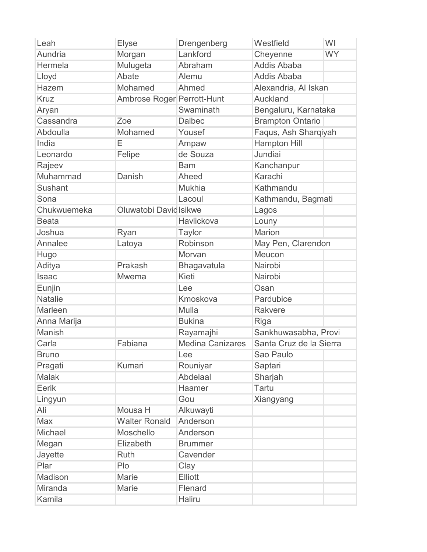| Leah           | <b>Elyse</b>               | Drengenberg             | Westfield               | WI        |
|----------------|----------------------------|-------------------------|-------------------------|-----------|
| Aundria        | Morgan                     | Lankford                | Cheyenne                | <b>WY</b> |
| Hermela        | Mulugeta                   | Abraham                 | <b>Addis Ababa</b>      |           |
| Lloyd          | Abate                      | Alemu                   | <b>Addis Ababa</b>      |           |
| Hazem          | Mohamed                    | Ahmed                   | Alexandria, Al Iskan    |           |
| <b>Kruz</b>    | Ambrose Roger Perrott-Hunt |                         | Auckland                |           |
| Aryan          |                            | Swaminath               | Bengaluru, Karnataka    |           |
| Cassandra      | Zoe                        | <b>Dalbec</b>           | <b>Brampton Ontario</b> |           |
| Abdoulla       | Mohamed                    | Yousef                  | Faqus, Ash Sharqiyah    |           |
| India          | Е                          | Ampaw                   | <b>Hampton Hill</b>     |           |
| Leonardo       | Felipe                     | de Souza                | Jundiai                 |           |
| Rajeev         |                            | <b>Bam</b>              | Kanchanpur              |           |
| Muhammad       | Danish                     | Aheed                   | Karachi                 |           |
| <b>Sushant</b> |                            | <b>Mukhia</b>           | Kathmandu               |           |
| Sona           |                            | Lacoul                  | Kathmandu, Bagmati      |           |
| Chukwuemeka    | Oluwatobi David Isikwe     |                         | Lagos                   |           |
| <b>Beata</b>   |                            | Havlickova              | Louny                   |           |
| Joshua         | Ryan                       | <b>Taylor</b>           | <b>Marion</b>           |           |
| Annalee        | Latoya                     | Robinson                | May Pen, Clarendon      |           |
| Hugo           |                            | Morvan                  | Meucon                  |           |
| Aditya         | Prakash                    | Bhagavatula             | Nairobi                 |           |
| <b>Isaac</b>   | <b>Mwema</b>               | Kieti                   | Nairobi                 |           |
| Eunjin         |                            | Lee                     | Osan                    |           |
| <b>Natalie</b> |                            | Kmoskova                | Pardubice               |           |
| Marleen        |                            | Mulla                   | Rakvere                 |           |
| Anna Marija    |                            | <b>Bukina</b>           | Riga                    |           |
| Manish         |                            | Rayamajhi               | Sankhuwasabha, Provi    |           |
| Carla          | Fabiana                    | <b>Medina Canizares</b> | Santa Cruz de la Sierra |           |
| <b>Bruno</b>   |                            | Lee                     | Sao Paulo               |           |
| Pragati        | Kumari                     | Rouniyar                | Saptari                 |           |
| <b>Malak</b>   |                            | Abdelaal                | Sharjah                 |           |
| Eerik          |                            | Haamer                  | Tartu                   |           |
| Lingyun        |                            | Gou                     | Xiangyang               |           |
| Ali            | Mousa H                    | Alkuwayti               |                         |           |
| Max            | <b>Walter Ronald</b>       | Anderson                |                         |           |
| Michael        | Moschello                  | Anderson                |                         |           |
| Megan          | Elizabeth                  | <b>Brummer</b>          |                         |           |
| Jayette        | <b>Ruth</b>                | Cavender                |                         |           |
| Plar           | Plo                        | Clay                    |                         |           |
| Madison        | Marie                      | <b>Elliott</b>          |                         |           |
| Miranda        | Marie                      | Flenard                 |                         |           |
| Kamila         |                            | <b>Haliru</b>           |                         |           |